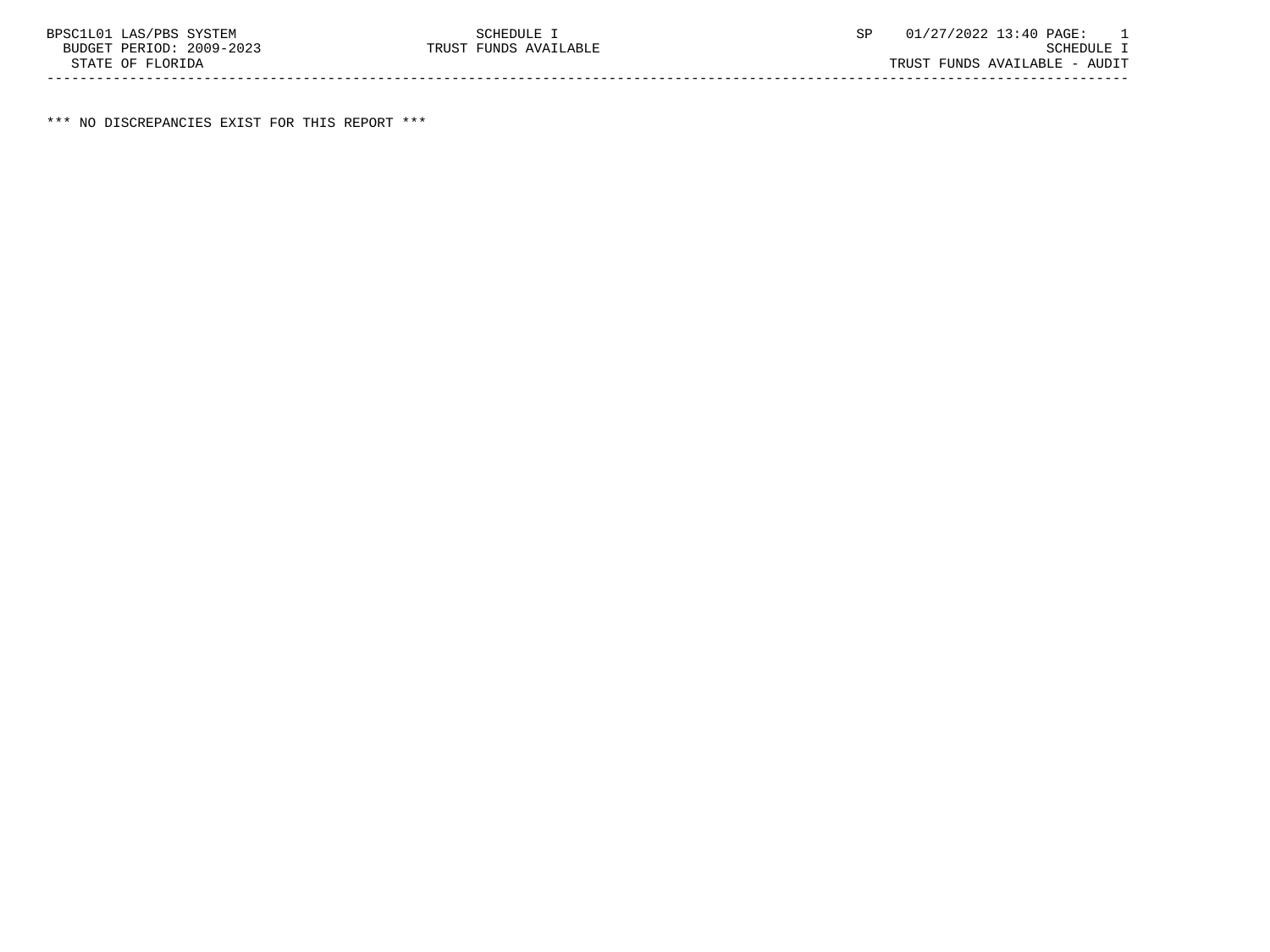\*\*\* NO DISCREPANCIES EXIST FOR THIS REPORT \*\*\*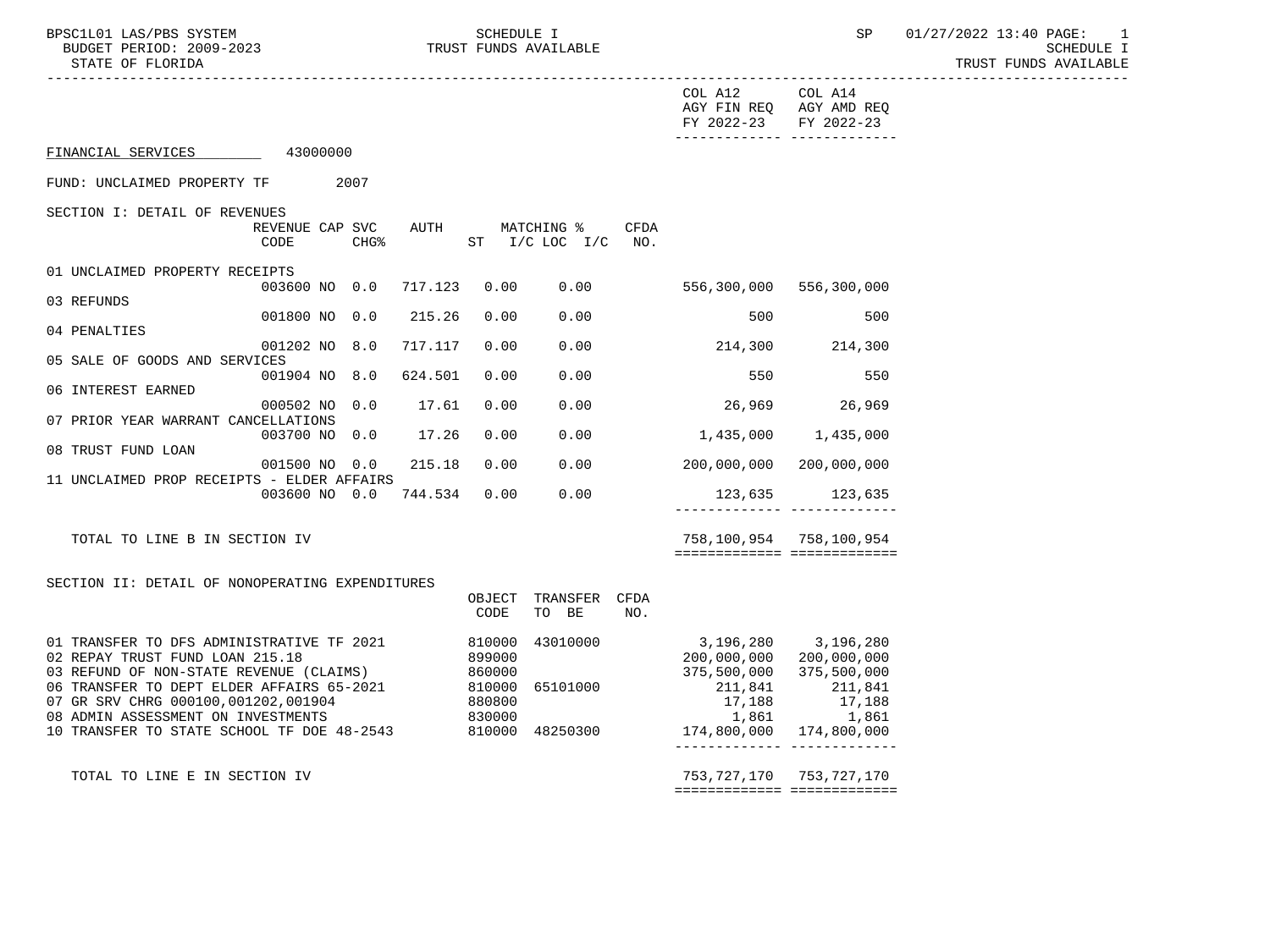STATE OF FLORIDA AND INTENSION OF THE SERVICE OF THE SERVICE OF TRUST FUNDS AVAILABLE

| COL A12 COL A14<br>AGY FIN REQ AGY AMD REQ<br>FY 2022-23 FY 2022-23<br>-------------- --------------<br>FINANCIAL SERVICES 43000000<br>FUND: UNCLAIMED PROPERTY TF 2007<br>SECTION I: DETAIL OF REVENUES<br>REVENUE CAP SVC<br>AUTH MATCHING % CFDA<br>$CHG\$<br>ST I/C LOC I/C NO.<br>CODE<br>01 UNCLAIMED PROPERTY RECEIPTS<br>003600 NO 0.0 717.123 0.00<br>0.00<br>556,300,000 556,300,000<br>03 REFUNDS<br>001800 NO 0.0<br>215.26<br>0.00<br>0.00<br>500<br>500<br>04 PENALTIES<br>0.00<br>214,300 214,300<br>001202 NO 8.0<br>717.117<br>0.00<br>05 SALE OF GOODS AND SERVICES<br>001904 NO 8.0<br>624.501<br>0.00<br>0.00<br>550<br>550<br>06 INTEREST EARNED<br>26,969 26,969<br>000502 NO 0.0<br>17.61<br>0.00<br>0.00<br>07 PRIOR YEAR WARRANT CANCELLATIONS<br>0.00<br>003700 NO 0.0 17.26<br>$0.00$ 1,435,000 1,435,000<br>08 TRUST FUND LOAN<br>0.00<br>0.00<br>200,000,000 200,000,000<br>001500 NO 0.0<br>215.18<br>11 UNCLAIMED PROP RECEIPTS - ELDER AFFAIRS<br>003600 NO 0.0 744.534 0.00<br>0.00<br>123,635 123,635<br>-------------- --------------<br>758,100,954 758,100,954<br>TOTAL TO LINE B IN SECTION IV<br>============================<br>SECTION II: DETAIL OF NONOPERATING EXPENDITURES<br>OBJECT TRANSFER CFDA<br>TO BE<br>CODE<br>NO.<br>3, 196, 280 3, 196, 280<br>01 TRANSFER TO DFS ADMINISTRATIVE TF 2021<br>810000 43010000<br>200,000,000 200,000,000<br>899000<br>02 REPAY TRUST FUND LOAN 215.18<br>860000<br>375,500,000<br>375,500,000<br>03 REFUND OF NON-STATE REVENUE (CLAIMS)<br>06 TRANSFER TO DEPT ELDER AFFAIRS 65-2021<br>810000 65101000<br>211,841<br>211,841<br>07 GR SRV CHRG 000100,001202,001904<br>08 ADMIN ASSESSMENT ON INVESTMENTS<br>880800<br>830000<br>17,188<br>1,861<br>17,188<br>1,861<br>10 TRANSFER TO STATE SCHOOL TF DOE 48-2543 810000 48250300<br>174,800,000  174,800,000<br>_______________________________ |                                                              |
|-----------------------------------------------------------------------------------------------------------------------------------------------------------------------------------------------------------------------------------------------------------------------------------------------------------------------------------------------------------------------------------------------------------------------------------------------------------------------------------------------------------------------------------------------------------------------------------------------------------------------------------------------------------------------------------------------------------------------------------------------------------------------------------------------------------------------------------------------------------------------------------------------------------------------------------------------------------------------------------------------------------------------------------------------------------------------------------------------------------------------------------------------------------------------------------------------------------------------------------------------------------------------------------------------------------------------------------------------------------------------------------------------------------------------------------------------------------------------------------------------------------------------------------------------------------------------------------------------------------------------------------------------------------------------------------------------------------------------------------------------------------------------------------------------------------------------------------------------------------------------------------------|--------------------------------------------------------------|
|                                                                                                                                                                                                                                                                                                                                                                                                                                                                                                                                                                                                                                                                                                                                                                                                                                                                                                                                                                                                                                                                                                                                                                                                                                                                                                                                                                                                                                                                                                                                                                                                                                                                                                                                                                                                                                                                                         |                                                              |
|                                                                                                                                                                                                                                                                                                                                                                                                                                                                                                                                                                                                                                                                                                                                                                                                                                                                                                                                                                                                                                                                                                                                                                                                                                                                                                                                                                                                                                                                                                                                                                                                                                                                                                                                                                                                                                                                                         |                                                              |
|                                                                                                                                                                                                                                                                                                                                                                                                                                                                                                                                                                                                                                                                                                                                                                                                                                                                                                                                                                                                                                                                                                                                                                                                                                                                                                                                                                                                                                                                                                                                                                                                                                                                                                                                                                                                                                                                                         |                                                              |
|                                                                                                                                                                                                                                                                                                                                                                                                                                                                                                                                                                                                                                                                                                                                                                                                                                                                                                                                                                                                                                                                                                                                                                                                                                                                                                                                                                                                                                                                                                                                                                                                                                                                                                                                                                                                                                                                                         |                                                              |
|                                                                                                                                                                                                                                                                                                                                                                                                                                                                                                                                                                                                                                                                                                                                                                                                                                                                                                                                                                                                                                                                                                                                                                                                                                                                                                                                                                                                                                                                                                                                                                                                                                                                                                                                                                                                                                                                                         |                                                              |
|                                                                                                                                                                                                                                                                                                                                                                                                                                                                                                                                                                                                                                                                                                                                                                                                                                                                                                                                                                                                                                                                                                                                                                                                                                                                                                                                                                                                                                                                                                                                                                                                                                                                                                                                                                                                                                                                                         |                                                              |
|                                                                                                                                                                                                                                                                                                                                                                                                                                                                                                                                                                                                                                                                                                                                                                                                                                                                                                                                                                                                                                                                                                                                                                                                                                                                                                                                                                                                                                                                                                                                                                                                                                                                                                                                                                                                                                                                                         |                                                              |
|                                                                                                                                                                                                                                                                                                                                                                                                                                                                                                                                                                                                                                                                                                                                                                                                                                                                                                                                                                                                                                                                                                                                                                                                                                                                                                                                                                                                                                                                                                                                                                                                                                                                                                                                                                                                                                                                                         |                                                              |
|                                                                                                                                                                                                                                                                                                                                                                                                                                                                                                                                                                                                                                                                                                                                                                                                                                                                                                                                                                                                                                                                                                                                                                                                                                                                                                                                                                                                                                                                                                                                                                                                                                                                                                                                                                                                                                                                                         |                                                              |
|                                                                                                                                                                                                                                                                                                                                                                                                                                                                                                                                                                                                                                                                                                                                                                                                                                                                                                                                                                                                                                                                                                                                                                                                                                                                                                                                                                                                                                                                                                                                                                                                                                                                                                                                                                                                                                                                                         |                                                              |
|                                                                                                                                                                                                                                                                                                                                                                                                                                                                                                                                                                                                                                                                                                                                                                                                                                                                                                                                                                                                                                                                                                                                                                                                                                                                                                                                                                                                                                                                                                                                                                                                                                                                                                                                                                                                                                                                                         |                                                              |
|                                                                                                                                                                                                                                                                                                                                                                                                                                                                                                                                                                                                                                                                                                                                                                                                                                                                                                                                                                                                                                                                                                                                                                                                                                                                                                                                                                                                                                                                                                                                                                                                                                                                                                                                                                                                                                                                                         |                                                              |
|                                                                                                                                                                                                                                                                                                                                                                                                                                                                                                                                                                                                                                                                                                                                                                                                                                                                                                                                                                                                                                                                                                                                                                                                                                                                                                                                                                                                                                                                                                                                                                                                                                                                                                                                                                                                                                                                                         |                                                              |
|                                                                                                                                                                                                                                                                                                                                                                                                                                                                                                                                                                                                                                                                                                                                                                                                                                                                                                                                                                                                                                                                                                                                                                                                                                                                                                                                                                                                                                                                                                                                                                                                                                                                                                                                                                                                                                                                                         |                                                              |
|                                                                                                                                                                                                                                                                                                                                                                                                                                                                                                                                                                                                                                                                                                                                                                                                                                                                                                                                                                                                                                                                                                                                                                                                                                                                                                                                                                                                                                                                                                                                                                                                                                                                                                                                                                                                                                                                                         |                                                              |
|                                                                                                                                                                                                                                                                                                                                                                                                                                                                                                                                                                                                                                                                                                                                                                                                                                                                                                                                                                                                                                                                                                                                                                                                                                                                                                                                                                                                                                                                                                                                                                                                                                                                                                                                                                                                                                                                                         |                                                              |
|                                                                                                                                                                                                                                                                                                                                                                                                                                                                                                                                                                                                                                                                                                                                                                                                                                                                                                                                                                                                                                                                                                                                                                                                                                                                                                                                                                                                                                                                                                                                                                                                                                                                                                                                                                                                                                                                                         |                                                              |
| ============================                                                                                                                                                                                                                                                                                                                                                                                                                                                                                                                                                                                                                                                                                                                                                                                                                                                                                                                                                                                                                                                                                                                                                                                                                                                                                                                                                                                                                                                                                                                                                                                                                                                                                                                                                                                                                                                            | 753, 727, 170 753, 727, 170<br>TOTAL TO LINE E IN SECTION IV |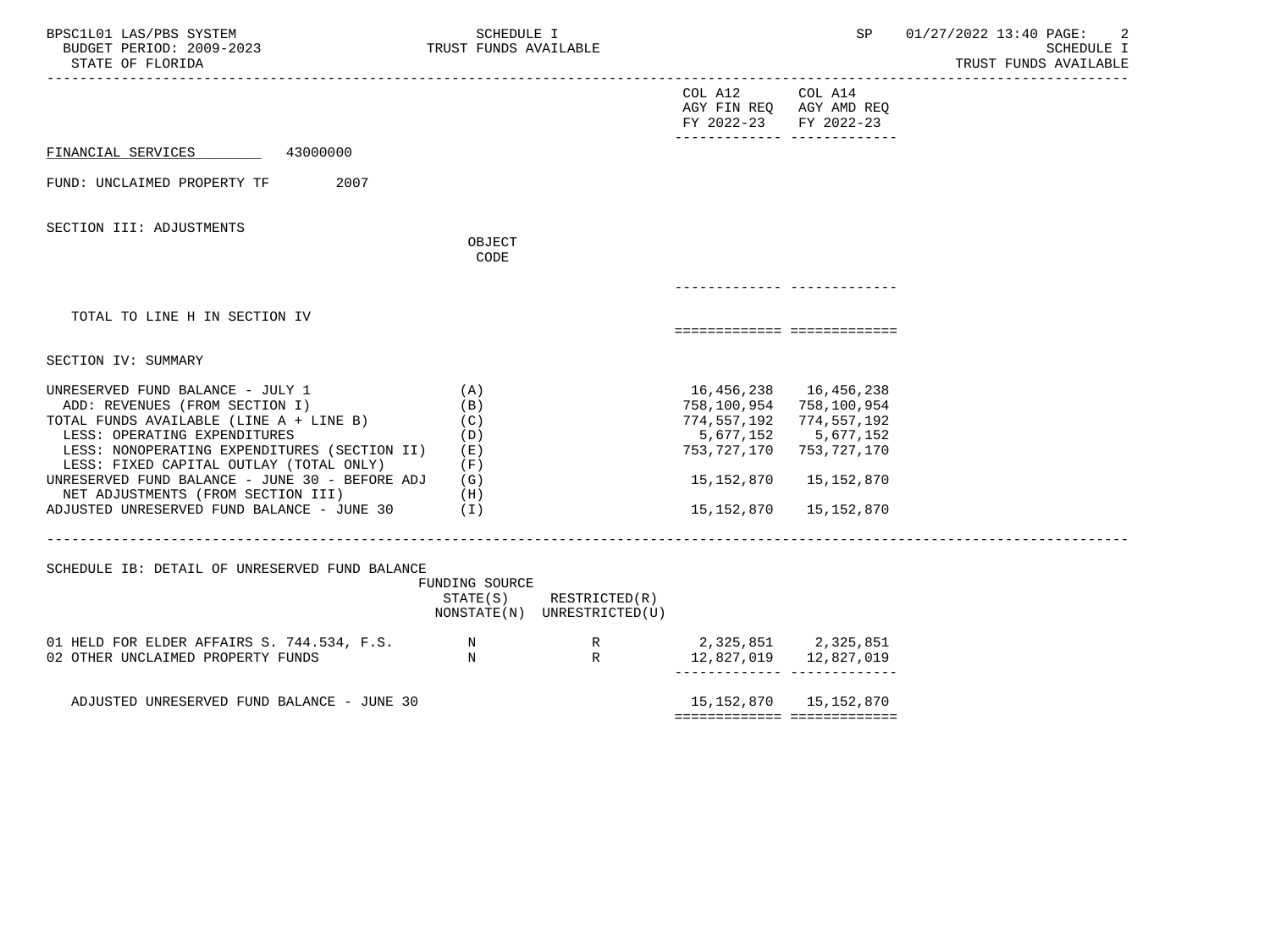| BPSC1L01 LAS/PBS SYSTEM<br>BUDGET PERIOD: 2009-2023<br>STATE OF FLORIDA                                                                                                                                                                                                                                                                                                        | SCHEDULE I<br>TRUST FUNDS AVAILABLE                             |                                                            |                                                                                                                                             | SP                                                   | 01/27/2022 13:40 PAGE:<br>2<br>SCHEDULE I<br>TRUST FUNDS AVAILABLE |
|--------------------------------------------------------------------------------------------------------------------------------------------------------------------------------------------------------------------------------------------------------------------------------------------------------------------------------------------------------------------------------|-----------------------------------------------------------------|------------------------------------------------------------|---------------------------------------------------------------------------------------------------------------------------------------------|------------------------------------------------------|--------------------------------------------------------------------|
|                                                                                                                                                                                                                                                                                                                                                                                |                                                                 |                                                            | COL A12<br>AGY FIN REQ AGY AMD REQ<br>FY 2022-23                                                                                            | COL A14<br>FY 2022-23                                |                                                                    |
| FINANCIAL SERVICES<br>43000000                                                                                                                                                                                                                                                                                                                                                 |                                                                 |                                                            |                                                                                                                                             |                                                      |                                                                    |
| 2007<br>FUND: UNCLAIMED PROPERTY TF                                                                                                                                                                                                                                                                                                                                            |                                                                 |                                                            |                                                                                                                                             |                                                      |                                                                    |
| SECTION III: ADJUSTMENTS                                                                                                                                                                                                                                                                                                                                                       | OBJECT                                                          |                                                            |                                                                                                                                             |                                                      |                                                                    |
|                                                                                                                                                                                                                                                                                                                                                                                | CODE                                                            |                                                            |                                                                                                                                             |                                                      |                                                                    |
|                                                                                                                                                                                                                                                                                                                                                                                |                                                                 |                                                            |                                                                                                                                             |                                                      |                                                                    |
| TOTAL TO LINE H IN SECTION IV                                                                                                                                                                                                                                                                                                                                                  |                                                                 |                                                            |                                                                                                                                             |                                                      |                                                                    |
| SECTION IV: SUMMARY                                                                                                                                                                                                                                                                                                                                                            |                                                                 |                                                            |                                                                                                                                             |                                                      |                                                                    |
| UNRESERVED FUND BALANCE - JULY 1<br>ADD: REVENUES (FROM SECTION I)<br>TOTAL FUNDS AVAILABLE (LINE A + LINE B)<br>LESS: OPERATING EXPENDITURES<br>LESS: NONOPERATING EXPENDITURES (SECTION II)<br>LESS: FIXED CAPITAL OUTLAY (TOTAL ONLY)<br>UNRESERVED FUND BALANCE - JUNE 30 - BEFORE ADJ<br>NET ADJUSTMENTS (FROM SECTION III)<br>ADJUSTED UNRESERVED FUND BALANCE - JUNE 30 | (A)<br>(B)<br>(C)<br>(D)<br>( E )<br>(F)<br>(G)<br>(H)<br>( I ) |                                                            | 16,456,238 16,456,238<br>758, 100, 954 758, 100, 954<br>774, 557, 192 774, 557, 192<br>5,677,152<br>753,727,170<br>15,152,870<br>15,152,870 | 5,677,152<br>753,727,170<br>15,152,870<br>15,152,870 |                                                                    |
| SCHEDULE IB: DETAIL OF UNRESERVED FUND BALANCE                                                                                                                                                                                                                                                                                                                                 | FUNDING SOURCE                                                  | $STATE(S)$ RESTRICTED $(R)$<br>NONSTATE(N) UNRESTRICTED(U) |                                                                                                                                             |                                                      |                                                                    |
| 01 HELD FOR ELDER AFFAIRS S. 744.534, F.S. N<br>02 OTHER UNCLAIMED PROPERTY FUNDS                                                                                                                                                                                                                                                                                              | N                                                               | R<br>$\mathbb R$                                           | 2,325,851 2,325,851<br>12,827,019   12,827,019                                                                                              |                                                      |                                                                    |
| ADJUSTED UNRESERVED FUND BALANCE - JUNE 30                                                                                                                                                                                                                                                                                                                                     |                                                                 |                                                            | ============================                                                                                                                | 15, 152, 870 15, 152, 870                            |                                                                    |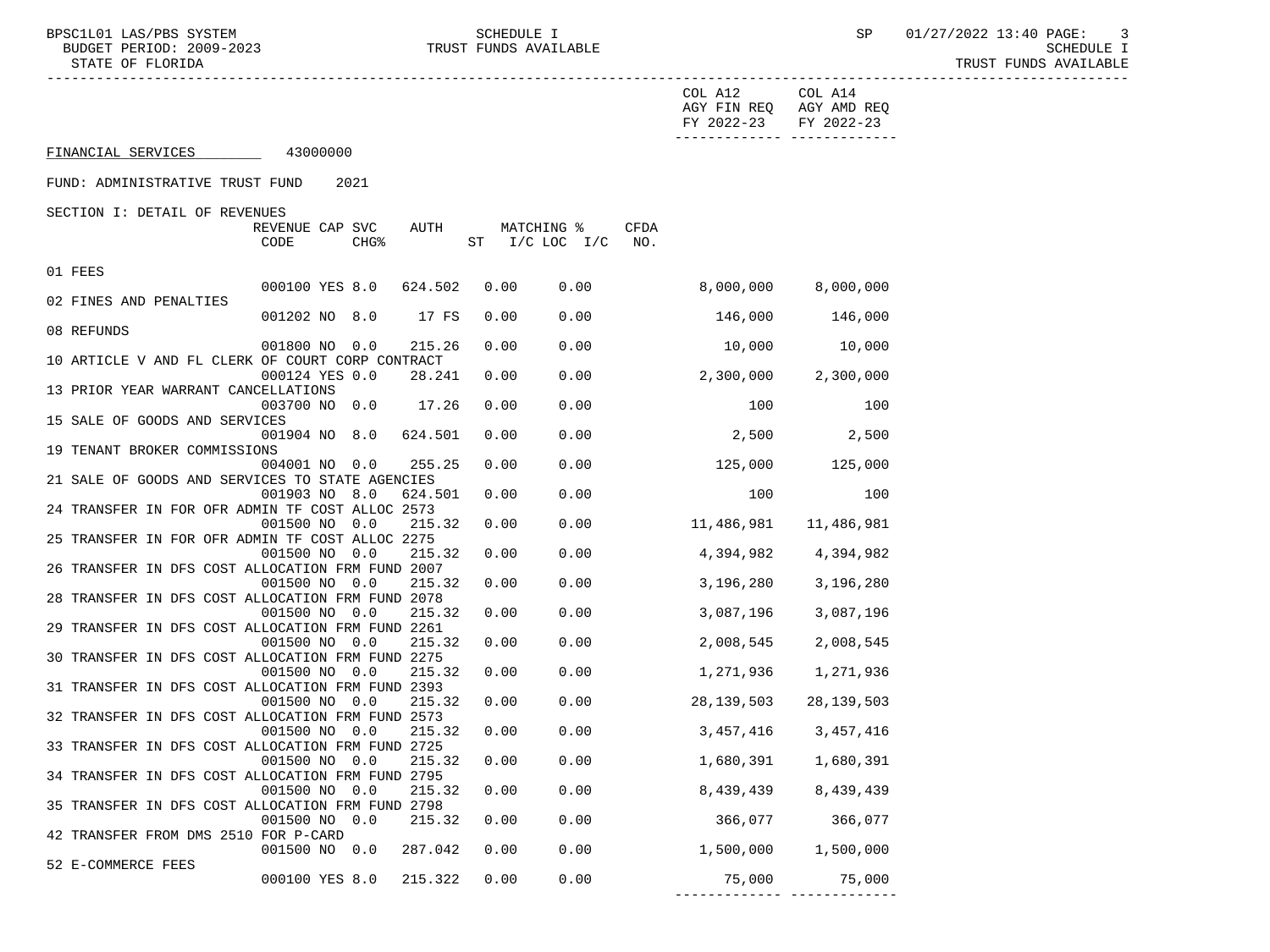BPSC1L01 LAS/PBS SYSTEM SCHEDULE I SCHEDULE I SP 01/27/2022 13:40 PAGE: 3<br>BUDGET PERIOD: 2009-2023 TRUST FUNDS AVAILABLE

| BUDGET PERIOD, 2009-2020<br>STATE OF FLORIDA    | PCULDATE T<br>TRUST FUNDS AVAILABLE                                         |      |                                             |                       |                                                  |  |
|-------------------------------------------------|-----------------------------------------------------------------------------|------|---------------------------------------------|-----------------------|--------------------------------------------------|--|
|                                                 |                                                                             |      |                                             | COL A12<br>FY 2022-23 | COL A14<br>AGY FIN REQ AGY AMD REQ<br>FY 2022-23 |  |
| FINANCIAL SERVICES                              | 43000000                                                                    |      |                                             |                       |                                                  |  |
| FUND: ADMINISTRATIVE TRUST FUND                 | 2021                                                                        |      |                                             |                       |                                                  |  |
| SECTION I: DETAIL OF REVENUES                   |                                                                             |      |                                             |                       |                                                  |  |
|                                                 | REVENUE CAP SVC<br>AUTH<br>CODE<br>CHG <sup>8</sup>                         |      | CFDA<br>MATCHING %<br>ST I/C LOC I/C<br>NO. |                       |                                                  |  |
| 01 FEES                                         |                                                                             |      |                                             |                       |                                                  |  |
| 02 FINES AND PENALTIES                          | 000100 YES 8.0<br>624.502                                                   | 0.00 | 0.00                                        | 8,000,000             | 8,000,000                                        |  |
|                                                 | 001202 NO 8.0<br>17 FS                                                      | 0.00 | 0.00                                        | 146,000               | 146,000                                          |  |
| 08 REFUNDS                                      | 215.26<br>001800 NO 0.0                                                     | 0.00 | 0.00                                        | 10,000                | 10,000                                           |  |
|                                                 | 10 ARTICLE V AND FL CLERK OF COURT CORP CONTRACT                            |      |                                             |                       |                                                  |  |
|                                                 | 000124 YES 0.0<br>28.241                                                    | 0.00 | 0.00                                        | 2,300,000             | 2,300,000                                        |  |
| 13 PRIOR YEAR WARRANT CANCELLATIONS             | 003700 NO 0.0<br>17.26                                                      | 0.00 | 0.00                                        | 100                   | 100                                              |  |
| 15 SALE OF GOODS AND SERVICES                   |                                                                             |      |                                             |                       |                                                  |  |
| 19 TENANT BROKER COMMISSIONS                    | 624.501<br>001904 NO 8.0                                                    | 0.00 | 0.00                                        | 2,500                 | 2,500                                            |  |
|                                                 | 004001 NO 0.0<br>255.25                                                     | 0.00 | 0.00                                        | 125,000               | 125,000                                          |  |
| 21 SALE OF GOODS AND SERVICES TO STATE AGENCIES |                                                                             |      |                                             |                       |                                                  |  |
|                                                 | 001903 NO 8.0<br>624.501                                                    | 0.00 | 0.00                                        | 100                   | 100                                              |  |
| 24 TRANSFER IN FOR OFR ADMIN TF COST ALLOC 2573 | 001500 NO 0.0<br>215.32                                                     | 0.00 | 0.00                                        | 11,486,981            | 11,486,981                                       |  |
| 25 TRANSFER IN FOR OFR ADMIN TF COST ALLOC 2275 |                                                                             |      |                                             |                       |                                                  |  |
|                                                 | 001500 NO 0.0<br>215.32                                                     | 0.00 | 0.00                                        | 4,394,982             | 4,394,982                                        |  |
|                                                 | 26 TRANSFER IN DFS COST ALLOCATION FRM FUND 2007<br>215.32<br>001500 NO 0.0 | 0.00 | 0.00                                        | 3,196,280             | 3,196,280                                        |  |
|                                                 | 28 TRANSFER IN DFS COST ALLOCATION FRM FUND 2078                            |      |                                             |                       |                                                  |  |
|                                                 | 215.32<br>001500 NO 0.0                                                     | 0.00 | 0.00                                        | 3,087,196             | 3,087,196                                        |  |
|                                                 | 29 TRANSFER IN DFS COST ALLOCATION FRM FUND 2261                            |      |                                             |                       |                                                  |  |
|                                                 | 215.32<br>001500 NO 0.0<br>30 TRANSFER IN DFS COST ALLOCATION FRM FUND 2275 | 0.00 | 0.00                                        | 2,008,545             | 2,008,545                                        |  |
|                                                 | 001500 NO 0.0<br>215.32                                                     | 0.00 | 0.00                                        | 1,271,936             | 1,271,936                                        |  |
|                                                 | 31 TRANSFER IN DFS COST ALLOCATION FRM FUND 2393                            |      |                                             |                       |                                                  |  |
|                                                 | 001500 NO 0.0<br>215.32                                                     | 0.00 | 0.00                                        | 28,139,503            | 28, 139, 503                                     |  |
|                                                 | 32 TRANSFER IN DFS COST ALLOCATION FRM FUND 2573                            |      |                                             |                       |                                                  |  |
|                                                 | 001500 NO 0.0<br>215.32<br>33 TRANSFER IN DFS COST ALLOCATION FRM FUND 2725 | 0.00 | 0.00                                        | 3,457,416             | 3,457,416                                        |  |
|                                                 | 001500 NO 0.0<br>215.32                                                     | 0.00 | 0.00                                        | 1,680,391             | 1,680,391                                        |  |
|                                                 | 34 TRANSFER IN DFS COST ALLOCATION FRM FUND 2795                            |      |                                             |                       |                                                  |  |
|                                                 | 001500 NO 0.0<br>215.32                                                     | 0.00 | 0.00                                        | 8,439,439             | 8,439,439                                        |  |
|                                                 | 35 TRANSFER IN DFS COST ALLOCATION FRM FUND 2798                            |      |                                             | 366,077               | 366,077                                          |  |
| 42 TRANSFER FROM DMS 2510 FOR P-CARD            | 001500 NO 0.0<br>215.32                                                     | 0.00 | 0.00                                        |                       |                                                  |  |
|                                                 | 001500 NO 0.0<br>287.042                                                    | 0.00 | 0.00                                        | 1,500,000             | 1,500,000                                        |  |
| 52 E-COMMERCE FEES                              |                                                                             |      |                                             |                       |                                                  |  |

000100 YES 8.0 215.322 0.00 0.00 75,000 75,000

------------- -------------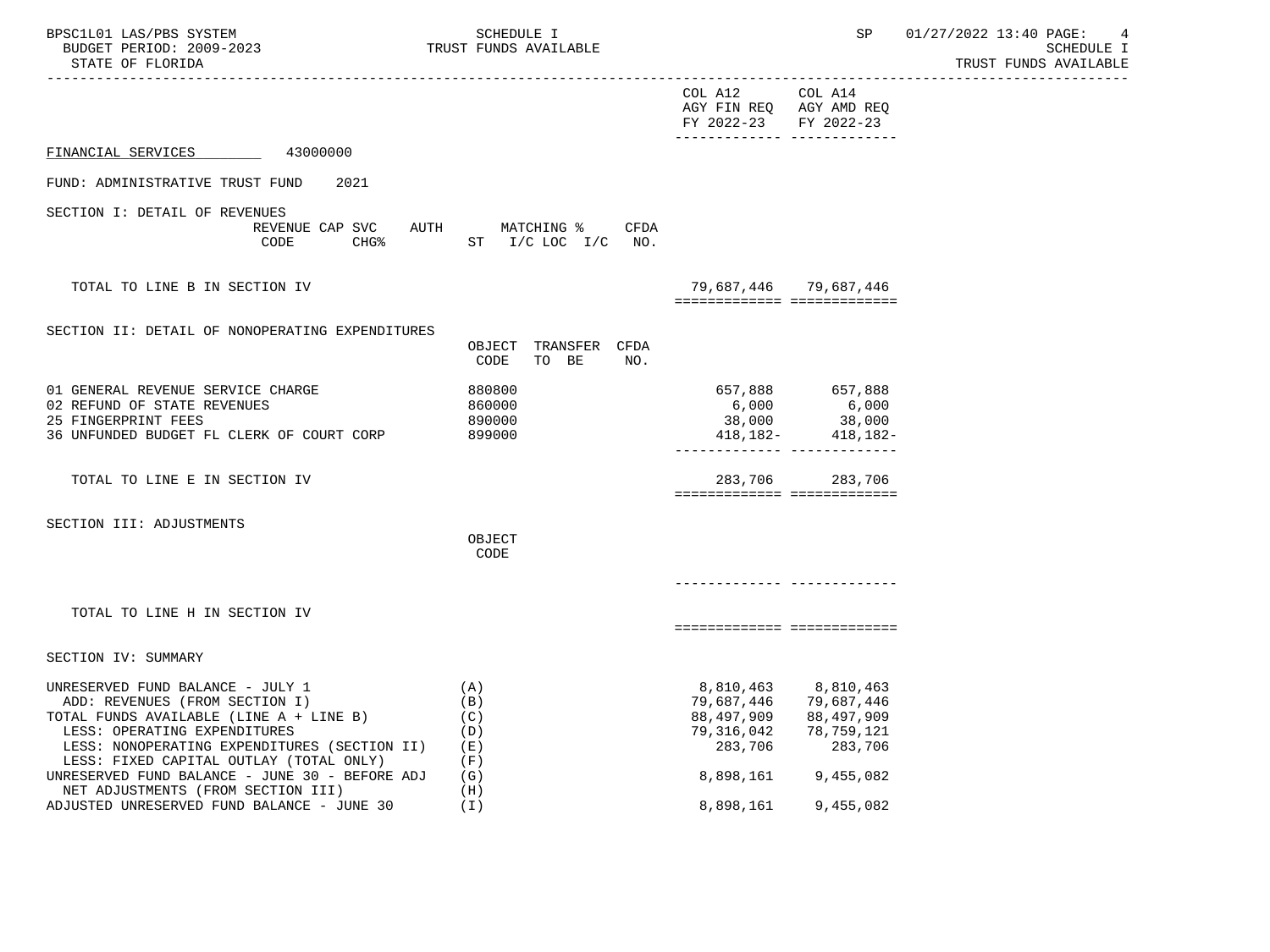| BPSC1L01 LAS/PBS SYSTEM<br>BUDGET PERIOD: 2009-2023<br>STATE OF FLORIDA                                                                                                                                                                                                                    | SCHEDULE I<br>TRUST FUNDS AVAILABLE             |                                                                | SP                                                                                    | 01/27/2022 13:40 PAGE:<br>4<br>SCHEDULE I<br>TRUST FUNDS AVAILABLE |
|--------------------------------------------------------------------------------------------------------------------------------------------------------------------------------------------------------------------------------------------------------------------------------------------|-------------------------------------------------|----------------------------------------------------------------|---------------------------------------------------------------------------------------|--------------------------------------------------------------------|
|                                                                                                                                                                                                                                                                                            |                                                 | COL A12 COL A14<br>FY 2022-23 FY 2022-23                       | AGY FIN REQ AGY AMD REQ<br>------------- --------------                               |                                                                    |
| FINANCIAL SERVICES 43000000                                                                                                                                                                                                                                                                |                                                 |                                                                |                                                                                       |                                                                    |
| FUND: ADMINISTRATIVE TRUST FUND<br>2021                                                                                                                                                                                                                                                    |                                                 |                                                                |                                                                                       |                                                                    |
| SECTION I: DETAIL OF REVENUES<br>REVENUE CAP SVC<br>CODE                                                                                                                                                                                                                                   | AUTH MATCHING % CFDA<br>CHG% ST I/C LOC I/C NO. |                                                                |                                                                                       |                                                                    |
| TOTAL TO LINE B IN SECTION IV                                                                                                                                                                                                                                                              |                                                 |                                                                | 79,687,446 79,687,446<br>============================                                 |                                                                    |
| SECTION II: DETAIL OF NONOPERATING EXPENDITURES                                                                                                                                                                                                                                            | OBJECT TRANSFER CFDA<br>CODE<br>TO BE<br>NO.    |                                                                |                                                                                       |                                                                    |
| 01 GENERAL REVENUE SERVICE CHARGE<br>02 REFUND OF STATE REVENUES<br>25 FINGERPRINT FEES<br>36 UNFUNDED BUDGET FL CLERK OF COURT CORP                                                                                                                                                       | 880800<br>860000<br>890000<br>899000            |                                                                | 657,888 657,888<br>$418, 182 - 418, 182 -$<br>-------------- --------------           |                                                                    |
| TOTAL TO LINE E IN SECTION IV                                                                                                                                                                                                                                                              |                                                 |                                                                | 283,706 283,706<br>============================                                       |                                                                    |
| SECTION III: ADJUSTMENTS                                                                                                                                                                                                                                                                   | OBJECT<br>CODE                                  |                                                                | ------------- -------------                                                           |                                                                    |
| TOTAL TO LINE H IN SECTION IV                                                                                                                                                                                                                                                              |                                                 |                                                                | ============================                                                          |                                                                    |
| SECTION IV: SUMMARY                                                                                                                                                                                                                                                                        |                                                 |                                                                |                                                                                       |                                                                    |
| UNRESERVED FUND BALANCE - JULY 1<br>ADD: REVENUES (FROM SECTION I)<br>TOTAL FUNDS AVAILABLE (LINE A + LINE B)<br>LESS: OPERATING EXPENDITURES<br>LESS: NONOPERATING EXPENDITURES (SECTION II)<br>LESS: FIXED CAPITAL OUTLAY (TOTAL ONLY)<br>UNRESERVED FUND BALANCE - JUNE 30 - BEFORE ADJ | (A)<br>(B)<br>(C)<br>(D)<br>(E)<br>(F)<br>(G)   | 8,810,463<br>79,687,446<br>88,497,909<br>79,316,042<br>283,706 | 8,810,463<br>79,687,446<br>88,497,909<br>78,759,121<br>283,706<br>8,898,161 9,455,082 |                                                                    |
| NET ADJUSTMENTS (FROM SECTION III)<br>ADJUSTED UNRESERVED FUND BALANCE - JUNE 30                                                                                                                                                                                                           | (H)<br>(T)                                      | 8,898,161                                                      | 9,455,082                                                                             |                                                                    |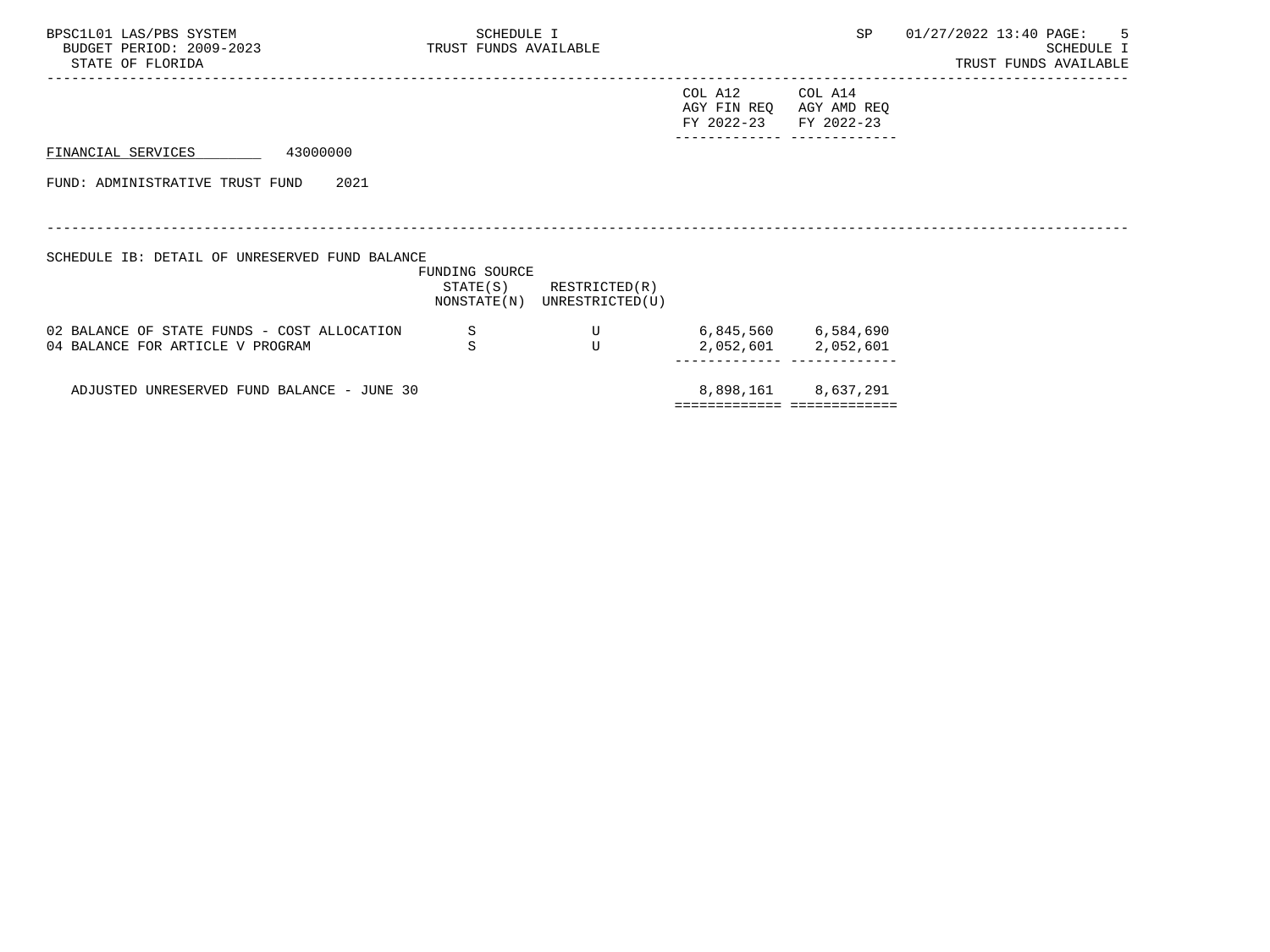| BPSC1L01 LAS/PBS SYSTEM<br>BUDGET PERIOD: 2009-2023<br>STATE OF FLORIDA | SCHEDULE I<br>TRUST FUNDS AVAILABLE |                                                            |                                                 | SP                                                             | 01/27/2022 13:40 PAGE: 5 | SCHEDULE I<br>TRUST FUNDS AVAILABLE |  |
|-------------------------------------------------------------------------|-------------------------------------|------------------------------------------------------------|-------------------------------------------------|----------------------------------------------------------------|--------------------------|-------------------------------------|--|
|                                                                         |                                     |                                                            | COL A12<br>AGY FIN REQ<br>FY 2022-23 FY 2022-23 | COL A14<br>AGY AMD REQ                                         |                          |                                     |  |
| 43000000<br>FINANCIAL SERVICES                                          |                                     |                                                            |                                                 |                                                                |                          |                                     |  |
| FUND: ADMINISTRATIVE TRUST FUND<br>2021                                 |                                     |                                                            |                                                 |                                                                |                          |                                     |  |
|                                                                         |                                     |                                                            |                                                 |                                                                |                          |                                     |  |
| SCHEDULE IB: DETAIL OF UNRESERVED FUND BALANCE                          |                                     |                                                            |                                                 |                                                                |                          |                                     |  |
|                                                                         | FUNDING SOURCE                      | $STATE(S)$ RESTRICTED $(R)$<br>NONSTATE(N) UNRESTRICTED(U) |                                                 |                                                                |                          |                                     |  |
| 02 BALANCE OF STATE FUNDS - COST ALLOCATION                             | -S                                  | U                                                          |                                                 | 6,845,560 6,584,690                                            |                          |                                     |  |
| 04 BALANCE FOR ARTICLE V PROGRAM                                        | S                                   | T                                                          |                                                 | 2,052,601 2,052,601<br>. _ _ _ _ _ _     _ _ _ _ _ _ _ _ _ _ _ |                          |                                     |  |
| ADJUSTED UNRESERVED FUND BALANCE - JUNE 30                              |                                     |                                                            |                                                 | 8,898,161 8,637,291<br>:==========================             |                          |                                     |  |
|                                                                         |                                     |                                                            |                                                 |                                                                |                          |                                     |  |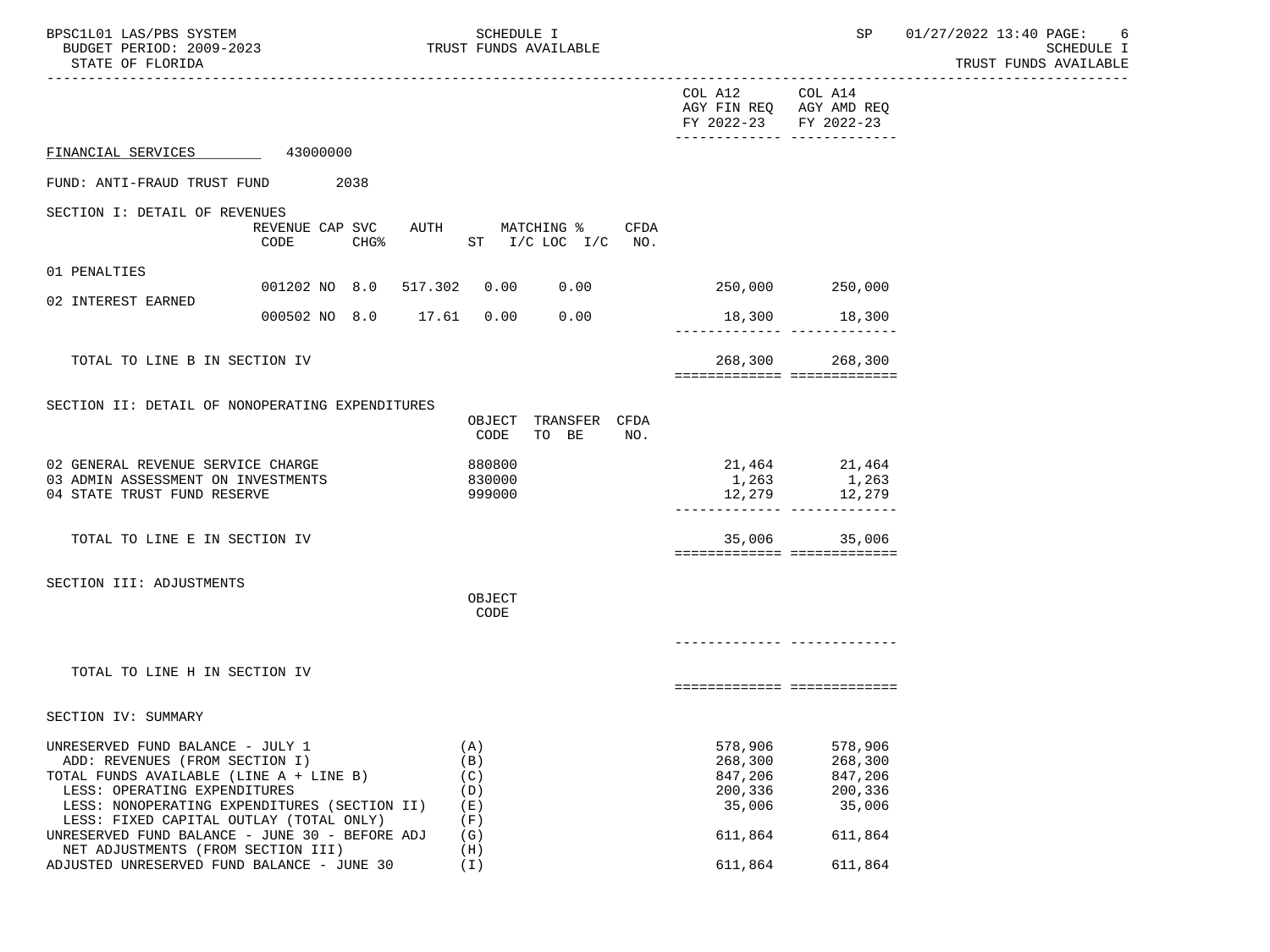| BPSC1L01 LAS/PBS SYSTEM<br>BUDGET PERIOD: 2009-2023<br>STATE OF FLORIDA                                                                                                                                                                                                                    |                                             | SCHEDULE I<br>TRUST FUNDS AVAILABLE           |                                                               | SP                                                            | 01/27/2022 13:40 PAGE: 6<br>SCHEDULE I<br>TRUST FUNDS AVAILABLE<br>------------------ |
|--------------------------------------------------------------------------------------------------------------------------------------------------------------------------------------------------------------------------------------------------------------------------------------------|---------------------------------------------|-----------------------------------------------|---------------------------------------------------------------|---------------------------------------------------------------|---------------------------------------------------------------------------------------|
|                                                                                                                                                                                                                                                                                            |                                             |                                               | COL A12<br>AGY FIN REQ AGY AMD REQ<br>FY 2022-23 FY 2022-23   | COL A14<br>-------------- -------------                       |                                                                                       |
| FINANCIAL SERVICES 43000000                                                                                                                                                                                                                                                                |                                             |                                               |                                                               |                                                               |                                                                                       |
| FUND: ANTI-FRAUD TRUST FUND 2038                                                                                                                                                                                                                                                           |                                             |                                               |                                                               |                                                               |                                                                                       |
| SECTION I: DETAIL OF REVENUES                                                                                                                                                                                                                                                              | REVENUE CAP SVC<br>CODE<br>CHG <sup>8</sup> | AUTH MATCHING %<br>CFDA<br>ST I/C LOC I/C NO. |                                                               |                                                               |                                                                                       |
| 01 PENALTIES                                                                                                                                                                                                                                                                               |                                             |                                               |                                                               |                                                               |                                                                                       |
| 02 INTEREST EARNED                                                                                                                                                                                                                                                                         | 001202 NO 8.0 517.302 0.00 0.00             |                                               | 250,000 250,000                                               |                                                               |                                                                                       |
|                                                                                                                                                                                                                                                                                            | 000502 NO 8.0 17.61 0.00                    | 0.00                                          |                                                               | 18,300 18,300                                                 |                                                                                       |
| TOTAL TO LINE B IN SECTION IV                                                                                                                                                                                                                                                              |                                             |                                               | ============================                                  | 268,300 268,300                                               |                                                                                       |
| SECTION II: DETAIL OF NONOPERATING EXPENDITURES                                                                                                                                                                                                                                            |                                             | OBJECT TRANSFER CFDA<br>CODE<br>TO BE<br>NO.  |                                                               |                                                               |                                                                                       |
| 02 GENERAL REVENUE SERVICE CHARGE<br>03 ADMIN ASSESSMENT ON INVESTMENTS<br>04 STATE TRUST FUND RESERVE                                                                                                                                                                                     |                                             | 880800<br>830000<br>999000                    |                                                               | 21,464 21,464<br>1,263 1,263<br>12,279 12,279                 |                                                                                       |
| TOTAL TO LINE E IN SECTION IV                                                                                                                                                                                                                                                              |                                             |                                               | 35,006<br>===========================                         | 35,006                                                        |                                                                                       |
| SECTION III: ADJUSTMENTS                                                                                                                                                                                                                                                                   |                                             | OBJECT<br>CODE                                |                                                               |                                                               |                                                                                       |
|                                                                                                                                                                                                                                                                                            |                                             |                                               |                                                               |                                                               |                                                                                       |
| TOTAL TO LINE H IN SECTION IV                                                                                                                                                                                                                                                              |                                             |                                               | ============================                                  |                                                               |                                                                                       |
| SECTION IV: SUMMARY                                                                                                                                                                                                                                                                        |                                             |                                               |                                                               |                                                               |                                                                                       |
| UNRESERVED FUND BALANCE - JULY 1<br>ADD: REVENUES (FROM SECTION I)<br>TOTAL FUNDS AVAILABLE (LINE A + LINE B)<br>LESS: OPERATING EXPENDITURES<br>LESS: NONOPERATING EXPENDITURES (SECTION II)<br>LESS: FIXED CAPITAL OUTLAY (TOTAL ONLY)<br>UNRESERVED FUND BALANCE - JUNE 30 - BEFORE ADJ |                                             | (A)<br>(B)<br>(C)<br>(D)<br>(E)<br>(F)<br>(G) | 578,906<br>268,300<br>847,206<br>200,336<br>35,006<br>611,864 | 578,906<br>268,300<br>847,206<br>200,336<br>35,006<br>611,864 |                                                                                       |
| NET ADJUSTMENTS (FROM SECTION III)<br>ADJUSTED UNRESERVED FUND BALANCE - JUNE 30                                                                                                                                                                                                           |                                             | (H)<br>(I)                                    | 611,864                                                       | 611,864                                                       |                                                                                       |
|                                                                                                                                                                                                                                                                                            |                                             |                                               |                                                               |                                                               |                                                                                       |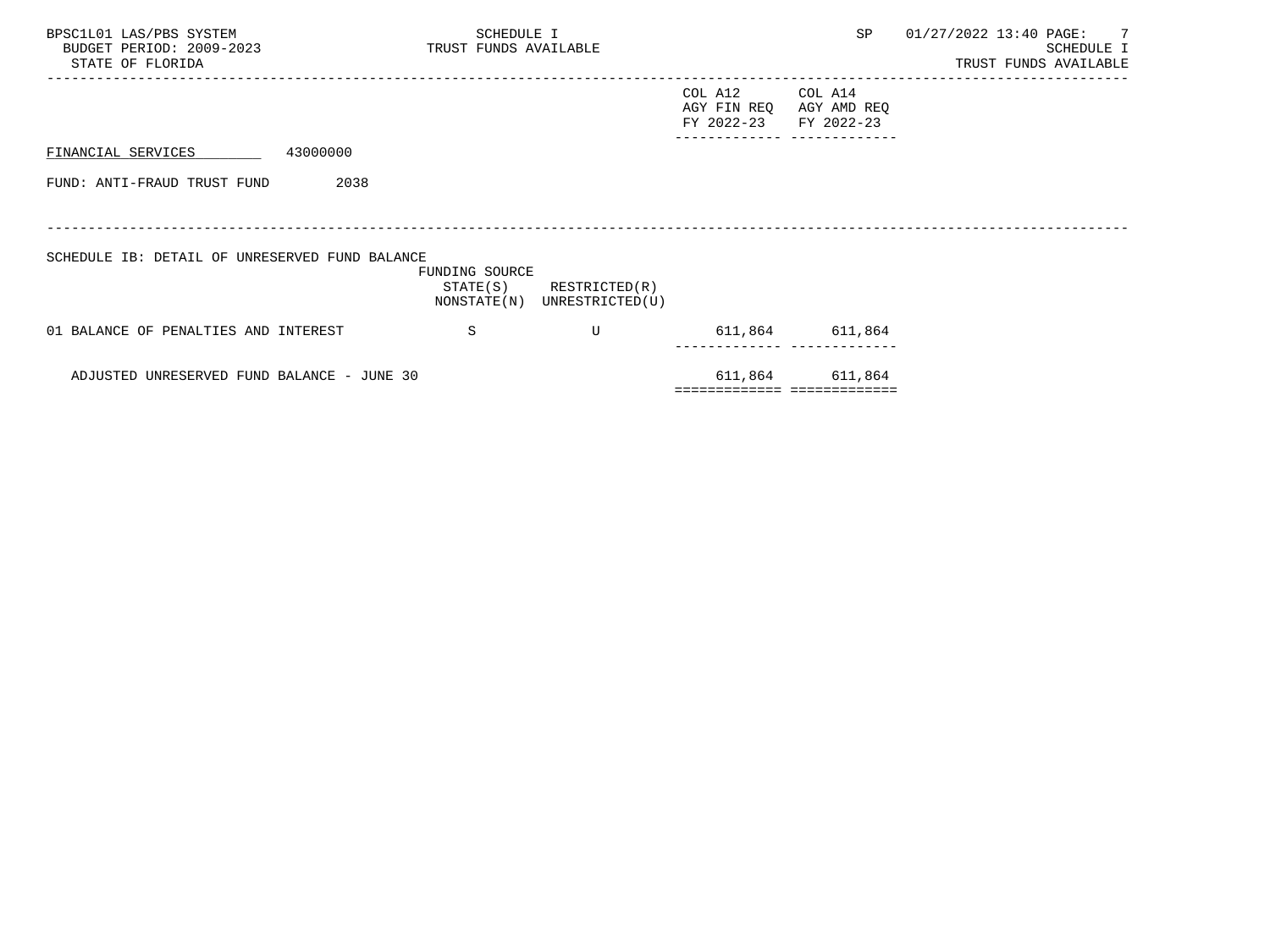| BPSC1L01 LAS/PBS SYSTEM<br>BUDGET PERIOD: 2009-2023 TRUST FUNDS AVAILABLE<br>STATE OF FLORIDA | SCHEDULE I     |                                                            |                                      | SP                                              | 01/27/2022 13:40 PAGE: 7 | SCHEDULE I<br>TRUST FUNDS AVAILABLE |
|-----------------------------------------------------------------------------------------------|----------------|------------------------------------------------------------|--------------------------------------|-------------------------------------------------|--------------------------|-------------------------------------|
|                                                                                               |                |                                                            | COL A12<br>AGY FIN REQ<br>FY 2022-23 | COL A14<br>AGY AMD REQ<br>FY 2022-23            |                          |                                     |
| 43000000<br>FINANCIAL SERVICES                                                                |                |                                                            |                                      |                                                 |                          |                                     |
| FUND: ANTI-FRAUD TRUST FUND<br>2038                                                           |                |                                                            |                                      |                                                 |                          |                                     |
| SCHEDULE IB: DETAIL OF UNRESERVED FUND BALANCE                                                | FUNDING SOURCE | $STATE(S)$ RESTRICTED $(R)$<br>NONSTATE(N) UNRESTRICTED(U) |                                      |                                                 |                          |                                     |
| 01 BALANCE OF PENALTIES AND INTEREST                                                          | <sub>S</sub>   | U                                                          |                                      | 611,864 611,864                                 |                          |                                     |
| ADJUSTED UNRESERVED FUND BALANCE - JUNE 30                                                    |                |                                                            |                                      | 611,864 611,864<br>============================ |                          |                                     |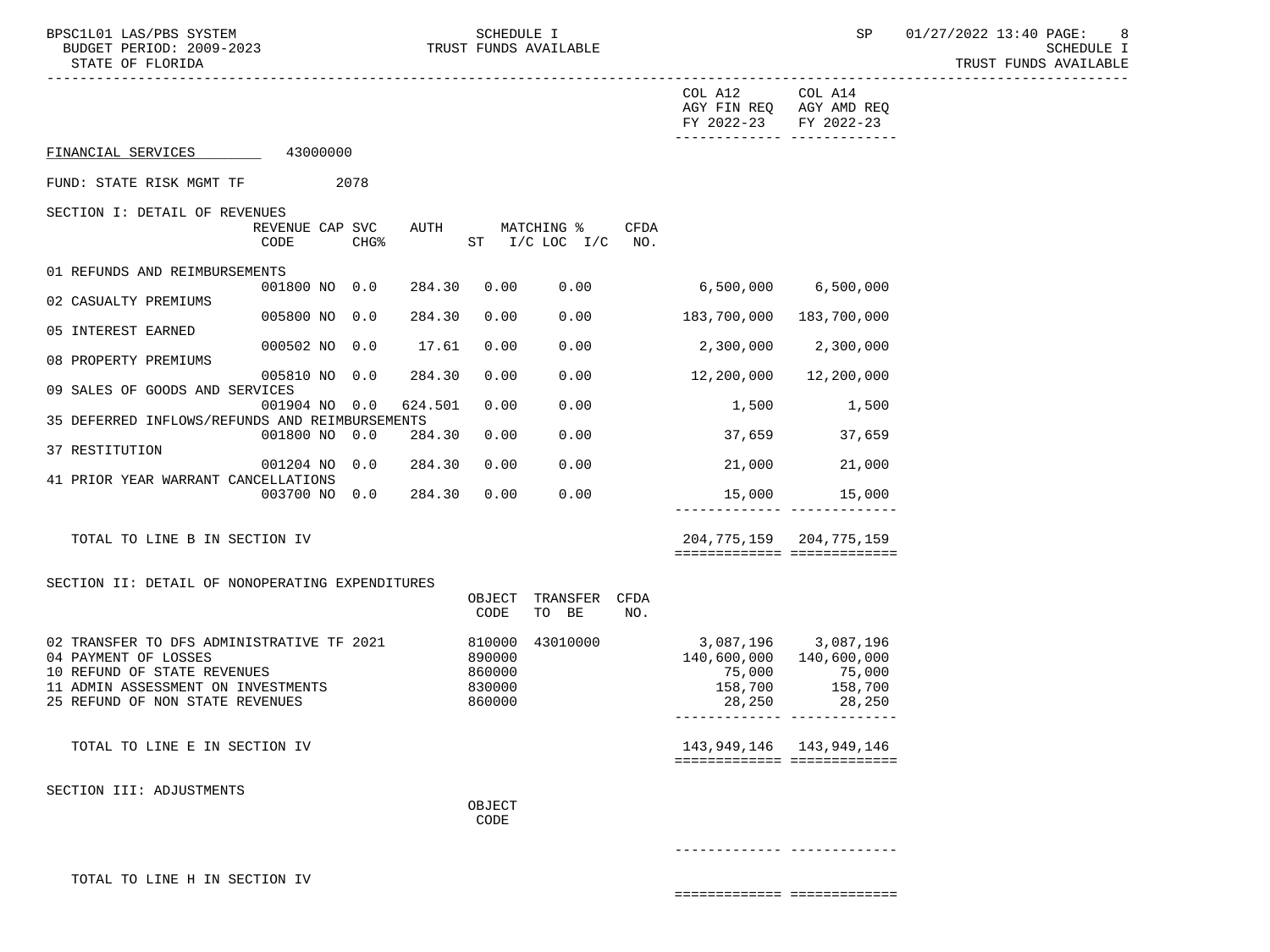TRUST FUNDS AVAILABLE

|                                                                   |                         |                  |         |                  |                                    |             | COL A12<br>FY 2022-23   | COL A14<br>AGY FIN REQ AGY AMD REQ<br>FY 2022-23<br>-------------- -------------- |  |
|-------------------------------------------------------------------|-------------------------|------------------|---------|------------------|------------------------------------|-------------|-------------------------|-----------------------------------------------------------------------------------|--|
| FINANCIAL SERVICES                                                | 43000000                |                  |         |                  |                                    |             |                         |                                                                                   |  |
| FUND: STATE RISK MGMT TF                                          |                         | 2078             |         |                  |                                    |             |                         |                                                                                   |  |
| SECTION I: DETAIL OF REVENUES                                     |                         |                  |         |                  |                                    |             |                         |                                                                                   |  |
|                                                                   | REVENUE CAP SVC<br>CODE | CHG <sup>8</sup> | AUTH    |                  | MATCHING %<br>$ST$ $I/C$ LOC $I/C$ | CFDA<br>NO. |                         |                                                                                   |  |
| 01 REFUNDS AND REIMBURSEMENTS                                     | 001800 NO 0.0           |                  | 284.30  | 0.00             | 0.00                               |             | 6,500,000               | 6,500,000                                                                         |  |
| 02 CASUALTY PREMIUMS                                              |                         |                  |         |                  |                                    |             |                         |                                                                                   |  |
| 05 INTEREST EARNED                                                | 005800 NO 0.0           |                  | 284.30  | 0.00             | 0.00                               |             | 183,700,000             | 183,700,000                                                                       |  |
|                                                                   | 000502 NO 0.0           |                  | 17.61   | 0.00             | 0.00                               |             | 2,300,000               | 2,300,000                                                                         |  |
| 08 PROPERTY PREMIUMS                                              | 005810 NO 0.0           |                  | 284.30  | 0.00             | 0.00                               |             | 12,200,000              | 12,200,000                                                                        |  |
| 09 SALES OF GOODS AND SERVICES                                    |                         |                  |         |                  |                                    |             |                         |                                                                                   |  |
| 35 DEFERRED INFLOWS/REFUNDS AND REIMBURSEMENTS                    | 001904 NO 0.0           |                  | 624.501 | 0.00             | 0.00                               |             | 1,500                   | 1,500                                                                             |  |
|                                                                   | 001800 NO 0.0           |                  | 284.30  | 0.00             | 0.00                               |             | 37,659                  | 37,659                                                                            |  |
| 37 RESTITUTION                                                    | 001204 NO 0.0           |                  | 284.30  | 0.00             | 0.00                               |             | 21,000                  | 21,000                                                                            |  |
| 41 PRIOR YEAR WARRANT CANCELLATIONS                               |                         |                  |         |                  |                                    |             |                         |                                                                                   |  |
|                                                                   | 003700 NO 0.0           |                  | 284.30  | 0.00             | 0.00                               |             |                         | 15,000 15,000<br>-------------- -------------                                     |  |
| TOTAL TO LINE B IN SECTION IV                                     |                         |                  |         |                  |                                    |             |                         | 204, 775, 159 204, 775, 159<br>============================                       |  |
| SECTION II: DETAIL OF NONOPERATING EXPENDITURES                   |                         |                  |         |                  |                                    |             |                         |                                                                                   |  |
|                                                                   |                         |                  |         | OBJECT<br>CODE   | TRANSFER CFDA<br>TO BE             | NO.         |                         |                                                                                   |  |
| 02 TRANSFER TO DFS ADMINISTRATIVE TF 2021                         |                         |                  |         | 810000           | 43010000                           |             | 3,087,196 3,087,196     |                                                                                   |  |
| 04 PAYMENT OF LOSSES                                              |                         |                  |         | 890000           |                                    |             | 140,600,000 140,600,000 |                                                                                   |  |
| 10 REFUND OF STATE REVENUES<br>11 ADMIN ASSESSMENT ON INVESTMENTS |                         |                  |         | 860000<br>830000 |                                    |             | 75,000<br>158,700       | 75,000<br>158,700                                                                 |  |
| 25 REFUND OF NON STATE REVENUES                                   |                         |                  |         | 860000           |                                    |             | 28,250                  | 28,250<br>-------------- -------------                                            |  |
| TOTAL TO LINE E IN SECTION IV                                     |                         |                  |         |                  |                                    |             |                         | 143, 949, 146 143, 949, 146<br>===========================                        |  |
| SECTION III: ADJUSTMENTS                                          |                         |                  |         |                  |                                    |             |                         |                                                                                   |  |
|                                                                   |                         |                  |         | OBJECT<br>CODE   |                                    |             |                         |                                                                                   |  |
|                                                                   |                         |                  |         |                  |                                    |             |                         |                                                                                   |  |
| TOTAL TO LINE H IN SECTION IV                                     |                         |                  |         |                  |                                    |             |                         |                                                                                   |  |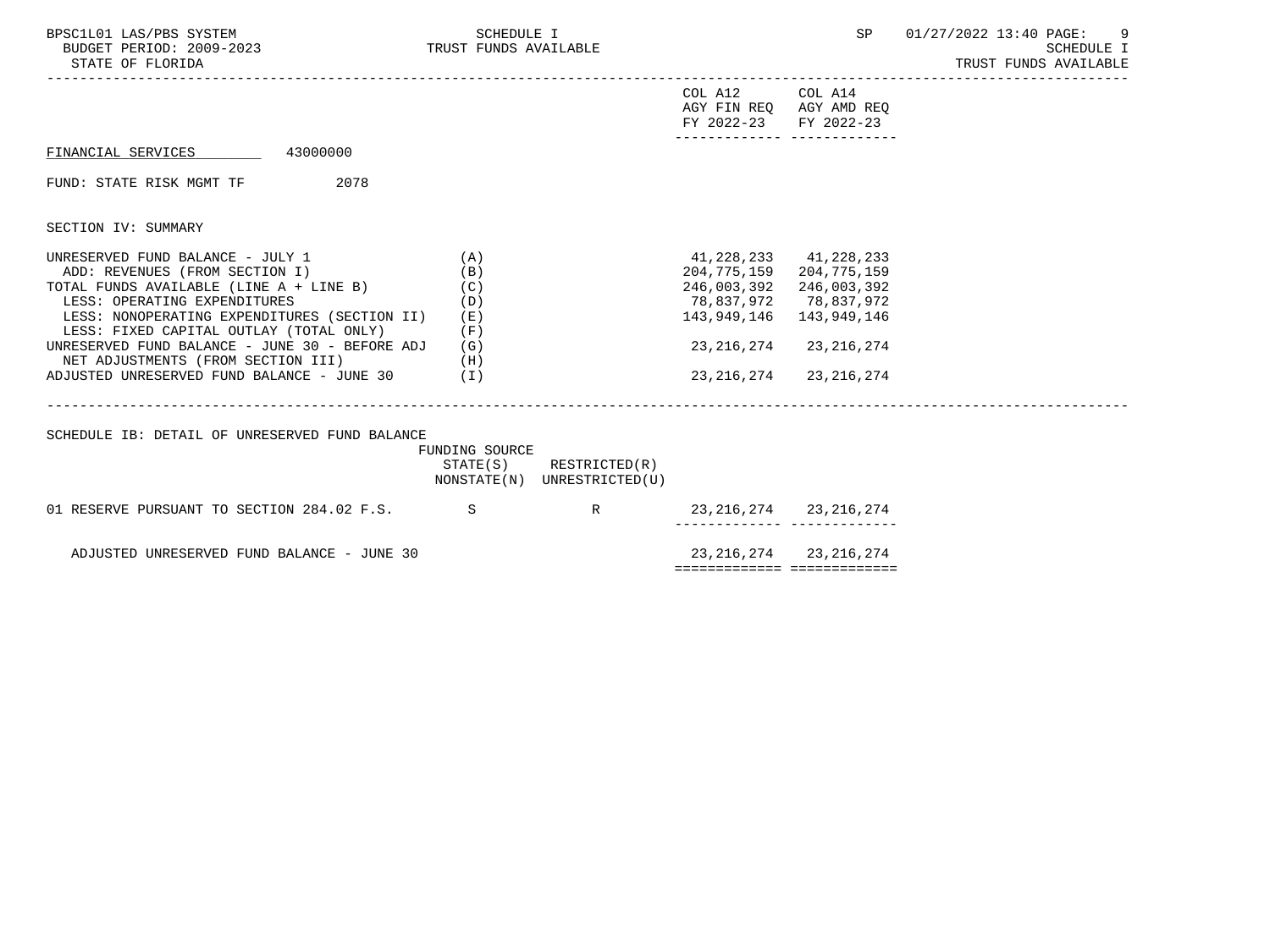| BPSC1L01 LAS/PBS SYSTEM<br>BUDGET PERIOD: 2009-2023 TRUST FUNDS AVAILABLE<br>STATE OF FLORIDA                                                                                                                                                                                                                                                                                              | SCHEDULE I                                    |                                                            |                                                                                             |                                                                                                     | SP 01/27/2022 13:40 PAGE:<br>9<br><b>SCHEDULE I</b><br>TRUST FUNDS AVAILABLE<br>------------- |
|--------------------------------------------------------------------------------------------------------------------------------------------------------------------------------------------------------------------------------------------------------------------------------------------------------------------------------------------------------------------------------------------|-----------------------------------------------|------------------------------------------------------------|---------------------------------------------------------------------------------------------|-----------------------------------------------------------------------------------------------------|-----------------------------------------------------------------------------------------------|
|                                                                                                                                                                                                                                                                                                                                                                                            |                                               |                                                            | COL A12 COL A14<br>FY 2022-23 FY 2022-23<br>-------------- -------------                    | AGY FIN REO AGY AMD REO                                                                             |                                                                                               |
| FINANCIAL SERVICES 43000000                                                                                                                                                                                                                                                                                                                                                                |                                               |                                                            |                                                                                             |                                                                                                     |                                                                                               |
| 2078<br>FUND: STATE RISK MGMT TF                                                                                                                                                                                                                                                                                                                                                           |                                               |                                                            |                                                                                             |                                                                                                     |                                                                                               |
| SECTION IV: SUMMARY                                                                                                                                                                                                                                                                                                                                                                        |                                               |                                                            |                                                                                             |                                                                                                     |                                                                                               |
| UNRESERVED FUND BALANCE - JULY 1<br>ADD: REVENUES (FROM SECTION I)<br>TOTAL FUNDS AVAILABLE (LINE A + LINE B)<br>LESS: OPERATING EXPENDITURES<br>LESS: NONOPERATING EXPENDITURES (SECTION II)<br>LESS: FIXED CAPITAL OUTLAY (TOTAL ONLY)<br>UNRESERVED FUND BALANCE - JUNE 30 - BEFORE ADJ<br>ADJUSTED UNRESERVED FUND BALANCE - JUNE 30 (I)<br>ADJUSTED UNRESERVED FUND BALANCE - JUNE 30 | (A)<br>(B)<br>(C)<br>(D)<br>(E)<br>(F)<br>(G) |                                                            | 41,228,233 41,228,233<br>204,775,159<br>246,003,392<br>78,837,972 78,837,972<br>143,949,146 | 204,775,159<br>246,003,392<br>143,949,146<br>23, 216, 274 23, 216, 274<br>23, 216, 274 23, 216, 274 |                                                                                               |
| SCHEDULE IB: DETAIL OF UNRESERVED FUND BALANCE                                                                                                                                                                                                                                                                                                                                             | FUNDING SOURCE                                | $STATE(S)$ RESTRICTED $(R)$<br>NONSTATE(N) UNRESTRICTED(U) |                                                                                             |                                                                                                     |                                                                                               |
| 01 RESERVE PURSUANT TO SECTION 284.02 F.S. S                                                                                                                                                                                                                                                                                                                                               |                                               | R 23, 216, 274 23, 216, 274                                |                                                                                             |                                                                                                     |                                                                                               |
| ADJUSTED UNRESERVED FUND BALANCE - JUNE 30                                                                                                                                                                                                                                                                                                                                                 |                                               |                                                            | ============================                                                                | 23, 216, 274 23, 216, 274                                                                           |                                                                                               |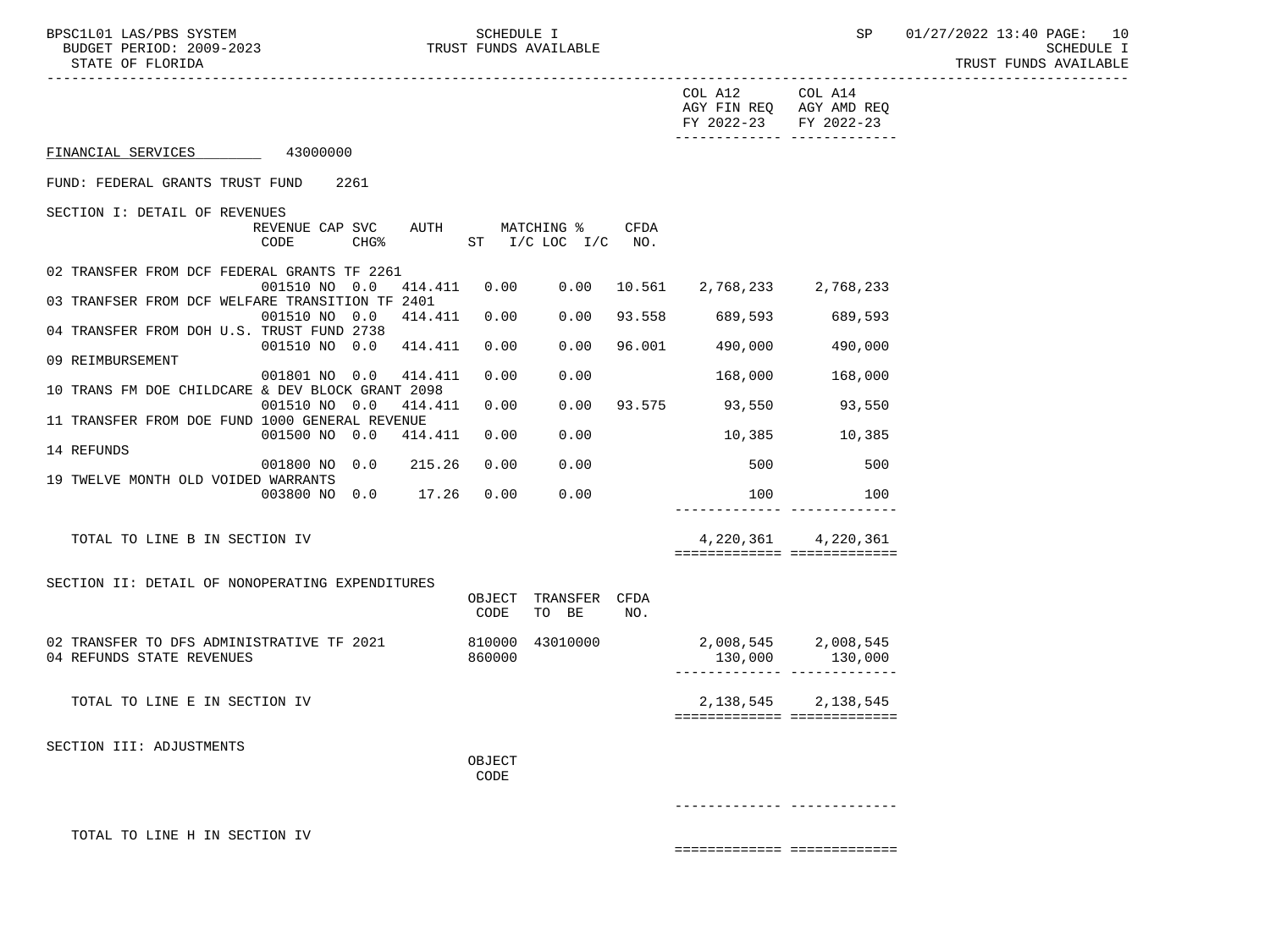|                                                  |                                         |      |         |                |                                         |      | COL A12<br>FY 2022-23 FY 2022-23                  | COL A14<br>AGY FIN REQ AGY AMD REQ<br>_______________________________ |
|--------------------------------------------------|-----------------------------------------|------|---------|----------------|-----------------------------------------|------|---------------------------------------------------|-----------------------------------------------------------------------|
| FINANCIAL SERVICES                               | 43000000                                |      |         |                |                                         |      |                                                   |                                                                       |
| FUND: FEDERAL GRANTS TRUST FUND                  |                                         | 2261 |         |                |                                         |      |                                                   |                                                                       |
| SECTION I: DETAIL OF REVENUES                    | REVENUE CAP SVC AUTH MATCHING %<br>CODE |      |         |                | CHG <sup>&amp;</sup> ST I/C LOC I/C NO. | CFDA |                                                   |                                                                       |
| 02 TRANSFER FROM DCF FEDERAL GRANTS TF 2261      |                                         |      |         |                |                                         |      |                                                   |                                                                       |
| 03 TRANFSER FROM DCF WELFARE TRANSITION TF 2401  | 001510 NO 0.0                           |      |         |                |                                         |      | 414.411  0.00  0.00  10.561  2,768,233  2,768,233 |                                                                       |
|                                                  | 001510 NO 0.0 414.411 0.00              |      |         |                | 0.00                                    |      | 93.558 689,593                                    | 689,593                                                               |
| 04 TRANSFER FROM DOH U.S. TRUST FUND 2738        | 001510 NO 0.0 414.411 0.00              |      |         |                | 0.00                                    |      | 96.001 490,000                                    | 490,000                                                               |
| 09 REIMBURSEMENT                                 | 001801 NO 0.0 414.411                   |      |         | 0.00           | 0.00                                    |      | 168,000                                           | 168,000                                                               |
| 10 TRANS FM DOE CHILDCARE & DEV BLOCK GRANT 2098 |                                         |      |         |                |                                         |      |                                                   |                                                                       |
| 11 TRANSFER FROM DOE FUND 1000 GENERAL REVENUE   | 001510 NO 0.0                           |      | 414.411 | 0.00           | 0.00                                    |      | 93.575 93,550 93,550                              |                                                                       |
|                                                  | 001500 NO 0.0                           |      | 414.411 | 0.00           | 0.00                                    |      | 10,385                                            | 10,385                                                                |
| 14 REFUNDS                                       | 001800 NO 0.0 215.26                    |      |         | 0.00           | 0.00                                    |      | 500                                               | 500                                                                   |
| 19 TWELVE MONTH OLD VOIDED WARRANTS              |                                         |      |         |                |                                         |      |                                                   |                                                                       |
|                                                  | 003800 NO 0.0 17.26                     |      |         | 0.00           | 0.00                                    |      | 100                                               | 100                                                                   |
| TOTAL TO LINE B IN SECTION IV                    |                                         |      |         |                |                                         |      |                                                   | 4, 220, 361 4, 220, 361<br>============================               |
| SECTION II: DETAIL OF NONOPERATING EXPENDITURES  |                                         |      |         |                |                                         |      |                                                   |                                                                       |
|                                                  |                                         |      |         | CODE           | OBJECT TRANSFER CFDA<br>TO BE           | NO.  |                                                   |                                                                       |
| 02 TRANSFER TO DFS ADMINISTRATIVE TF 2021        |                                         |      |         |                | 810000 43010000                         |      | 2,008,545 2,008,545                               |                                                                       |
| 04 REFUNDS STATE REVENUES                        |                                         |      |         | 860000         |                                         |      |                                                   | 130,000 130,000                                                       |
| TOTAL TO LINE E IN SECTION IV                    |                                         |      |         |                |                                         |      | 2,138,545                                         | 2,138,545<br>============================                             |
| SECTION III: ADJUSTMENTS                         |                                         |      |         |                |                                         |      |                                                   |                                                                       |
|                                                  |                                         |      |         | OBJECT<br>CODE |                                         |      |                                                   |                                                                       |
|                                                  |                                         |      |         |                |                                         |      |                                                   |                                                                       |
| TOTAL TO LINE H IN SECTION IV                    |                                         |      |         |                |                                         |      |                                                   |                                                                       |

============= =============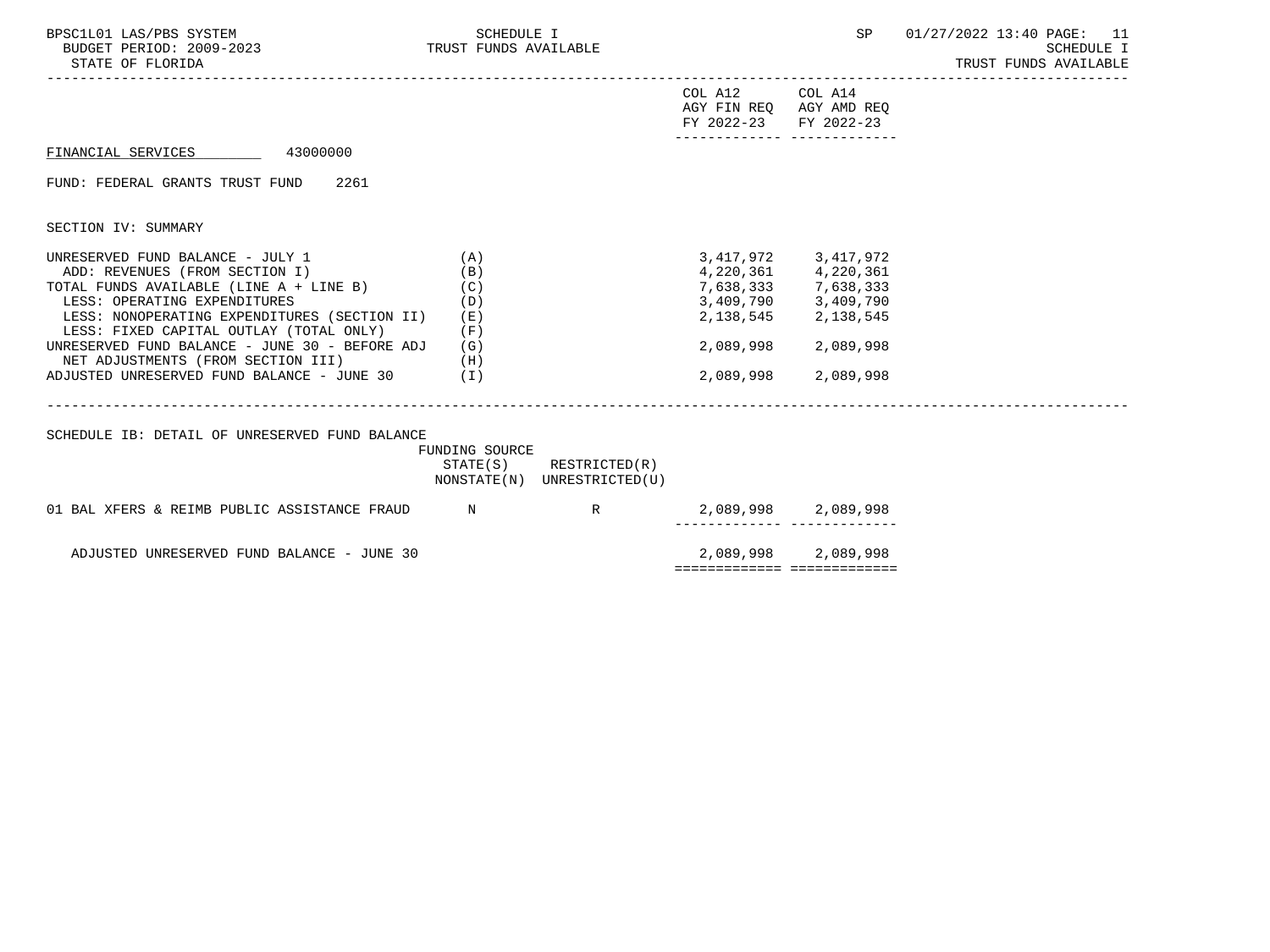| BPSC1L01 LAS/PBS SYSTEM<br>BUDGET PERIOD: 2009-2023<br>TRUST FUNDS AVAILABLE<br>STATE OF FLORIDA                                                                                                     | SCHEDULE I                 |                                                            |                                                  | SP                                                                                                                      | 01/27/2022 13:40 PAGE: 11<br><b>SCHEDULE I</b><br>TRUST FUNDS AVAILABLE |
|------------------------------------------------------------------------------------------------------------------------------------------------------------------------------------------------------|----------------------------|------------------------------------------------------------|--------------------------------------------------|-------------------------------------------------------------------------------------------------------------------------|-------------------------------------------------------------------------|
|                                                                                                                                                                                                      |                            |                                                            | COL A12<br>AGY FIN REQ AGY AMD REQ<br>FY 2022-23 | COL A14<br>FY 2022-23<br>-------------- --------------                                                                  |                                                                         |
| FINANCIAL SERVICES 43000000                                                                                                                                                                          |                            |                                                            |                                                  |                                                                                                                         |                                                                         |
| FUND: FEDERAL GRANTS TRUST FUND 2261                                                                                                                                                                 |                            |                                                            |                                                  |                                                                                                                         |                                                                         |
| SECTION IV: SUMMARY                                                                                                                                                                                  |                            |                                                            |                                                  |                                                                                                                         |                                                                         |
| UNRESERVED FUND BALANCE - JULY 1<br>ADD: REVENUES (FROM SECTION I)<br>TOTAL FUNDS AVAILABLE (LINE $A + LINE B$ ) (C)<br>LESS: OPERATING EXPENDITURES<br>LESS: NONOPERATING EXPENDITURES (SECTION II) | (A)<br>(B)<br>(D)<br>( E ) |                                                            |                                                  | 3, 417, 972 3, 417, 972<br>4,220,361 4,220,361<br>7,638,333 7,638,333<br>3,409,790 3,409,790<br>2, 138, 545 2, 138, 545 |                                                                         |
| LESS: FIXED CAPITAL OUTLAY (TOTAL ONLY)<br>UNRESERVED FUND BALANCE - JUNE 30 - BEFORE ADJ<br>NET ADJUSTMENTS (FROM SECTION III)<br>(H)<br>ADJUSTED UNRESERVED FUND BALANCE - JUNE 30 $(1)$           | (F)<br>(G)                 |                                                            | 2,089,998<br>2,089,998                           | 2,089,998<br>2,089,998                                                                                                  |                                                                         |
| SCHEDULE IB: DETAIL OF UNRESERVED FUND BALANCE                                                                                                                                                       | FUNDING SOURCE             | $STATE(S)$ RESTRICTED $(R)$<br>NONSTATE(N) UNRESTRICTED(U) |                                                  |                                                                                                                         |                                                                         |
| 01 BAL XFERS & REIMB PUBLIC ASSISTANCE FRAUD                                                                                                                                                         | N                          | $\mathbb R$                                                |                                                  | 2,089,998 2,089,998<br>--------- -------------                                                                          |                                                                         |
| ADJUSTED UNRESERVED FUND BALANCE - JUNE 30                                                                                                                                                           |                            |                                                            |                                                  | 2,089,998 2,089,998                                                                                                     |                                                                         |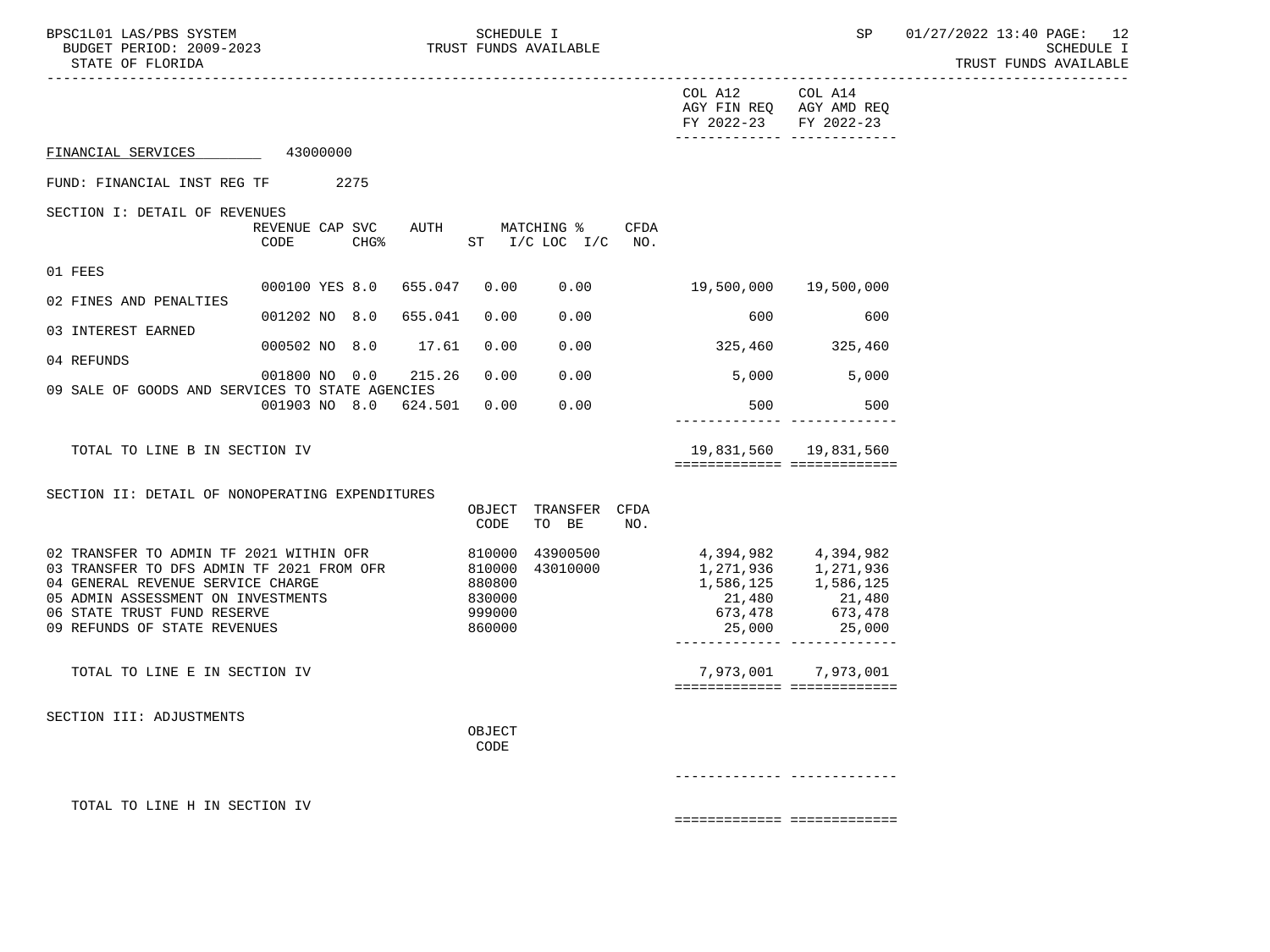| BPSC1L01 LAS/PBS SYSTEM<br>BUDGET PERIOD: 2009-2023<br>STATE OF FLORIDA                                                                                                                                                        |                                             | SCHEDULE I<br>TRUST FUNDS AVAILABLE                      |                                   |             |                                                                                                                          | SP                                                         | 01/27/2022 13:40 PAGE: 12<br><b>SCHEDULE I</b><br>TRUST FUNDS AVAILABLE |
|--------------------------------------------------------------------------------------------------------------------------------------------------------------------------------------------------------------------------------|---------------------------------------------|----------------------------------------------------------|-----------------------------------|-------------|--------------------------------------------------------------------------------------------------------------------------|------------------------------------------------------------|-------------------------------------------------------------------------|
|                                                                                                                                                                                                                                |                                             |                                                          |                                   |             | COL A12 COL A14<br>AGY FIN REQ AGY AMD REQ<br>FY 2022-23 FY 2022-23<br>------------- -------------                       |                                                            |                                                                         |
| FINANCIAL SERVICES 43000000                                                                                                                                                                                                    |                                             |                                                          |                                   |             |                                                                                                                          |                                                            |                                                                         |
| FUND: FINANCIAL INST REG TF 2275                                                                                                                                                                                               |                                             |                                                          |                                   |             |                                                                                                                          |                                                            |                                                                         |
| SECTION I: DETAIL OF REVENUES                                                                                                                                                                                                  | REVENUE CAP SVC<br>CODE<br>CHG <sup>8</sup> |                                                          | AUTH MATCHING %<br>ST I/C LOC I/C | CFDA<br>NO. |                                                                                                                          |                                                            |                                                                         |
| 01 FEES                                                                                                                                                                                                                        | 000100 YES 8.0<br>655.047                   | 0.00                                                     | 0.00                              |             | 19,500,000                                                                                                               | 19,500,000                                                 |                                                                         |
| 02 FINES AND PENALTIES                                                                                                                                                                                                         |                                             | 0.00                                                     | 0.00                              |             | 600                                                                                                                      | 600                                                        |                                                                         |
| 03 INTEREST EARNED                                                                                                                                                                                                             | 001202 NO 8.0 655.041                       |                                                          |                                   |             |                                                                                                                          |                                                            |                                                                         |
| 04 REFUNDS                                                                                                                                                                                                                     | 000502 NO 8.0                               | 17.61<br>0.00                                            | 0.00                              |             | 325,460                                                                                                                  | 325,460                                                    |                                                                         |
| 09 SALE OF GOODS AND SERVICES TO STATE AGENCIES                                                                                                                                                                                | 001800 NO 0.0                               | 0.00<br>215.26                                           | 0.00                              |             | 5,000 5,000                                                                                                              |                                                            |                                                                         |
|                                                                                                                                                                                                                                | 001903 NO 8.0 624.501                       | 0.00                                                     | 0.00                              |             | 500                                                                                                                      | 500<br>______________ ___________                          |                                                                         |
| TOTAL TO LINE B IN SECTION IV                                                                                                                                                                                                  |                                             |                                                          |                                   |             | ============================                                                                                             | 19,831,560   19,831,560                                    |                                                                         |
| SECTION II: DETAIL OF NONOPERATING EXPENDITURES                                                                                                                                                                                |                                             | OBJECT<br>CODE                                           | TRANSFER CFDA<br>TO BE            | NO.         |                                                                                                                          |                                                            |                                                                         |
| 02 TRANSFER TO ADMIN TF 2021 WITHIN OFR<br>03 TRANSFER TO DFS ADMIN TF 2021 FROM OFR<br>04 GENERAL REVENUE SERVICE CHARGE<br>05 ADMIN ASSESSMENT ON INVESTMENTS<br>06 STATE TRUST FUND RESERVE<br>09 REFUNDS OF STATE REVENUES |                                             | 810000<br>810000<br>880800<br>830000<br>999000<br>860000 | 43900500<br>43010000              |             | 4, 394, 982<br>1, 271, 936<br>1, 271, 936<br>1, 586, 125<br>21, 480<br>21, 480<br>21, 480<br>21,480<br>673,478<br>25,000 | 21,480<br>673,478<br>25,000<br>------------- ------------- |                                                                         |
| TOTAL TO LINE E IN SECTION IV                                                                                                                                                                                                  |                                             |                                                          |                                   |             | ===========================                                                                                              | 7,973,001 7,973,001                                        |                                                                         |
| SECTION III: ADJUSTMENTS                                                                                                                                                                                                       |                                             | OBJECT<br>CODE                                           |                                   |             |                                                                                                                          |                                                            |                                                                         |
|                                                                                                                                                                                                                                |                                             |                                                          |                                   |             | ------------- ------------                                                                                               |                                                            |                                                                         |
| TOTAL TO LINE H IN SECTION IV                                                                                                                                                                                                  |                                             |                                                          |                                   |             | ============================                                                                                             |                                                            |                                                                         |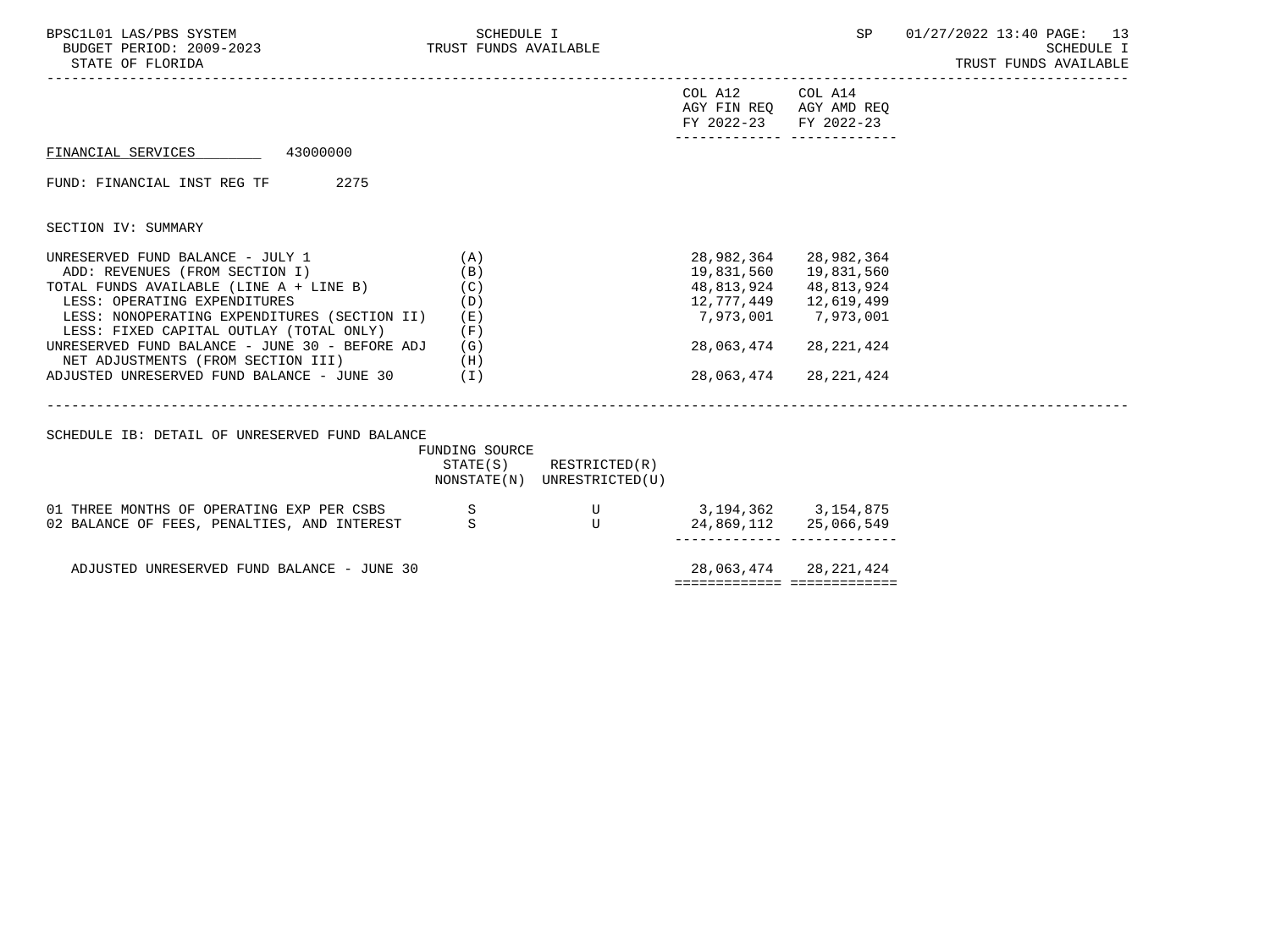| BPSC1L01 LAS/PBS SYSTEM<br>BUDGET PERIOD: 2009-2023<br>STATE OF FLORIDA                     | SCHEDULE I<br>TRUST FUNDS AVAILABLE |                                                            |                           | SP                                                 | 01/27/2022 13:40 PAGE: 13<br>SCHEDULE I<br>TRUST FUNDS AVAILABLE |
|---------------------------------------------------------------------------------------------|-------------------------------------|------------------------------------------------------------|---------------------------|----------------------------------------------------|------------------------------------------------------------------|
|                                                                                             |                                     |                                                            | COL A12<br>FY 2022-23     | COL A14<br>AGY FIN REO AGY AMD REO<br>FY 2022-23   |                                                                  |
| FINANCIAL SERVICES 43000000                                                                 |                                     |                                                            |                           |                                                    |                                                                  |
| FUND: FINANCIAL INST REG TF 2275                                                            |                                     |                                                            |                           |                                                    |                                                                  |
| SECTION IV: SUMMARY                                                                         |                                     |                                                            |                           |                                                    |                                                                  |
| UNRESERVED FUND BALANCE - JULY 1<br>ADD: REVENUES (FROM SECTION I)                          | (A)<br>(B)                          |                                                            |                           | 28,982,364 28,982,364<br>19,831,560 19,831,560     |                                                                  |
| TOTAL FUNDS AVAILABLE (LINE $A + LINE B$ ) (C)<br>(D)<br>LESS: OPERATING EXPENDITURES       |                                     |                                                            | 48,813,924<br>12,777,449  | 48,813,924<br>12,619,499                           |                                                                  |
| LESS: NONOPERATING EXPENDITURES (SECTION II)<br>LESS: FIXED CAPITAL OUTLAY (TOTAL ONLY)     | (E)<br>(F)                          |                                                            |                           | 7,973,001 7,973,001                                |                                                                  |
| UNRESERVED FUND BALANCE - JUNE 30 - BEFORE ADJ<br>NET ADJUSTMENTS (FROM SECTION III)<br>(H) | (G)                                 |                                                            | 28,063,474                | 28,221,424                                         |                                                                  |
| ADJUSTED UNRESERVED FUND BALANCE - JUNE 30 (I)                                              |                                     |                                                            | 28,063,474                | 28,221,424                                         |                                                                  |
| SCHEDULE IB: DETAIL OF UNRESERVED FUND BALANCE                                              |                                     |                                                            |                           |                                                    |                                                                  |
|                                                                                             | FUNDING SOURCE                      | $STATE(S)$ RESTRICTED $(R)$<br>NONSTATE(N) UNRESTRICTED(U) |                           |                                                    |                                                                  |
| 01 THREE MONTHS OF OPERATING EXP PER CSBS S                                                 |                                     | $\mathbf U$                                                | 3, 194, 362 3, 154, 875   |                                                    |                                                                  |
| 02 BALANCE OF FEES, PENALTIES, AND INTEREST                                                 | S.                                  | U                                                          |                           | 24,869,112 25,066,549<br>_________ _______________ |                                                                  |
| ADJUSTED UNRESERVED FUND BALANCE - JUNE 30                                                  |                                     |                                                            |                           | 28,063,474 28,221,424                              |                                                                  |
|                                                                                             |                                     |                                                            | seconomentes enconomentes |                                                    |                                                                  |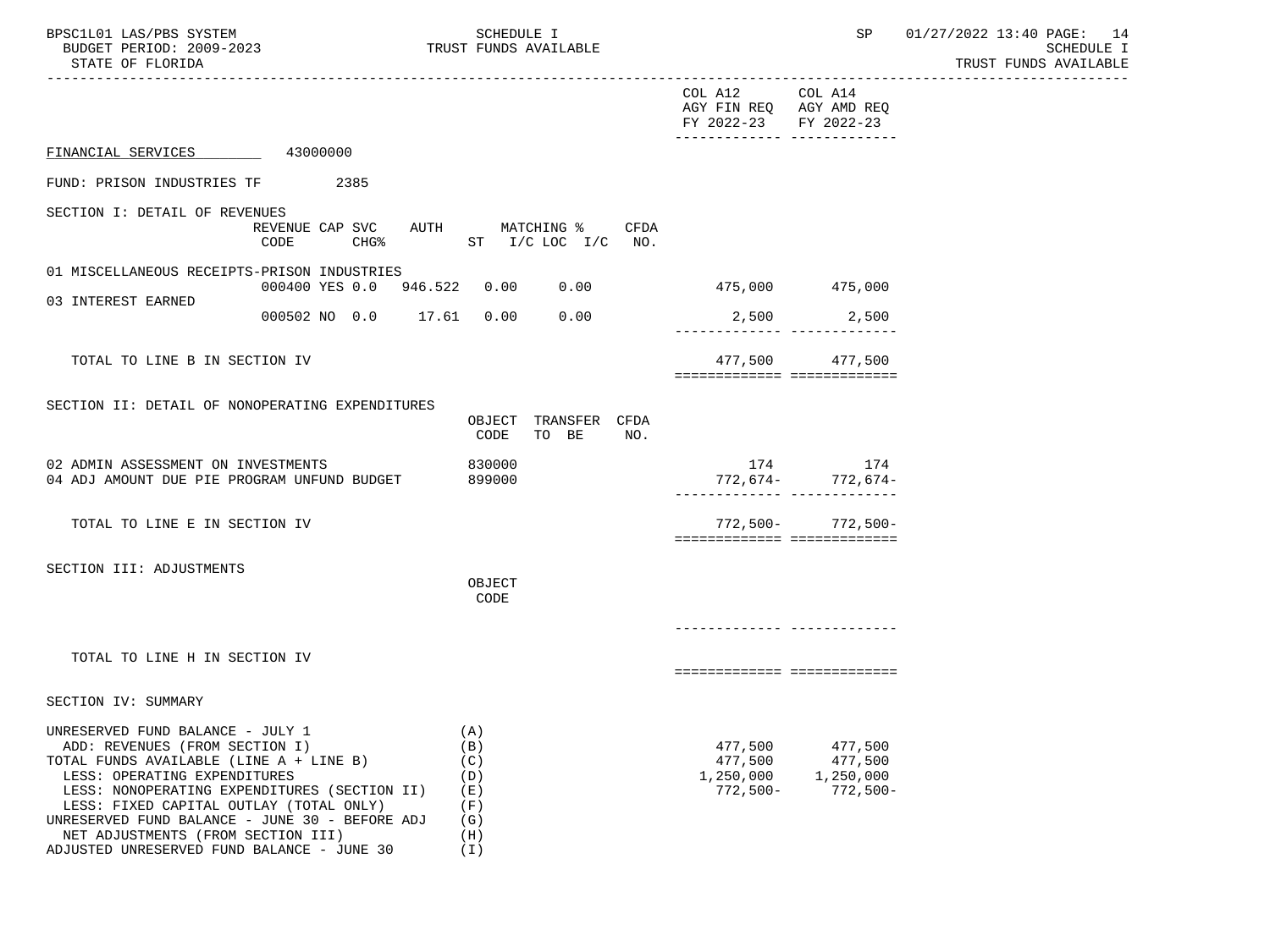| BPSC1L01 LAS/PBS SYSTEM<br>BUDGET PERIOD: 2009-2023<br>STATE OF FLORIDA                                                                                                                                                                                                                                                                                                        | SCHEDULE I<br>TRUST FUNDS AVAILABLE                                   |                                                                                              | SP                                            | 01/27/2022 13:40 PAGE: 14<br>SCHEDULE I<br>TRUST FUNDS AVAILABLE |
|--------------------------------------------------------------------------------------------------------------------------------------------------------------------------------------------------------------------------------------------------------------------------------------------------------------------------------------------------------------------------------|-----------------------------------------------------------------------|----------------------------------------------------------------------------------------------|-----------------------------------------------|------------------------------------------------------------------|
|                                                                                                                                                                                                                                                                                                                                                                                |                                                                       | COL A12<br>AGY FIN REQ AGY AMD REQ<br>FY 2022-23 FY 2022-23<br>-------------- -------------- | COL A14                                       |                                                                  |
| FINANCIAL SERVICES 43000000                                                                                                                                                                                                                                                                                                                                                    |                                                                       |                                                                                              |                                               |                                                                  |
| FUND: PRISON INDUSTRIES TF 2385                                                                                                                                                                                                                                                                                                                                                |                                                                       |                                                                                              |                                               |                                                                  |
| SECTION I: DETAIL OF REVENUES<br>CODE                                                                                                                                                                                                                                                                                                                                          | REVENUE CAP SVC AUTH MATCHING %<br>CFDA<br>CHG $%$ ST I/C LOC I/C NO. |                                                                                              |                                               |                                                                  |
| 01 MISCELLANEOUS RECEIPTS-PRISON INDUSTRIES                                                                                                                                                                                                                                                                                                                                    | 000400 YES 0.0 946.522 0.00 0.00                                      |                                                                                              | 475,000 475,000                               |                                                                  |
| 03 INTEREST EARNED<br>000502 NO 0.0 17.61 0.00                                                                                                                                                                                                                                                                                                                                 | 0.00                                                                  |                                                                                              | 2,500 2,500<br>-------------- --------------  |                                                                  |
| TOTAL TO LINE B IN SECTION IV                                                                                                                                                                                                                                                                                                                                                  |                                                                       | ============================                                                                 | 477,500 477,500                               |                                                                  |
| SECTION II: DETAIL OF NONOPERATING EXPENDITURES                                                                                                                                                                                                                                                                                                                                | OBJECT TRANSFER CFDA<br>CODE<br>TO BE<br>NO.                          |                                                                                              |                                               |                                                                  |
| 02 ADMIN ASSESSMENT ON INVESTMENTS<br>04 ADJ AMOUNT DUE PIE PROGRAM UNFUND BUDGET                                                                                                                                                                                                                                                                                              | 830000<br>899000                                                      | -772,674 - -772,674<br>----------- ----------------------                                    | 174 174                                       |                                                                  |
| TOTAL TO LINE E IN SECTION IV                                                                                                                                                                                                                                                                                                                                                  |                                                                       | ===========================                                                                  | $772,500 - 772,500 -$                         |                                                                  |
| SECTION III: ADJUSTMENTS                                                                                                                                                                                                                                                                                                                                                       | OBJECT<br>CODE                                                        |                                                                                              |                                               |                                                                  |
| TOTAL TO LINE H IN SECTION IV                                                                                                                                                                                                                                                                                                                                                  |                                                                       |                                                                                              |                                               |                                                                  |
| SECTION IV: SUMMARY                                                                                                                                                                                                                                                                                                                                                            |                                                                       |                                                                                              |                                               |                                                                  |
| UNRESERVED FUND BALANCE - JULY 1<br>ADD: REVENUES (FROM SECTION I)<br>TOTAL FUNDS AVAILABLE (LINE A + LINE B)<br>LESS: OPERATING EXPENDITURES<br>LESS: NONOPERATING EXPENDITURES (SECTION II)<br>LESS: FIXED CAPITAL OUTLAY (TOTAL ONLY)<br>UNRESERVED FUND BALANCE - JUNE 30 - BEFORE ADJ<br>NET ADJUSTMENTS (FROM SECTION III)<br>ADJUSTED UNRESERVED FUND BALANCE - JUNE 30 | (A)<br>(B)<br>(C)<br>(D)<br>(E)<br>(F)<br>(G)<br>(H)<br>(I)           | 477,500<br>477,500<br>1,250,000<br>$772,500-$                                                | 477,500<br>477,500<br>1,250,000<br>$772,500-$ |                                                                  |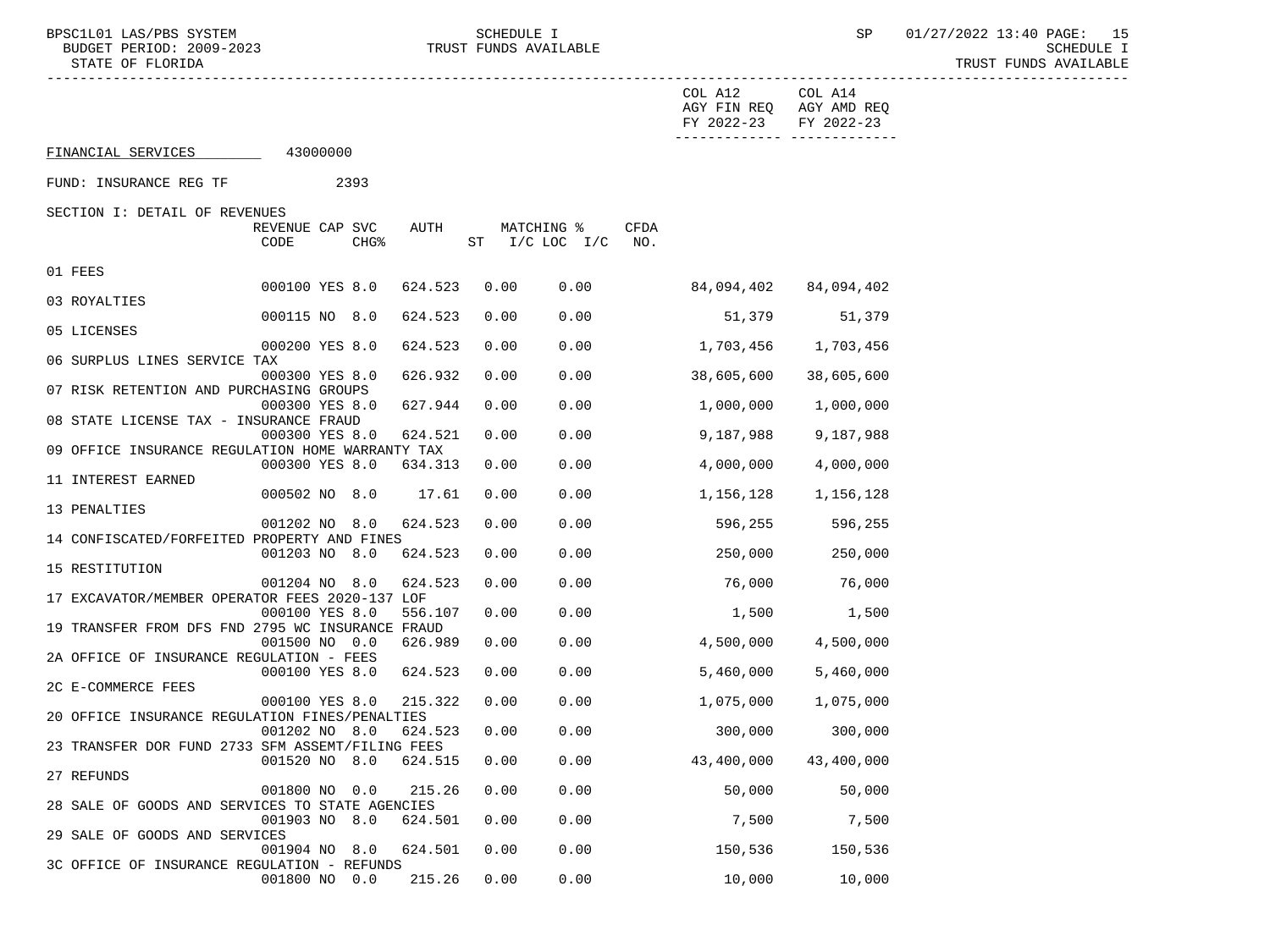-----------------------------------------------------------------------------------------------------------------------------------

001800 NO 0.0 215.26 0.00 0.00 10,000 10,000

 COL A12 COL A14 AGY FIN REQ AGY AMD REQ FY 2022-23 FY 2022-23 ------------- ------------- FINANCIAL SERVICES 43000000 FUND: INSURANCE REG TF 2393 SECTION I: DETAIL OF REVENUES REVENUE CAP SVC AUTH MATCHING % CFDA CODE CHG<sup>§</sup> ST I/C LOC I/C NO. 01 FEES 000100 YES 8.0 624.523 0.00 0.00 84,094,402 84,094,402 03 ROYALTIES 000115 NO 8.0 624.523 0.00 0.00 51,379 51,379 05 LICENSES 000200 YES 8.0 624.523 0.00 0.00 1,703,456 1,703,456 06 SURPLUS LINES SERVICE TAX 000300 YES 8.0 626.932 0.00 0.00 38,605,600 38,605,600 07 RISK RETENTION AND PURCHASING GROUPS 000300 YES 8.0 627.944 0.00 0.00 1,000,000 1,000,000 08 STATE LICENSE TAX - INSURANCE FRAUD 000300 YES 8.0 624.521 0.00 0.00 9,187,988 9,187,988 09 OFFICE INSURANCE REGULATION HOME WARRANTY TAX 000300 YES 8.0 634.313 0.00 0.00 4,000,000 4,000,000 11 INTEREST EARNED 000502 NO 8.0 17.61 0.00 0.00 1,156,128 1,156,128 13 PENALTIES 001202 NO 8.0 624.523 0.00 0.00 596,255 596,255 14 CONFISCATED/FORFEITED PROPERTY AND FINES 001203 NO 8.0 624.523 0.00 0.00 250,000 250,000 15 RESTITUTION 001204 NO 8.0 624.523 0.00 0.00 76,000 76,000 17 EXCAVATOR/MEMBER OPERATOR FEES 2020-137 LOF 000100 YES 8.0 556.107 0.00 0.00 1.500 1.500 1.500 19 TRANSFER FROM DFS FND 2795 WC INSURANCE FRAUD 001500 NO 0.0 626.989 0.00 0.00 4,500,000 4,500,000 2A OFFICE OF INSURANCE REGULATION - FEES 000100 YES 8.0 624.523 0.00 0.00 5,460,000 5,460,000 2C E-COMMERCE FEES 000100 YES 8.0 215.322 0.00 0.00 1,075,000 1,075,000 20 OFFICE INSURANCE REGULATION FINES/PENALTIES 001202 NO 8.0 624.523 0.00 0.00 300,000 300,000 23 TRANSFER DOR FUND 2733 SFM ASSEMT/FILING FEES 001520 NO 8.0 624.515 0.00 0.00 43,400,000 43,400,000 27 REFUNDS 001800 NO 0.0 215.26 0.00 0.00 50,000 50,000 28 SALE OF GOODS AND SERVICES TO STATE AGENCIES 001903 NO 8.0 624.501 0.00 0.00 7,500 7,500 29 SALE OF GOODS AND SERVICES 001904 NO 8.0 624.501 0.00 0.00 150,536 150,536 3C OFFICE OF INSURANCE REGULATION - REFUNDS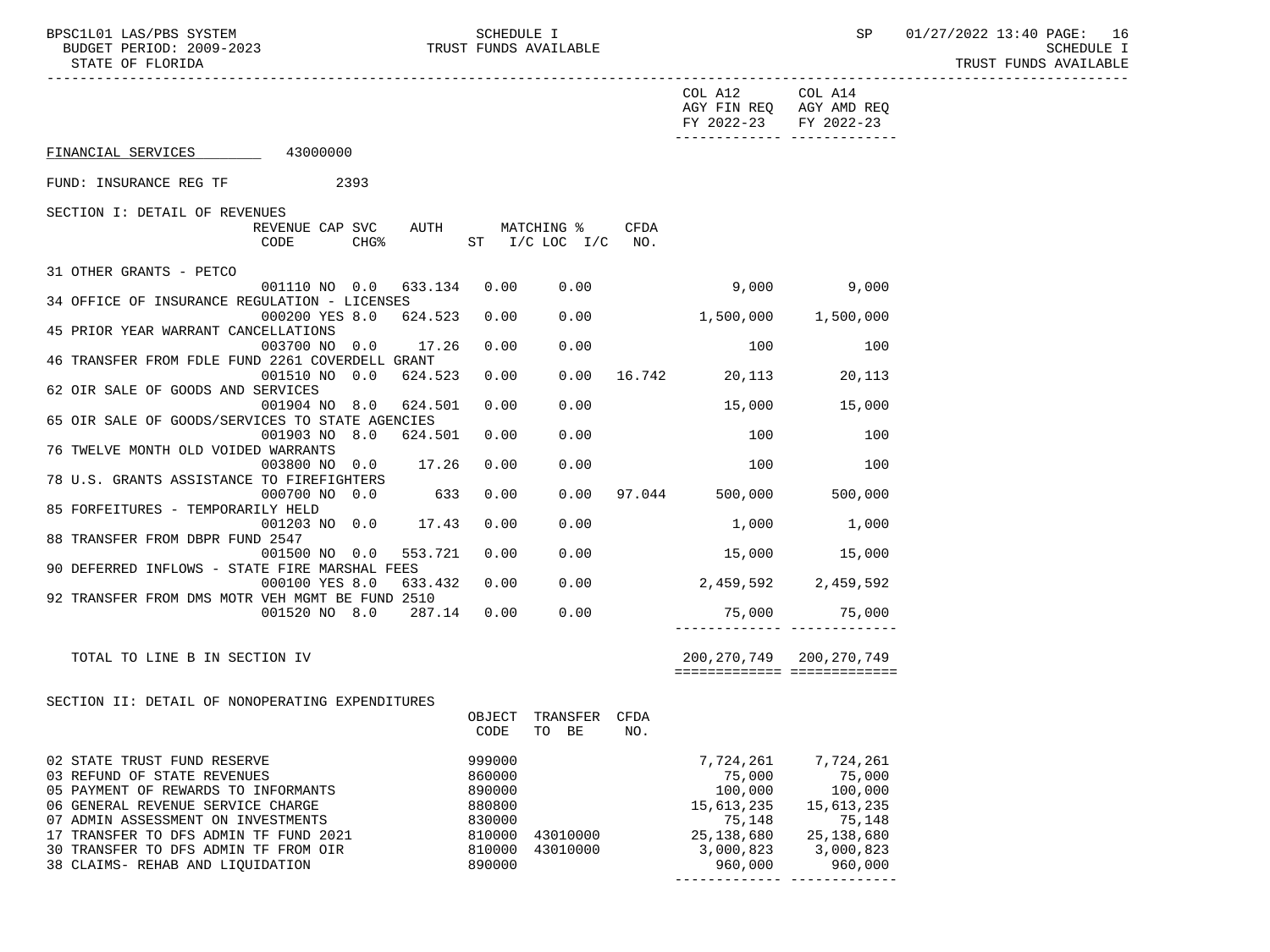BUDGET PERIOD: 2009-2023 TRUST FUNDS AVAILABLE STATE OF FLORIDA

BPSC1L01 LAS/PBS SYSTEM SCHEDULE I SCHEDULE I SP 01/27/2022 13:40 PAGE: 16<br>BUDGET PERIOD: 2009-2023 TRUST FUNDS AVAILABLE TRUST FUNDS AVAILABLE

|                                                                               |                                |         |         |        |                                            |             | COL A12 COL A14<br>FY 2022-23 FY 2022-23 | AGY FIN REQ AGY AMD REQ<br>-------------- ------------- |  |
|-------------------------------------------------------------------------------|--------------------------------|---------|---------|--------|--------------------------------------------|-------------|------------------------------------------|---------------------------------------------------------|--|
| FINANCIAL SERVICES 43000000                                                   |                                |         |         |        |                                            |             |                                          |                                                         |  |
| FUND: INSURANCE REG TF                                                        | 2393                           |         |         |        |                                            |             |                                          |                                                         |  |
| SECTION I: DETAIL OF REVENUES                                                 |                                |         |         |        |                                            |             |                                          |                                                         |  |
|                                                                               | REVENUE CAP SVC AUTH<br>CODE   | $CHG$ % |         |        | MATCHING %<br>ST $I/C$ LOC $I/C$ NO.       | <b>CFDA</b> |                                          |                                                         |  |
| 31 OTHER GRANTS - PETCO                                                       |                                |         |         |        |                                            |             |                                          |                                                         |  |
| 34 OFFICE OF INSURANCE REGULATION - LICENSES                                  | 001110 NO 0.0 633.134          |         |         | 0.00   | 0.00                                       |             |                                          | 9,000<br>9,000                                          |  |
| 45 PRIOR YEAR WARRANT CANCELLATIONS                                           | 000200 YES 8.0 624.523         |         |         | 0.00   | 0.00                                       |             | $1,500,000$ $1,500,000$                  |                                                         |  |
|                                                                               | 003700 NO 0.0                  |         | 17.26   | 0.00   | 0.00                                       |             | 100                                      | 100                                                     |  |
| 46 TRANSFER FROM FDLE FUND 2261 COVERDELL GRANT                               | 001510 NO 0.0                  |         | 624.523 | 0.00   | 0.00                                       |             | 16.742 20,113 20,113                     |                                                         |  |
| 62 OIR SALE OF GOODS AND SERVICES                                             |                                |         |         |        |                                            |             |                                          |                                                         |  |
|                                                                               | 001904 NO 8.0                  |         | 624.501 | 0.00   | 0.00                                       |             | 15,000                                   | 15,000                                                  |  |
| 65 OIR SALE OF GOODS/SERVICES TO STATE AGENCIES                               |                                |         |         |        |                                            |             |                                          |                                                         |  |
| 76 TWELVE MONTH OLD VOIDED WARRANTS                                           | 001903 NO 8.0 624.501          |         |         | 0.00   | 0.00                                       |             | 100                                      | 100                                                     |  |
|                                                                               | 003800 NO 0.0 17.26            |         |         | 0.00   | 0.00                                       |             | 100                                      | 100                                                     |  |
| 78 U.S. GRANTS ASSISTANCE TO FIREFIGHTERS                                     |                                |         |         |        |                                            |             |                                          |                                                         |  |
|                                                                               | 000700 NO 0.0                  |         | 633     | 0.00   |                                            |             | $0.00$ 97.044 500,000 500,000            |                                                         |  |
| 85 FORFEITURES - TEMPORARILY HELD                                             |                                |         |         |        |                                            |             |                                          |                                                         |  |
| 88 TRANSFER FROM DBPR FUND 2547                                               | 001203 NO 0.0                  |         | 17.43   | 0.00   | 0.00                                       |             | 1,000                                    | 1,000                                                   |  |
|                                                                               | 001500 NO 0.0                  |         | 553.721 | 0.00   | 0.00                                       |             | $15,000$ $15,000$                        |                                                         |  |
| 90 DEFERRED INFLOWS - STATE FIRE MARSHAL FEES                                 |                                |         |         |        |                                            |             |                                          |                                                         |  |
|                                                                               | 000100 YES 8.0                 |         | 633.432 | 0.00   |                                            |             | $0.00$ 2,459,592 2,459,592               |                                                         |  |
| 92 TRANSFER FROM DMS MOTR VEH MGMT BE FUND 2510                               |                                |         |         |        |                                            |             |                                          |                                                         |  |
|                                                                               | 001520 NO 8.0 287.14 0.00 0.00 |         |         |        |                                            |             |                                          | 75,000 75,000<br><u> 2222222222222   222222222222</u>   |  |
| TOTAL TO LINE B IN SECTION IV                                                 |                                |         |         |        |                                            |             | 200,270,749 200,270,749                  | ============================                            |  |
|                                                                               |                                |         |         |        |                                            |             |                                          |                                                         |  |
| SECTION II: DETAIL OF NONOPERATING EXPENDITURES                               |                                |         |         | OBJECT | TRANSFER CFDA                              |             |                                          |                                                         |  |
|                                                                               |                                |         |         | CODE   | TO BE                                      | NO.         |                                          |                                                         |  |
| 02 STATE TRUST FUND RESERVE                                                   |                                |         |         | 999000 |                                            |             |                                          | 7,724,261 7,724,261                                     |  |
| 03 REFUND OF STATE REVENUES                                                   |                                |         |         | 860000 |                                            |             | 75,000<br>100,000                        | 75,000<br>100,000                                       |  |
| 05 PAYMENT OF REWARDS TO INFORMANTS                                           |                                |         |         |        |                                            |             |                                          |                                                         |  |
| 06 GENERAL REVENUE SERVICE CHARGE                                             |                                |         |         |        | $890000\n880800\n830000\n810000\n43010000$ |             | 15,613,235                               | 15,613,235                                              |  |
| 07 ADMIN ASSESSMENT ON INVESTMENTS                                            |                                |         |         |        |                                            |             | 75,148<br>25,138,680                     | 75,148                                                  |  |
| 17 TRANSFER TO DFS ADMIN TF FUND 2021<br>30 TRANSFER TO DFS ADMIN TF FROM OIR |                                |         |         |        | 810000 43010000                            |             | 3,000,823                                | 25, 138, 680<br>3,000,823                               |  |
| 38 CLAIMS- REHAB AND LIQUIDATION                                              |                                |         |         | 890000 |                                            |             | 960,000                                  | 960,000                                                 |  |

------------- -------------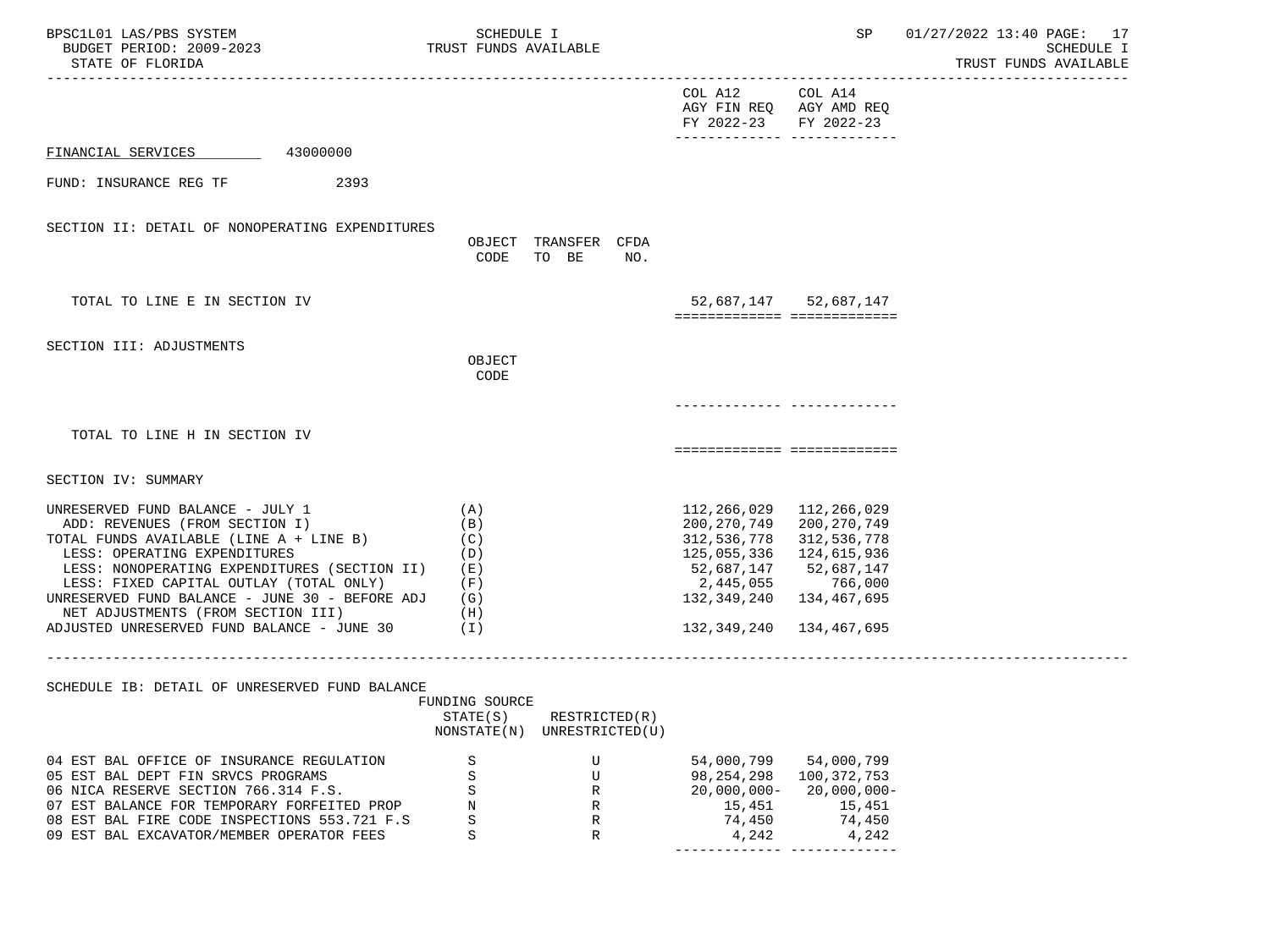| BPSC1L01 LAS/PBS SYSTEM<br>BUDGET PERIOD: 2009-2023<br>STATE OF FLORIDA                                                                                                                                                                                                                                                                                                        | SCHEDULE I<br>TRUST FUNDS AVAILABLE                                        |                                                                                                                                                          | SP                                                                                              | 01/27/2022 13:40 PAGE: 17<br><b>SCHEDULE I</b><br>TRUST FUNDS AVAILABLE |
|--------------------------------------------------------------------------------------------------------------------------------------------------------------------------------------------------------------------------------------------------------------------------------------------------------------------------------------------------------------------------------|----------------------------------------------------------------------------|----------------------------------------------------------------------------------------------------------------------------------------------------------|-------------------------------------------------------------------------------------------------|-------------------------------------------------------------------------|
|                                                                                                                                                                                                                                                                                                                                                                                |                                                                            | COL A12<br>AGY FIN REQ AGY AMD REQ<br>FY 2022-23<br>-------------- --------------                                                                        | COL A14<br>FY 2022-23                                                                           |                                                                         |
| 43000000<br>FINANCIAL SERVICES                                                                                                                                                                                                                                                                                                                                                 |                                                                            |                                                                                                                                                          |                                                                                                 |                                                                         |
| FUND: INSURANCE REG TF<br>2393                                                                                                                                                                                                                                                                                                                                                 |                                                                            |                                                                                                                                                          |                                                                                                 |                                                                         |
| SECTION II: DETAIL OF NONOPERATING EXPENDITURES                                                                                                                                                                                                                                                                                                                                | OBJECT TRANSFER CFDA<br>CODE<br>TO BE<br>NO.                               |                                                                                                                                                          |                                                                                                 |                                                                         |
| TOTAL TO LINE E IN SECTION IV                                                                                                                                                                                                                                                                                                                                                  |                                                                            | ===========================                                                                                                                              | 52,687,147 52,687,147                                                                           |                                                                         |
| SECTION III: ADJUSTMENTS                                                                                                                                                                                                                                                                                                                                                       | OBJECT<br>CODE                                                             |                                                                                                                                                          |                                                                                                 |                                                                         |
| TOTAL TO LINE H IN SECTION IV                                                                                                                                                                                                                                                                                                                                                  |                                                                            |                                                                                                                                                          |                                                                                                 |                                                                         |
| SECTION IV: SUMMARY                                                                                                                                                                                                                                                                                                                                                            |                                                                            |                                                                                                                                                          |                                                                                                 |                                                                         |
| UNRESERVED FUND BALANCE - JULY 1<br>ADD: REVENUES (FROM SECTION I)<br>TOTAL FUNDS AVAILABLE (LINE A + LINE B)<br>LESS: OPERATING EXPENDITURES<br>LESS: NONOPERATING EXPENDITURES (SECTION II)<br>LESS: FIXED CAPITAL OUTLAY (TOTAL ONLY)<br>UNRESERVED FUND BALANCE - JUNE 30 - BEFORE ADJ<br>NET ADJUSTMENTS (FROM SECTION III)<br>ADJUSTED UNRESERVED FUND BALANCE - JUNE 30 | (A)<br>(B)<br>(C)<br>(D)<br>(E)<br>(F)<br>(G)<br>(H)<br>$(\lrcorner)$      | 112, 266, 029 112, 266, 029<br>200,270,749<br>312,536,778<br>125,055,336 124,615,936<br>52,687,147 52,687,147<br>2,445,055<br>132,349,240<br>132,349,240 | 200, 270, 749<br>312,536,778<br>766,000<br>134,467,695<br>134,467,695                           |                                                                         |
| SCHEDULE IB: DETAIL OF UNRESERVED FUND BALANCE                                                                                                                                                                                                                                                                                                                                 |                                                                            |                                                                                                                                                          |                                                                                                 |                                                                         |
|                                                                                                                                                                                                                                                                                                                                                                                | FUNDING SOURCE<br>STATE(S)<br>RESTRICTED(R)<br>NONSTATE(N) UNRESTRICTED(U) |                                                                                                                                                          |                                                                                                 |                                                                         |
| 04 EST BAL OFFICE OF INSURANCE REGULATION<br>05 EST BAL DEPT FIN SRVCS PROGRAMS<br>06 NICA RESERVE SECTION 766.314 F.S.<br>07 EST BALANCE FOR TEMPORARY FORFEITED PROP<br>08 EST BAL FIRE CODE INSPECTIONS 553.721 F.S<br>09 EST BAL EXCAVATOR/MEMBER OPERATOR FEES                                                                                                            | S<br>U<br>$\rm S$<br>U<br>S<br>R<br>$\rm N$<br>R<br>$\rm S$<br>R<br>S<br>R | 54,000,799<br>98, 254, 298<br>$20,000,000 -$<br>15,451<br>74,450<br>4,242                                                                                | 54,000,799<br>100, 372, 753<br>20,000,000-<br>15,451<br>74,450<br>4,242<br>____  ______________ |                                                                         |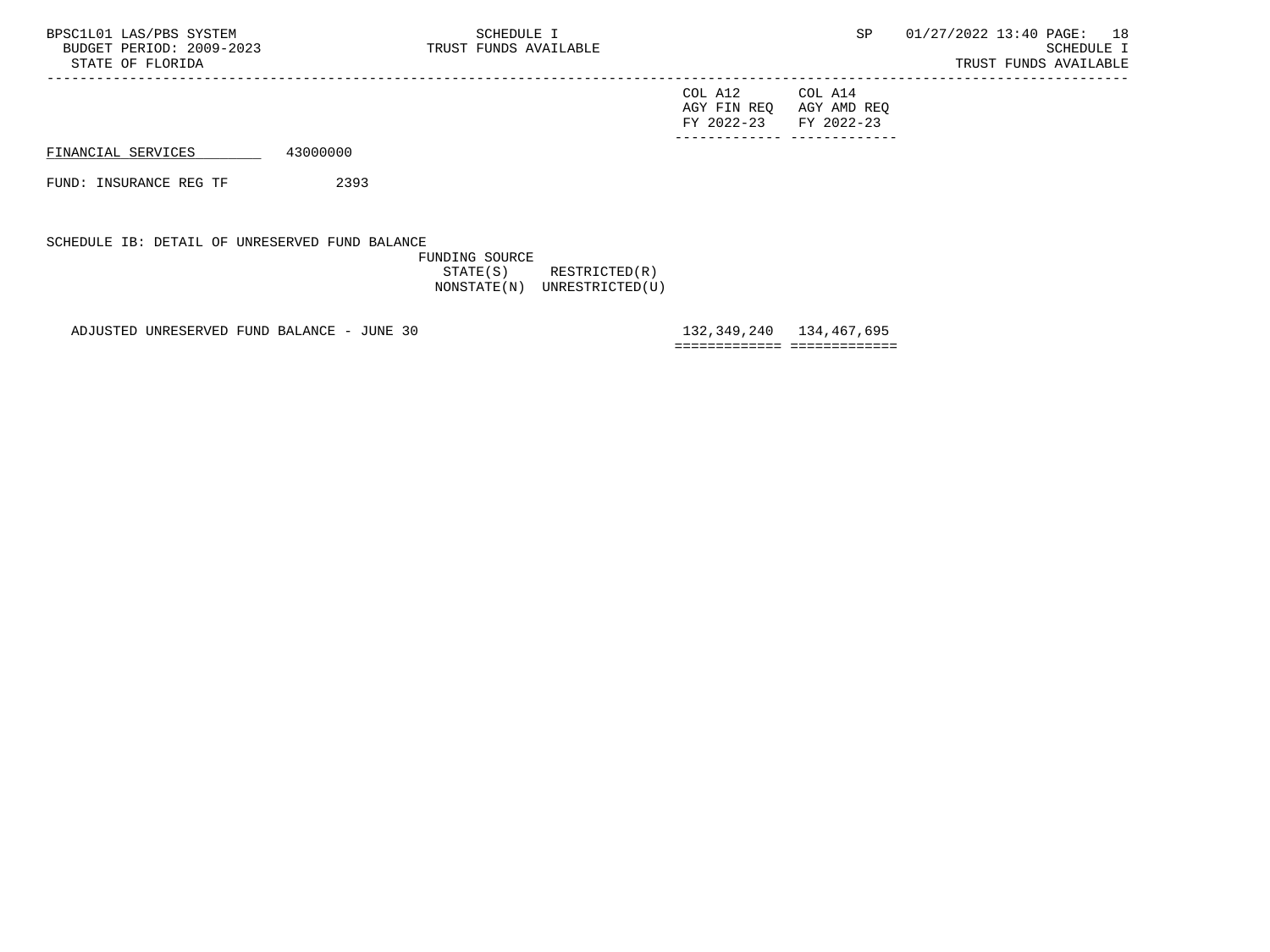| BPSC1L01 LAS/PBS SYSTEM<br>BUDGET PERIOD: 2009-2023<br>STATE OF FLORIDA |          | SCHEDULE I<br>TRUST FUNDS AVAILABLE |                                      | SP                                   | 01/27/2022 13:40 PAGE: 18 | SCHEDULE I<br>TRUST FUNDS AVAILABLE |  |
|-------------------------------------------------------------------------|----------|-------------------------------------|--------------------------------------|--------------------------------------|---------------------------|-------------------------------------|--|
|                                                                         |          |                                     | COL A12<br>AGY FIN REO<br>FY 2022-23 | COL A14<br>AGY AMD REO<br>FY 2022-23 |                           |                                     |  |
| FINANCIAL SERVICES                                                      | 43000000 |                                     |                                      |                                      |                           |                                     |  |
| FUND: INSURANCE REG TF                                                  | 2393     |                                     |                                      |                                      |                           |                                     |  |

## SCHEDULE IB: DETAIL OF UNRESERVED FUND BALANCE

 FUNDING SOURCE STATE(S) RESTRICTED(R) NONSTATE(N) UNRESTRICTED(U)

ADJUSTED UNRESERVED FUND BALANCE - JUNE 30 132,349,240 134,467,695

============= =============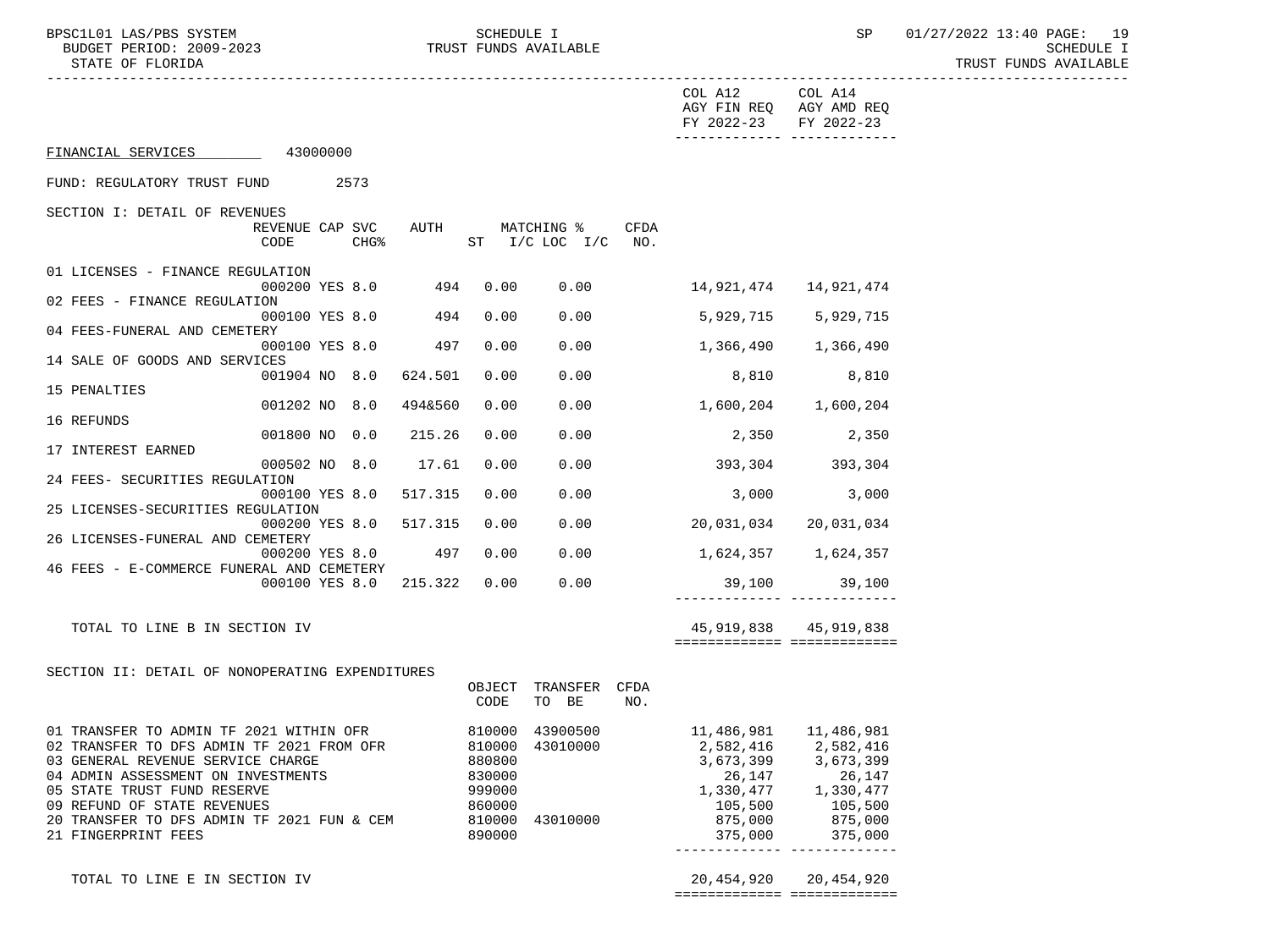BUDGET PERIOD: 2009-2023 TRUST FUNDS AVAILABLE<br>STATE OF FLORIDA

BPSC1L01 LAS/PBS SYSTEM SCHEDULE I SCHEDULE I SP 01/27/2022 13:40 PAGE: 19<br>BUDGET PERIOD: 2009-2023 TRUST FUNDS AVAILABLE TRUST FUNDS AVAILABLE

|                                                                        |                  |                                  |      | COL A12 COL A14<br>AGY FIN REQ AGY AMD REQ<br>FY 2022-23 FY 2022-23 |                           |  |
|------------------------------------------------------------------------|------------------|----------------------------------|------|---------------------------------------------------------------------|---------------------------|--|
| FINANCIAL SERVICES 43000000                                            |                  |                                  |      |                                                                     |                           |  |
| FUND: REGULATORY TRUST FUND<br>2573                                    |                  |                                  |      |                                                                     |                           |  |
| SECTION I: DETAIL OF REVENUES                                          |                  |                                  |      |                                                                     |                           |  |
| REVENUE CAP SVC<br>CODE<br>CHG%                                        | AUTH             | MATCHING %<br>ST I/C LOC I/C NO. | CFDA |                                                                     |                           |  |
| 01 LICENSES - FINANCE REGULATION<br>494<br>000200 YES 8.0              | 0.00             | 0.00                             |      |                                                                     |                           |  |
| 02 FEES - FINANCE REGULATION                                           |                  |                                  |      |                                                                     |                           |  |
| 494<br>000100 YES 8.0<br>04 FEES-FUNERAL AND CEMETERY                  | 0.00             | 0.00                             |      |                                                                     | 5,929,715 5,929,715       |  |
| 497<br>000100 YES 8.0<br>14 SALE OF GOODS AND SERVICES                 | 0.00             | 0.00                             |      | $1,366,490$ $1,366,490$                                             |                           |  |
| 001904 NO 8.0<br>624.501                                               | 0.00             | 0.00                             |      | 8,810                                                               | 8,810                     |  |
| 15 PENALTIES<br>001202 NO 8.0<br>494&560                               | 0.00             | 0.00                             |      | 1,600,204 1,600,204                                                 |                           |  |
| 16 REFUNDS<br>001800 NO 0.0<br>215.26                                  | 0.00             | 0.00                             |      | 2,350                                                               | 2,350                     |  |
| 17 INTEREST EARNED                                                     |                  |                                  |      |                                                                     |                           |  |
| 000502 NO 8.0<br>17.61                                                 | 0.00             | 0.00                             |      | 393,304 393,304                                                     |                           |  |
| 24 FEES- SECURITIES REGULATION<br>517.315<br>000100 YES 8.0            | 0.00             | 0.00                             |      | 3,000                                                               | 3,000                     |  |
| 25 LICENSES-SECURITIES REGULATION                                      |                  |                                  |      |                                                                     |                           |  |
| 000200 YES 8.0<br>517.315<br>26 LICENSES-FUNERAL AND CEMETERY          | 0.00             | 0.00                             |      | 20,031,034                                                          | 20,031,034                |  |
| 000200 YES 8.0<br>497                                                  | 0.00             | 0.00                             |      | 1,624,357 1,624,357                                                 |                           |  |
| 46 FEES - E-COMMERCE FUNERAL AND CEMETERY<br>000100 YES 8.0<br>215.322 | 0.00             | 0.00                             |      | 39,100                                                              | 39,100                    |  |
|                                                                        |                  |                                  |      |                                                                     |                           |  |
| TOTAL TO LINE B IN SECTION IV                                          |                  |                                  |      |                                                                     | 45, 919, 838 45, 919, 838 |  |
|                                                                        |                  |                                  |      | ============================                                        |                           |  |
| SECTION II: DETAIL OF NONOPERATING EXPENDITURES                        |                  |                                  |      |                                                                     |                           |  |
|                                                                        | OBJECT<br>CODE   | TRANSFER CFDA<br>TO BE           | NO.  |                                                                     |                           |  |
| 01 TRANSFER TO ADMIN TF 2021 WITHIN OFR                                |                  | 810000 43900500                  |      | 11,486,981   11,486,981                                             |                           |  |
| 02 TRANSFER TO DFS ADMIN TF 2021 FROM OFR                              |                  | 810000 43010000                  |      | 2,582,416 2,582,416                                                 |                           |  |
| 03 GENERAL REVENUE SERVICE CHARGE                                      | 880800           |                                  |      | 3,673,399                                                           | 3,673,399                 |  |
| 04 ADMIN ASSESSMENT ON INVESTMENTS<br>05 STATE TRUST FUND RESERVE      | 830000<br>999000 |                                  |      | 26,147<br>1,330,477                                                 | 26,147<br>1,330,477       |  |
| 09 REFUND OF STATE REVENUES                                            | 860000           |                                  |      | 105,500                                                             | 105,500                   |  |
| 20 TRANSFER TO DFS ADMIN TF 2021 FUN & CEM                             | 810000           | 43010000                         |      | 875,000                                                             | 875,000                   |  |
| 21 FINGERPRINT FEES                                                    | 890000           |                                  |      | 375,000                                                             | 375,000                   |  |
| TOTAL TO LINE E IN SECTION IV                                          |                  |                                  |      | 20,454,920<br>===========================                           | 20,454,920                |  |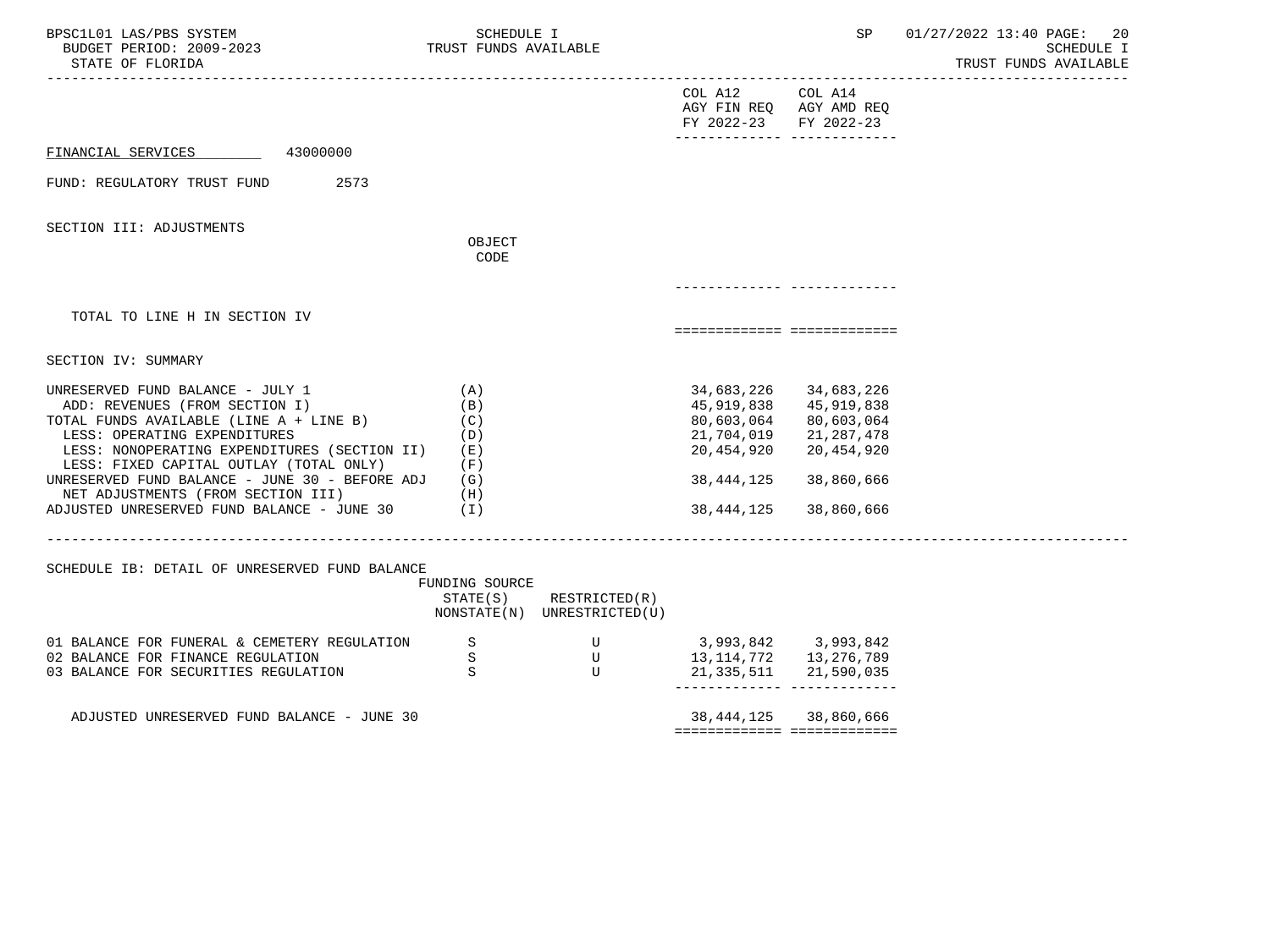| BPSC1L01 LAS/PBS SYSTEM<br>BUDGET PERIOD: 2009-2023<br>STATE OF FLORIDA                                                                                                                                                                                                                                                                                                              | SCHEDULE I<br>TRUST FUNDS AVAILABLE                                                   |                                                                       |                                                                                                | SP                                                                                             | 01/27/2022 13:40 PAGE: 20<br>SCHEDULE I<br>TRUST FUNDS AVAILABLE |
|--------------------------------------------------------------------------------------------------------------------------------------------------------------------------------------------------------------------------------------------------------------------------------------------------------------------------------------------------------------------------------------|---------------------------------------------------------------------------------------|-----------------------------------------------------------------------|------------------------------------------------------------------------------------------------|------------------------------------------------------------------------------------------------|------------------------------------------------------------------|
|                                                                                                                                                                                                                                                                                                                                                                                      |                                                                                       |                                                                       | COL A12<br>FY 2022-23                                                                          | COL A14<br>AGY FIN REQ AGY AMD REQ<br>FY 2022-23<br>------------- -------------                |                                                                  |
| 43000000<br>FINANCIAL SERVICES                                                                                                                                                                                                                                                                                                                                                       |                                                                                       |                                                                       |                                                                                                |                                                                                                |                                                                  |
| FUND: REGULATORY TRUST FUND<br>2573                                                                                                                                                                                                                                                                                                                                                  |                                                                                       |                                                                       |                                                                                                |                                                                                                |                                                                  |
| SECTION III: ADJUSTMENTS                                                                                                                                                                                                                                                                                                                                                             | OBJECT<br>CODE                                                                        |                                                                       |                                                                                                |                                                                                                |                                                                  |
|                                                                                                                                                                                                                                                                                                                                                                                      |                                                                                       |                                                                       |                                                                                                | --------- ----------                                                                           |                                                                  |
| TOTAL TO LINE H IN SECTION IV                                                                                                                                                                                                                                                                                                                                                        |                                                                                       |                                                                       |                                                                                                | ===========================                                                                    |                                                                  |
| SECTION IV: SUMMARY                                                                                                                                                                                                                                                                                                                                                                  |                                                                                       |                                                                       |                                                                                                |                                                                                                |                                                                  |
| UNRESERVED FUND BALANCE - JULY 1<br>ADD: REVENUES (FROM SECTION I)<br>TOTAL FUNDS AVAILABLE (LINE A + LINE B)<br>LESS: OPERATING EXPENDITURES<br>LESS: NONOPERATING EXPENDITURES (SECTION II)<br>LESS: FIXED CAPITAL OUTLAY (TOTAL ONLY)<br>UNRESERVED FUND BALANCE - JUNE 30 - BEFORE ADJ<br>NET ADJUSTMENTS (FROM SECTION III)<br>ADJUSTED UNRESERVED FUND BALANCE - JUNE $30$ (I) | (A)<br>(B)<br>(C)<br>(D)<br>(E)<br>(F)<br>(G)<br>(H)<br>_____________________________ |                                                                       | 34,683,226<br>45,919,838<br>80,603,064<br>21,704,019<br>20,454,920<br>38,444,125<br>38,444,125 | 34,683,226<br>45,919,838<br>80,603,064<br>21,287,478<br>20,454,920<br>38,860,666<br>38,860,666 |                                                                  |
| SCHEDULE IB: DETAIL OF UNRESERVED FUND BALANCE                                                                                                                                                                                                                                                                                                                                       | FUNDING SOURCE                                                                        | $STATE(S)$ RESTRICTED $(R)$<br>NONSTATE(N) UNRESTRICTED(U)            |                                                                                                |                                                                                                |                                                                  |
| 01 BALANCE FOR FUNERAL & CEMETERY REGULATION<br>02 BALANCE FOR FINANCE REGULATION<br>03 BALANCE FOR SECURITIES REGULATION                                                                                                                                                                                                                                                            | S<br>S<br>S                                                                           | $\begin{matrix} &\text{U}\\ &\text{U} \end{matrix}$<br>$\overline{U}$ | 3,993,842 3,993,842<br>13, 114, 772 13, 276, 789                                               | 21, 335, 511 21, 590, 035<br>----------- -------------                                         |                                                                  |
| ADJUSTED UNRESERVED FUND BALANCE - JUNE 30                                                                                                                                                                                                                                                                                                                                           |                                                                                       |                                                                       |                                                                                                | 38, 444, 125 38, 860, 666<br>============================                                      |                                                                  |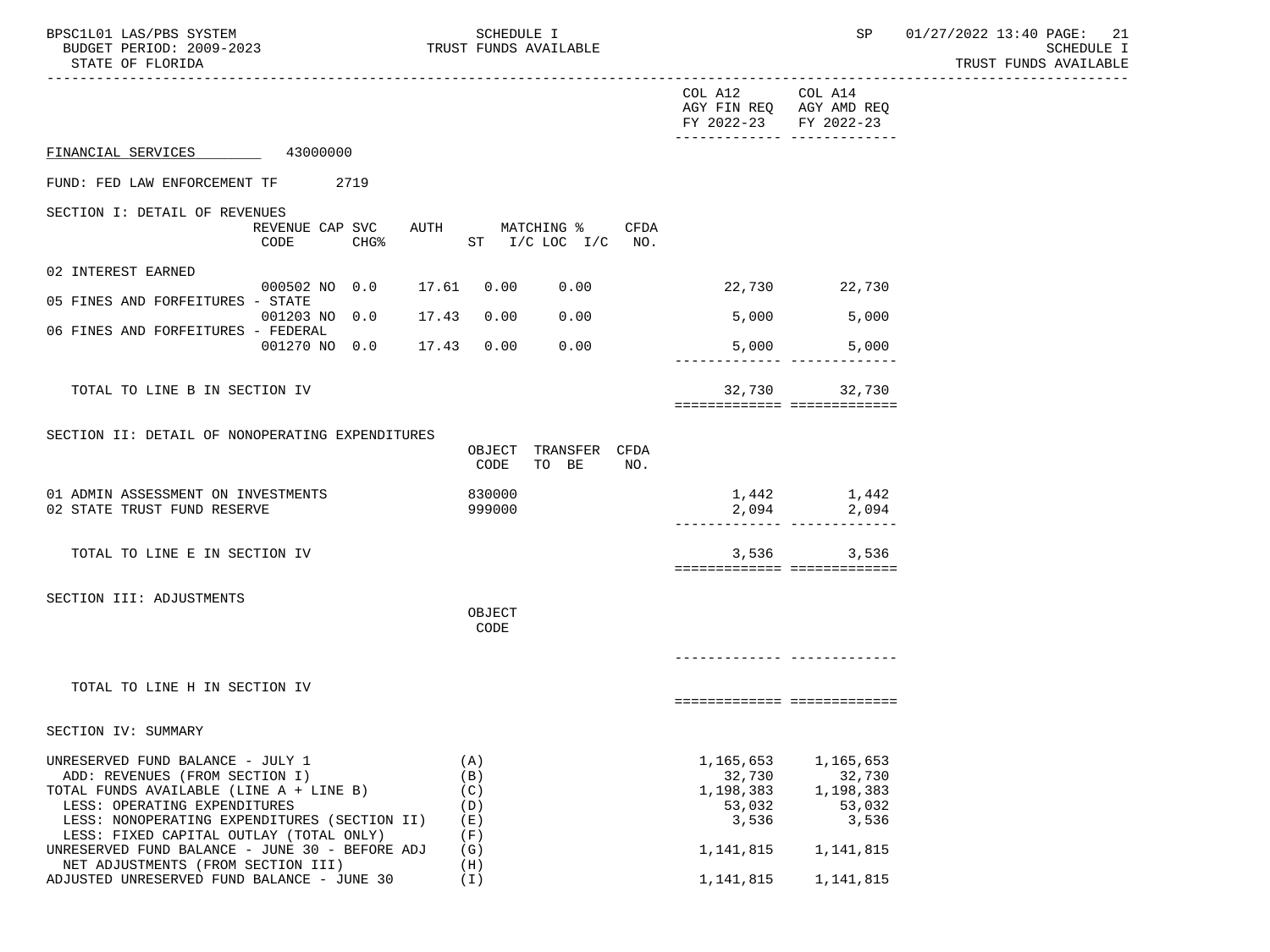| BPSC1L01 LAS/PBS SYSTEM<br>BUDGET PERIOD: 2009-2023<br>STATE OF FLORIDA                                                                                                                                                                                                                    | SCHEDULE I<br>TRUST FUNDS AVAILABLE           | SP                                                                                                                                   | 01/27/2022 13:40 PAGE: 21<br>SCHEDULE I<br>TRUST FUNDS AVAILABLE |
|--------------------------------------------------------------------------------------------------------------------------------------------------------------------------------------------------------------------------------------------------------------------------------------------|-----------------------------------------------|--------------------------------------------------------------------------------------------------------------------------------------|------------------------------------------------------------------|
|                                                                                                                                                                                                                                                                                            |                                               | COL A12<br>COL A14<br>AGY FIN REQ AGY AMD REQ<br>FY 2022-23 FY 2022-23<br>-------------- --------------                              |                                                                  |
| FINANCIAL SERVICES 43000000                                                                                                                                                                                                                                                                |                                               |                                                                                                                                      |                                                                  |
| FUND: FED LAW ENFORCEMENT TF 2719                                                                                                                                                                                                                                                          |                                               |                                                                                                                                      |                                                                  |
| SECTION I: DETAIL OF REVENUES<br>REVENUE CAP SVC<br>CHG <sup>8</sup><br>CODE                                                                                                                                                                                                               | AUTH MATCHING %<br>CFDA<br>ST I/C LOC I/C NO. |                                                                                                                                      |                                                                  |
| 02 INTEREST EARNED                                                                                                                                                                                                                                                                         |                                               |                                                                                                                                      |                                                                  |
| 000502 NO 0.0<br>05 FINES AND FORFEITURES - STATE                                                                                                                                                                                                                                          | 17.61 0.00<br>0.00                            | 22,730 22,730                                                                                                                        |                                                                  |
| 001203 NO 0.0 17.43<br>06 FINES AND FORFEITURES - FEDERAL                                                                                                                                                                                                                                  | 0.00<br>0.00                                  | 5,000<br>5,000                                                                                                                       |                                                                  |
| 001270 NO 0.0 17.43 0.00                                                                                                                                                                                                                                                                   | 0.00                                          | 5,000<br>5,000                                                                                                                       |                                                                  |
| TOTAL TO LINE B IN SECTION IV                                                                                                                                                                                                                                                              |                                               | 32,730<br>32,730<br>============================                                                                                     |                                                                  |
| SECTION II: DETAIL OF NONOPERATING EXPENDITURES                                                                                                                                                                                                                                            | OBJECT TRANSFER CFDA<br>CODE<br>TO BE<br>NO.  |                                                                                                                                      |                                                                  |
| 01 ADMIN ASSESSMENT ON INVESTMENTS<br>02 STATE TRUST FUND RESERVE                                                                                                                                                                                                                          | 830000<br>999000                              | 1,442 1,442<br>2,094 2,094                                                                                                           |                                                                  |
| TOTAL TO LINE E IN SECTION IV                                                                                                                                                                                                                                                              |                                               | 3,536<br>3,536<br>============================                                                                                       |                                                                  |
| SECTION III: ADJUSTMENTS                                                                                                                                                                                                                                                                   | OBJECT<br>CODE                                |                                                                                                                                      |                                                                  |
| TOTAL TO LINE H IN SECTION IV                                                                                                                                                                                                                                                              |                                               |                                                                                                                                      |                                                                  |
| SECTION IV: SUMMARY                                                                                                                                                                                                                                                                        |                                               | ============================                                                                                                         |                                                                  |
| UNRESERVED FUND BALANCE - JULY 1<br>ADD: REVENUES (FROM SECTION I)<br>TOTAL FUNDS AVAILABLE (LINE A + LINE B)<br>LESS: OPERATING EXPENDITURES<br>LESS: NONOPERATING EXPENDITURES (SECTION II)<br>LESS: FIXED CAPITAL OUTLAY (TOTAL ONLY)<br>UNRESERVED FUND BALANCE - JUNE 30 - BEFORE ADJ | (A)<br>(B)<br>(C)<br>(D)<br>(E)<br>(F)<br>(G) | 1,165,653<br>1,165,653<br>32,730<br>32,730<br>1,198,383<br>1,198,383<br>53,032<br>53,032<br>3,536<br>3,536<br>1,141,815<br>1,141,815 |                                                                  |
| NET ADJUSTMENTS (FROM SECTION III)<br>ADJUSTED UNRESERVED FUND BALANCE - JUNE 30                                                                                                                                                                                                           | (H)<br>(I)                                    | 1,141,815<br>1,141,815                                                                                                               |                                                                  |
|                                                                                                                                                                                                                                                                                            |                                               |                                                                                                                                      |                                                                  |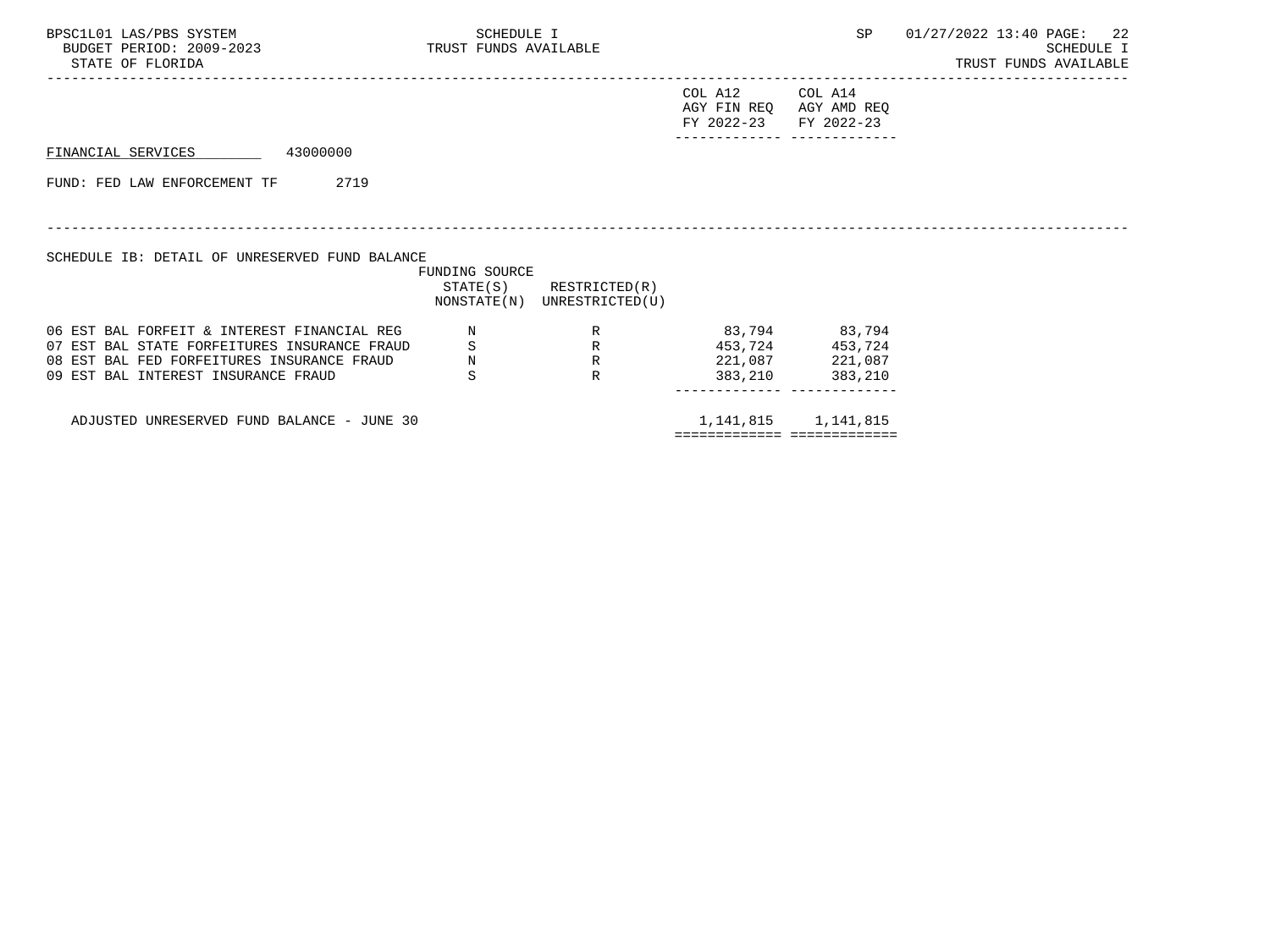| BPSC1L01 LAS/PBS SYSTEM<br>BUDGET PERIOD: 2009-2023 TRUST FUNDS AVAILABLE<br>STATE OF FLORIDA | SCHEDULE I                   |                                                            |                                                  | <b>SP</b>                          | 01/27/2022 13:40 PAGE: 22<br>SCHEDULE I<br>TRUST FUNDS AVAILABLE |
|-----------------------------------------------------------------------------------------------|------------------------------|------------------------------------------------------------|--------------------------------------------------|------------------------------------|------------------------------------------------------------------|
|                                                                                               |                              |                                                            | COL A12<br>AGY FIN REQ AGY AMD REQ<br>FY 2022-23 | COL A14<br>FY 2022-23              |                                                                  |
| 43000000<br>FINANCIAL SERVICES                                                                |                              |                                                            |                                                  |                                    |                                                                  |
| FUND: FED LAW ENFORCEMENT TF<br>2719                                                          |                              |                                                            |                                                  |                                    |                                                                  |
| SCHEDULE IB: DETAIL OF UNRESERVED FUND BALANCE                                                | FUNDING SOURCE               |                                                            |                                                  |                                    |                                                                  |
|                                                                                               |                              | $STATE(S)$ RESTRICTED $(R)$<br>NONSTATE(N) UNRESTRICTED(U) |                                                  |                                    |                                                                  |
| 06 EST BAL FORFEIT & INTEREST FINANCIAL REG<br>07 EST BAL STATE FORFEITURES INSURANCE FRAUD   | S                            | R<br>R                                                     | 83,794 83,794                                    | 453,724 453,724                    |                                                                  |
| 08 EST BAL FED FORFEITURES INSURANCE FRAUD<br>09 EST BAL INTEREST INSURANCE FRAUD             | $\mathbf N$<br>$\mathcal{S}$ | R<br>$\mathbb{R}$                                          |                                                  | 221,087 221,087<br>383,210 383,210 |                                                                  |
| ADJUSTED UNRESERVED FUND BALANCE - JUNE 30                                                    |                              |                                                            | ============================                     | 1, 141, 815 1, 141, 815            |                                                                  |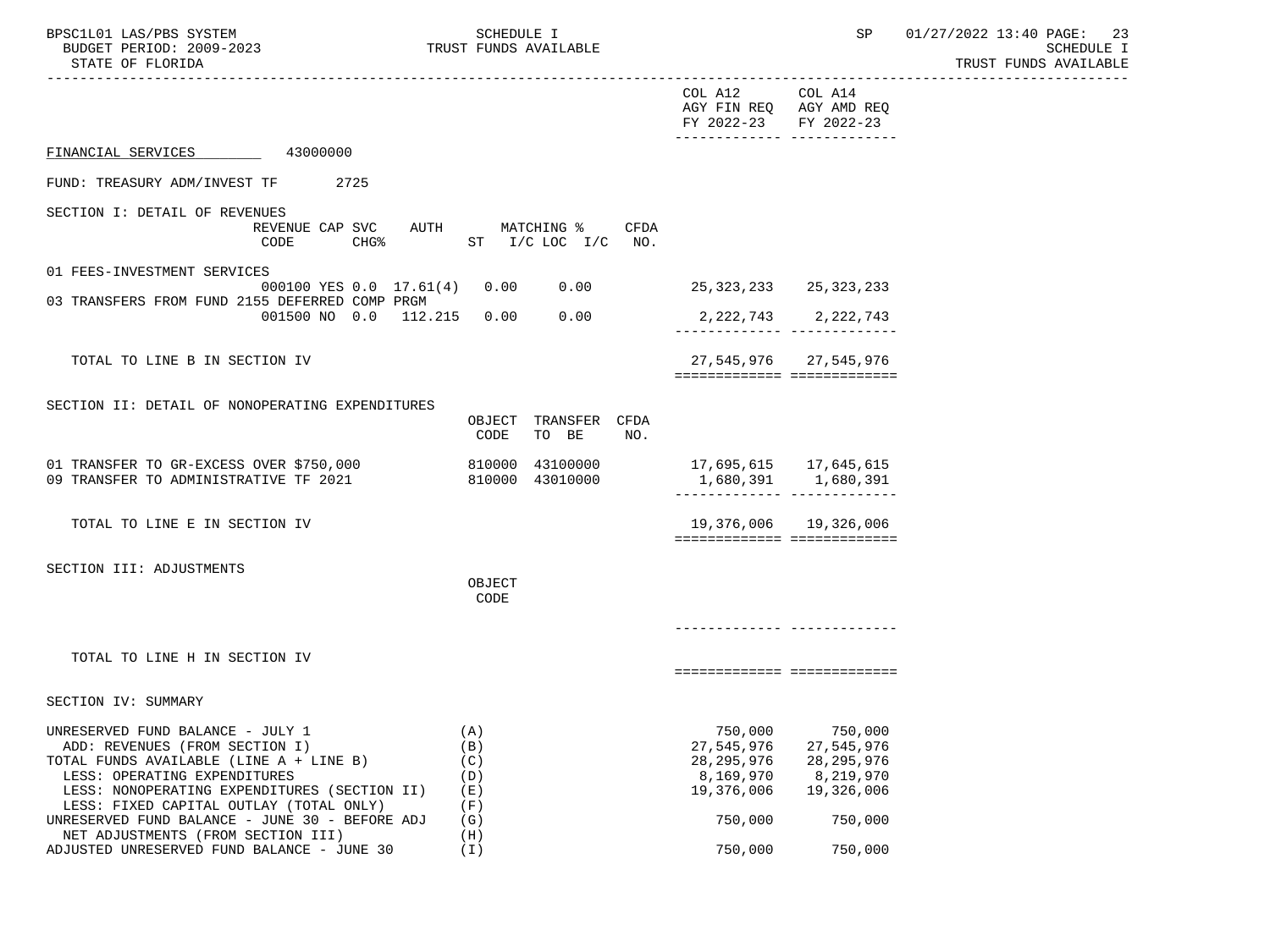| BPSC1L01 LAS/PBS SYSTEM<br>BUDGET PERIOD: 2009-2023<br>STATE OF FLORIDA<br>___________________________________                                                                                                                                                                             | SCHEDULE I<br>TRUST FUNDS AVAILABLE                     |                                                                             | SP                                                                          | 01/27/2022 13:40 PAGE: 23<br>SCHEDULE I<br>TRUST FUNDS AVAILABLE |
|--------------------------------------------------------------------------------------------------------------------------------------------------------------------------------------------------------------------------------------------------------------------------------------------|---------------------------------------------------------|-----------------------------------------------------------------------------|-----------------------------------------------------------------------------|------------------------------------------------------------------|
|                                                                                                                                                                                                                                                                                            |                                                         | COL A12 COL A14<br>FY 2022-23 FY 2022-23                                    | AGY FIN REQ AGY AMD REQ<br>_____________ ___________                        |                                                                  |
| 43000000<br>FINANCIAL SERVICES                                                                                                                                                                                                                                                             |                                                         |                                                                             |                                                                             |                                                                  |
| FUND: TREASURY ADM/INVEST TF<br>2725                                                                                                                                                                                                                                                       |                                                         |                                                                             |                                                                             |                                                                  |
| SECTION I: DETAIL OF REVENUES<br>REVENUE CAP SVC AUTH MATCHING %<br>CODE                                                                                                                                                                                                                   | CFDA<br>CHG <sup>2</sup> ST $I/C$ LOC $I/C$ NO.         |                                                                             |                                                                             |                                                                  |
| 01 FEES-INVESTMENT SERVICES                                                                                                                                                                                                                                                                | 000100 YES 0.0 17.61(4) 0.00 0.00 25,323,233 25,323,233 |                                                                             |                                                                             |                                                                  |
| 03 TRANSFERS FROM FUND 2155 DEFERRED COMP PRGM                                                                                                                                                                                                                                             |                                                         |                                                                             |                                                                             |                                                                  |
| 001500 NO 0.0 112.215 0.00                                                                                                                                                                                                                                                                 | 0.00                                                    |                                                                             | 2, 222, 743 2, 222, 743                                                     |                                                                  |
| TOTAL TO LINE B IN SECTION IV                                                                                                                                                                                                                                                              |                                                         |                                                                             | 27,545,976 27,545,976<br>============================                       |                                                                  |
| SECTION II: DETAIL OF NONOPERATING EXPENDITURES                                                                                                                                                                                                                                            | OBJECT TRANSFER CFDA<br>TO BE<br>CODE<br>NO.            |                                                                             |                                                                             |                                                                  |
| 01 TRANSFER TO GR-EXCESS OVER \$750,000<br>09 TRANSFER TO ADMINISTRATIVE TF 2021                                                                                                                                                                                                           | 810000 43100000<br>810000 43010000                      |                                                                             | 1,680,391 1,680,391                                                         |                                                                  |
| TOTAL TO LINE E IN SECTION IV                                                                                                                                                                                                                                                              |                                                         |                                                                             | 19,376,006 19,326,006<br>=============================                      |                                                                  |
| SECTION III: ADJUSTMENTS                                                                                                                                                                                                                                                                   |                                                         |                                                                             |                                                                             |                                                                  |
|                                                                                                                                                                                                                                                                                            | OBJECT<br>CODE                                          |                                                                             |                                                                             |                                                                  |
|                                                                                                                                                                                                                                                                                            |                                                         |                                                                             |                                                                             |                                                                  |
| TOTAL TO LINE H IN SECTION IV                                                                                                                                                                                                                                                              |                                                         |                                                                             | ===========================                                                 |                                                                  |
| SECTION IV: SUMMARY                                                                                                                                                                                                                                                                        |                                                         |                                                                             |                                                                             |                                                                  |
| UNRESERVED FUND BALANCE - JULY 1<br>ADD: REVENUES (FROM SECTION I)<br>TOTAL FUNDS AVAILABLE (LINE A + LINE B)<br>LESS: OPERATING EXPENDITURES<br>LESS: NONOPERATING EXPENDITURES (SECTION II)<br>LESS: FIXED CAPITAL OUTLAY (TOTAL ONLY)<br>UNRESERVED FUND BALANCE - JUNE 30 - BEFORE ADJ | (A)<br>(B)<br>(C)<br>(D)<br>(E)<br>(F)<br>(G)           | 750,000<br>27,545,976<br>28, 295, 976<br>8,169,970<br>19,376,006<br>750,000 | 750,000<br>27,545,976<br>28, 295, 976<br>8,219,970<br>19,326,006<br>750,000 |                                                                  |
| NET ADJUSTMENTS (FROM SECTION III)                                                                                                                                                                                                                                                         | (H)                                                     |                                                                             |                                                                             |                                                                  |
| ADJUSTED UNRESERVED FUND BALANCE - JUNE 30                                                                                                                                                                                                                                                 | (I)                                                     | 750,000                                                                     | 750,000                                                                     |                                                                  |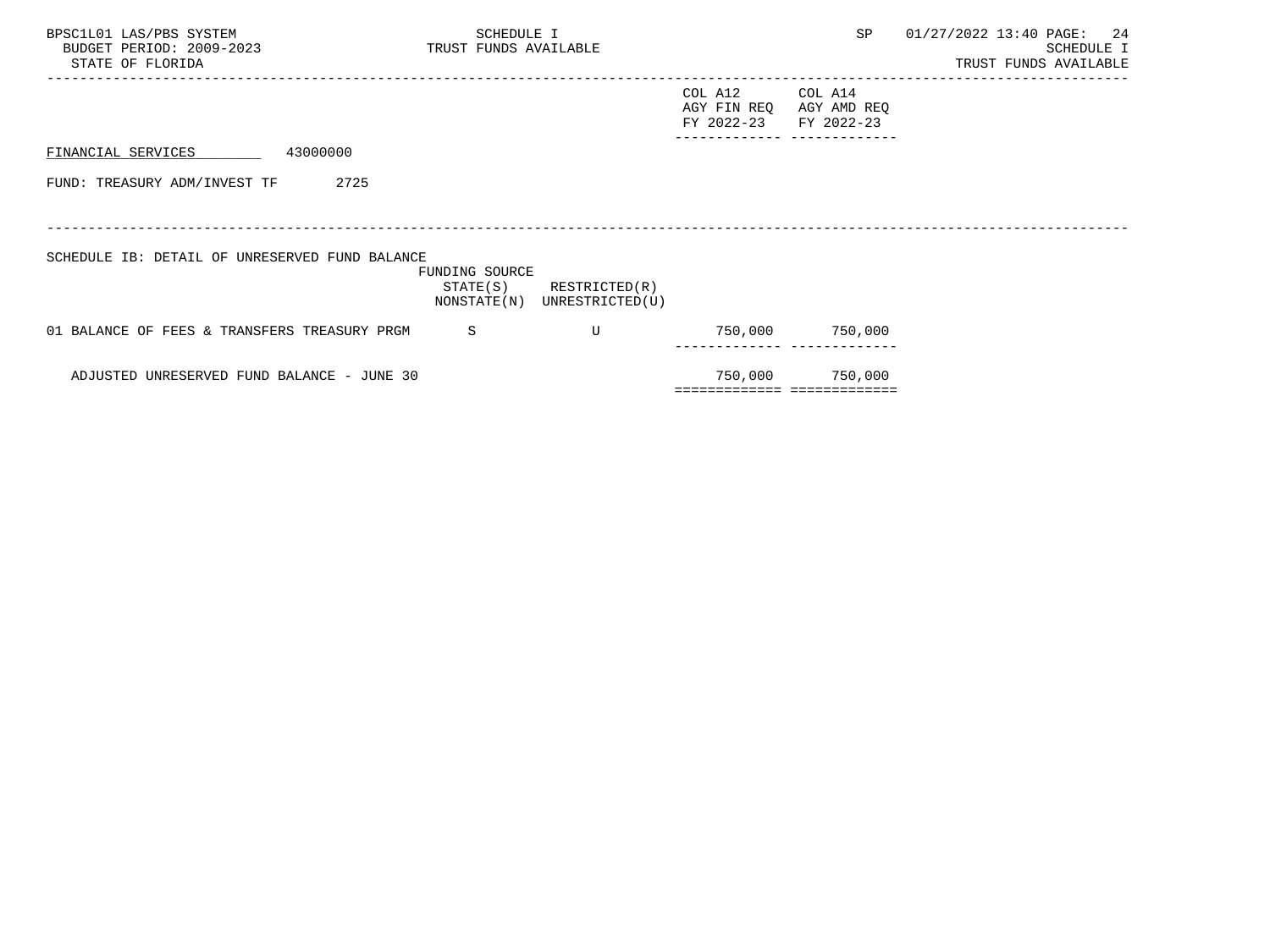| BPSC1L01 LAS/PBS SYSTEM<br>BUDGET PERIOD: 2009-2023<br>STATE OF FLORIDA | SCHEDULE I<br>TRUST FUNDS AVAILABLE       |                                  |                                      | SP                                   | 01/27/2022 13:40 PAGE: 24 | SCHEDULE I<br>TRUST FUNDS AVAILABLE |
|-------------------------------------------------------------------------|-------------------------------------------|----------------------------------|--------------------------------------|--------------------------------------|---------------------------|-------------------------------------|
|                                                                         |                                           |                                  | COL A12<br>AGY FIN REQ<br>FY 2022-23 | COL A14<br>AGY AMD REQ<br>FY 2022-23 |                           |                                     |
| 43000000<br>FINANCIAL SERVICES                                          |                                           |                                  |                                      |                                      |                           |                                     |
| FUND: TREASURY ADM/INVEST TF<br>2725                                    |                                           |                                  |                                      |                                      |                           |                                     |
| SCHEDULE IB: DETAIL OF UNRESERVED FUND BALANCE                          | FUNDING SOURCE<br>STATE(S)<br>NONSTATE(N) | RESTRICTED(R)<br>UNRESTRICTED(U) |                                      |                                      |                           |                                     |
| 01 BALANCE OF FEES & TRANSFERS TREASURY PRGM                            | S                                         | U                                |                                      | 750,000 750,000                      |                           |                                     |
| ADJUSTED UNRESERVED FUND BALANCE - JUNE 30                              |                                           |                                  | ============================         | 750,000 750,000                      |                           |                                     |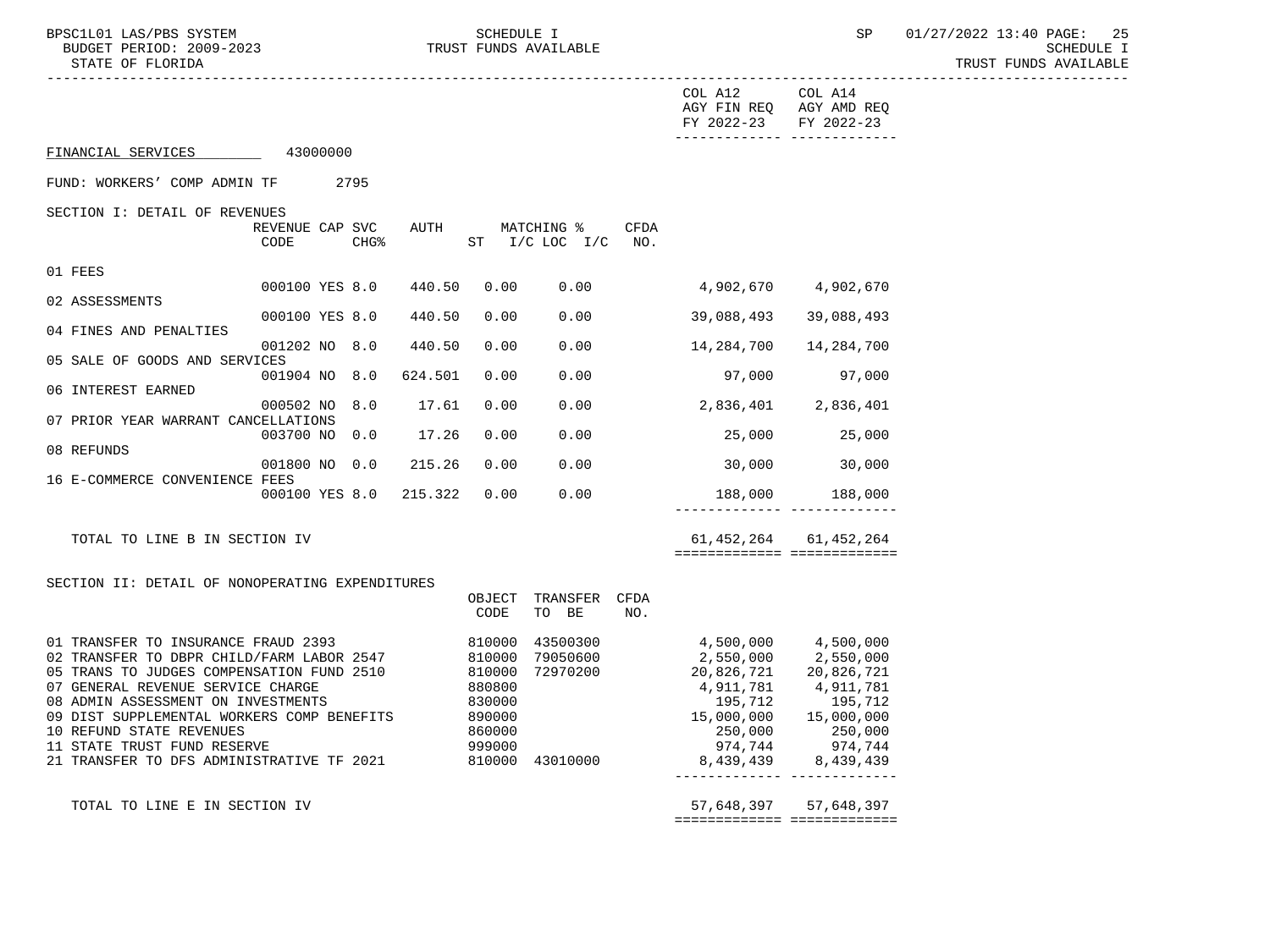|                                                                        |                 |                  |                        |                  |                               |      | COL A12 COL A14<br>AGY FIN REQ AGY AMD REQ<br>FY 2022-23 | FY 2022-23                |
|------------------------------------------------------------------------|-----------------|------------------|------------------------|------------------|-------------------------------|------|----------------------------------------------------------|---------------------------|
| FINANCIAL SERVICES                                                     | 43000000        |                  |                        |                  |                               |      |                                                          |                           |
| FUND: WORKERS' COMP ADMIN TF 2795                                      |                 |                  |                        |                  |                               |      |                                                          |                           |
| SECTION I: DETAIL OF REVENUES                                          |                 |                  |                        |                  |                               |      |                                                          |                           |
|                                                                        | REVENUE CAP SVC |                  | AUTH                   |                  | MATCHING %                    | CFDA |                                                          |                           |
|                                                                        | CODE            | CHG <sup>8</sup> |                        |                  | ST $I/C$ LOC $I/C$ NO.        |      |                                                          |                           |
| 01 FEES                                                                |                 |                  |                        |                  |                               |      |                                                          |                           |
| 02 ASSESSMENTS                                                         | 000100 YES 8.0  |                  | 440.50                 | 0.00             | 0.00                          |      | 4,902,670                                                | 4,902,670                 |
|                                                                        | 000100 YES 8.0  |                  | 440.50                 | 0.00             | 0.00                          |      | 39,088,493                                               | 39,088,493                |
| 04 FINES AND PENALTIES                                                 | 001202 NO 8.0   |                  | 440.50                 | 0.00             | 0.00                          |      | 14,284,700                                               | 14,284,700                |
| 05 SALE OF GOODS AND SERVICES                                          | 001904 NO 8.0   |                  | 624.501                | 0.00             | 0.00                          |      | 97,000                                                   | 97,000                    |
| 06 INTEREST EARNED                                                     |                 |                  |                        |                  |                               |      |                                                          |                           |
| 07 PRIOR YEAR WARRANT CANCELLATIONS                                    | 000502 NO 8.0   |                  | 17.61                  | 0.00             |                               |      | $0.00$ 2,836,401 2,836,401                               |                           |
| 08 REFUNDS                                                             |                 |                  | 003700 NO 0.0 17.26    | 0.00             | 0.00                          |      | 25,000                                                   | 25,000                    |
|                                                                        |                 |                  | 001800 NO 0.0 215.26   | 0.00             |                               |      | $0.00$ 30,000 30,000                                     |                           |
| 16 E-COMMERCE CONVENIENCE FEES                                         |                 |                  | 000100 YES 8.0 215.322 | 0.00             | 0.00                          |      |                                                          |                           |
|                                                                        |                 |                  |                        |                  |                               |      | $188,000$ $188,000$                                      |                           |
| TOTAL TO LINE B IN SECTION IV                                          |                 |                  |                        |                  |                               |      |                                                          | 61, 452, 264 61, 452, 264 |
|                                                                        |                 |                  |                        |                  |                               |      | ============================                             |                           |
| SECTION II: DETAIL OF NONOPERATING EXPENDITURES                        |                 |                  |                        |                  |                               |      |                                                          |                           |
|                                                                        |                 |                  |                        | CODE             | OBJECT TRANSFER CFDA<br>TO BE | NO.  |                                                          |                           |
| 01 TRANSFER TO INSURANCE FRAUD 2393                                    |                 |                  |                        |                  | 810000 43500300               |      | 4,500,000                                                | 4,500,000                 |
| 02 TRANSFER TO DBPR CHILD/FARM LABOR 2547 810000 79050600              |                 |                  |                        |                  |                               |      | 2,550,000                                                | 2,550,000                 |
| 05 TRANS TO JUDGES COMPENSATION FUND 2510                              |                 |                  |                        |                  | 810000 72970200<br>880800     |      | 20,826,721                                               | 20,826,721                |
| 07 GENERAL REVENUE SERVICE CHARGE                                      |                 |                  |                        |                  |                               |      | 4,911,781                                                | 4,911,781                 |
| 08 ADMIN ASSESSMENT ON INVESTMENTS                                     |                 |                  |                        | 830000<br>890000 |                               |      | 195,712<br>15,000,000                                    | 195,712                   |
| 09 DIST SUPPLEMENTAL WORKERS COMP BENEFITS<br>10 REFUND STATE REVENUES |                 |                  |                        | 860000           |                               |      | 250,000                                                  | 15,000,000                |
| 11 STATE TRUST FUND RESERVE                                            |                 |                  |                        | 999000           |                               |      | 974,744                                                  | 250,000<br>974,744        |
| 21 TRANSFER TO DFS ADMINISTRATIVE TF 2021                              |                 |                  |                        |                  | 810000 43010000               |      | 8,439,439                                                | 8,439,439                 |
|                                                                        |                 |                  |                        |                  |                               |      |                                                          |                           |

 TOTAL TO LINE E IN SECTION IV 57,648,397 57,648,397 ============= =============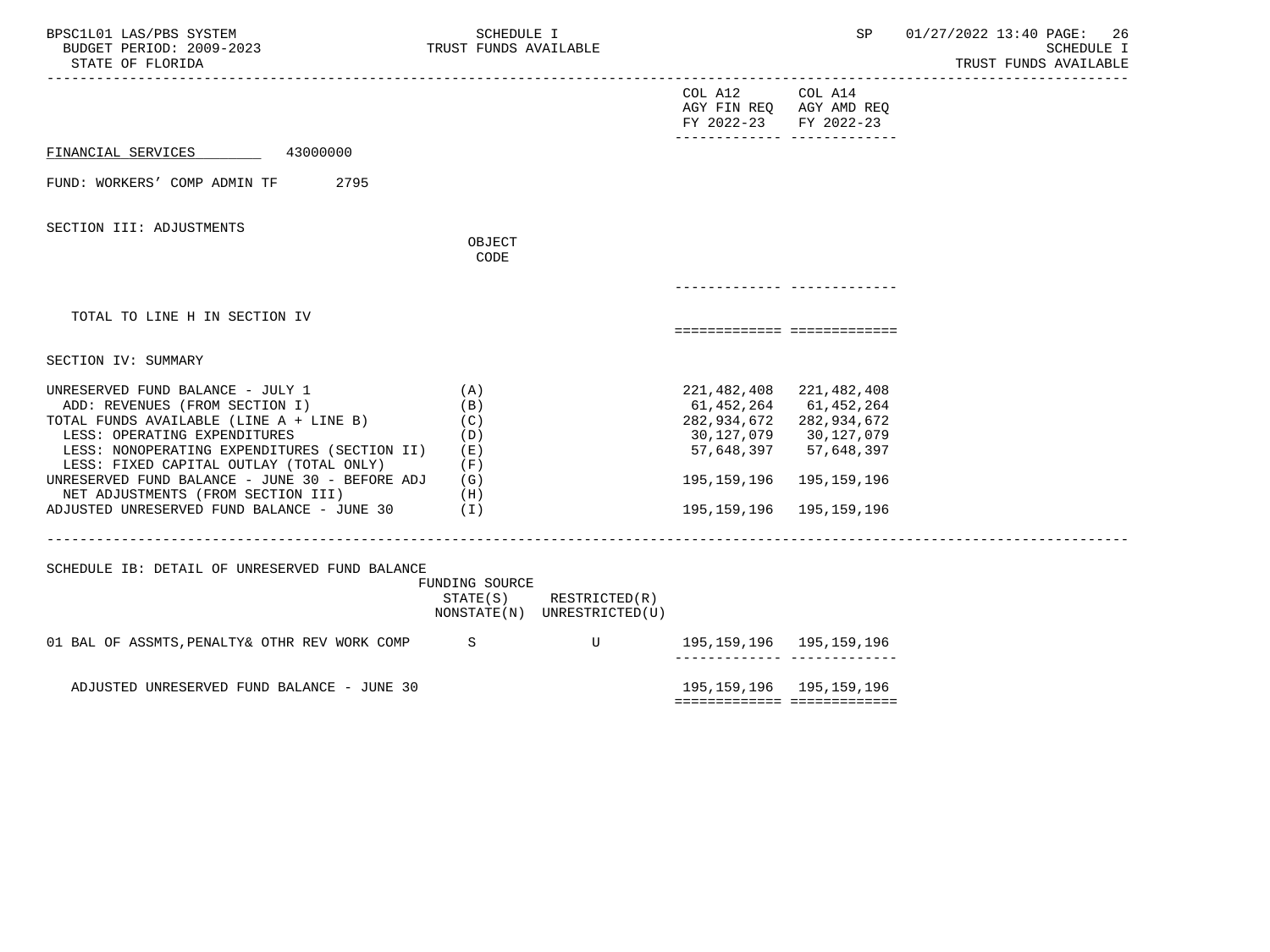| BPSC1L01 LAS/PBS SYSTEM<br>BUDGET PERIOD: 2009-2023<br>STATE OF FLORIDA                                                                                                                                                                                                                                                                                                        | SCHEDULE I<br>TRUST FUNDS AVAILABLE                         |                                              |                                                                                                                                            | SP                                                  | 01/27/2022 13:40 PAGE:<br>26<br><b>SCHEDULE I</b><br>TRUST FUNDS AVAILABLE |
|--------------------------------------------------------------------------------------------------------------------------------------------------------------------------------------------------------------------------------------------------------------------------------------------------------------------------------------------------------------------------------|-------------------------------------------------------------|----------------------------------------------|--------------------------------------------------------------------------------------------------------------------------------------------|-----------------------------------------------------|----------------------------------------------------------------------------|
|                                                                                                                                                                                                                                                                                                                                                                                |                                                             |                                              | COL A12 COL A14<br>AGY FIN REQ AGY AMD REQ<br>FY 2022-23 FY 2022-23                                                                        | -------------- --------------                       |                                                                            |
| 43000000<br>FINANCIAL SERVICES                                                                                                                                                                                                                                                                                                                                                 |                                                             |                                              |                                                                                                                                            |                                                     |                                                                            |
| FUND: WORKERS' COMP ADMIN TF<br>2795                                                                                                                                                                                                                                                                                                                                           |                                                             |                                              |                                                                                                                                            |                                                     |                                                                            |
| SECTION III: ADJUSTMENTS                                                                                                                                                                                                                                                                                                                                                       | OBJECT                                                      |                                              |                                                                                                                                            |                                                     |                                                                            |
|                                                                                                                                                                                                                                                                                                                                                                                | CODE                                                        |                                              |                                                                                                                                            |                                                     |                                                                            |
|                                                                                                                                                                                                                                                                                                                                                                                |                                                             |                                              |                                                                                                                                            |                                                     |                                                                            |
| TOTAL TO LINE H IN SECTION IV                                                                                                                                                                                                                                                                                                                                                  |                                                             |                                              | ===========================                                                                                                                |                                                     |                                                                            |
| SECTION IV: SUMMARY                                                                                                                                                                                                                                                                                                                                                            |                                                             |                                              |                                                                                                                                            |                                                     |                                                                            |
| UNRESERVED FUND BALANCE - JULY 1<br>ADD: REVENUES (FROM SECTION I)<br>TOTAL FUNDS AVAILABLE (LINE A + LINE B)<br>LESS: OPERATING EXPENDITURES<br>LESS: NONOPERATING EXPENDITURES (SECTION II)<br>LESS: FIXED CAPITAL OUTLAY (TOTAL ONLY)<br>UNRESERVED FUND BALANCE - JUNE 30 - BEFORE ADJ<br>NET ADJUSTMENTS (FROM SECTION III)<br>ADJUSTED UNRESERVED FUND BALANCE - JUNE 30 | (A)<br>(B)<br>(C)<br>(D)<br>(E)<br>(F)<br>(G)<br>(H)<br>(1) |                                              | 221, 482, 408 221, 482, 408<br>61,452,264 61,452,264<br>282, 934, 672 282, 934, 672<br>30,127,079 30,127,079<br>195,159,196<br>195,159,196 | 57,648,397 57,648,397<br>195,159,196<br>195,159,196 |                                                                            |
| SCHEDULE IB: DETAIL OF UNRESERVED FUND BALANCE                                                                                                                                                                                                                                                                                                                                 | FUNDING SOURCE<br>STATE(S)                                  | RESTRICTED(R)<br>NONSTATE(N) UNRESTRICTED(U) |                                                                                                                                            |                                                     |                                                                            |
| 01 BAL OF ASSMTS, PENALTY& OTHR REV WORK COMP S                                                                                                                                                                                                                                                                                                                                |                                                             | $\mathbf{U}$                                 | 195,159,196   195,159,196                                                                                                                  | ------------- --------------                        |                                                                            |
| ADJUSTED UNRESERVED FUND BALANCE - JUNE 30                                                                                                                                                                                                                                                                                                                                     |                                                             |                                              | 195, 159, 196 195, 159, 196                                                                                                                |                                                     |                                                                            |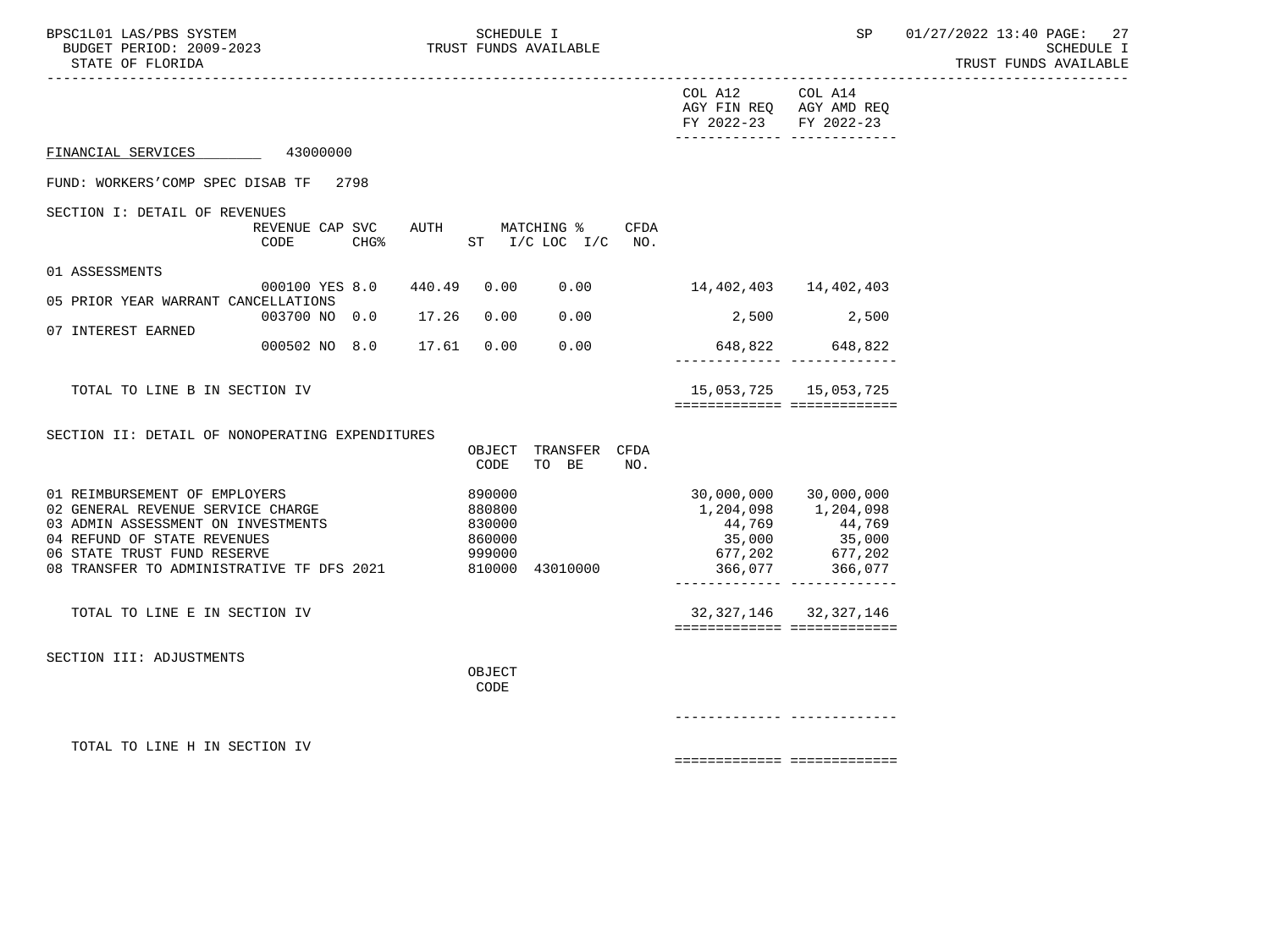| BPSC1L01 LAS/PBS SYSTEM<br>BUDGET PERIOD: 2009-2023<br>STATE OF FLORIDA                                                                                                                                             |                                         | SCHEDULE I<br>TRUST FUNDS AVAILABLE            |                               |      |                                                                                         |                                                                      | SP 01/27/2022 13:40 PAGE: 27<br><b>SCHEDULE I</b><br>TRUST FUNDS AVAILABLE |
|---------------------------------------------------------------------------------------------------------------------------------------------------------------------------------------------------------------------|-----------------------------------------|------------------------------------------------|-------------------------------|------|-----------------------------------------------------------------------------------------|----------------------------------------------------------------------|----------------------------------------------------------------------------|
|                                                                                                                                                                                                                     |                                         |                                                |                               |      | COL A12 COL A14<br>FY 2022-23 FY 2022-23<br>________________________________            | AGY FIN REQ AGY AMD REQ                                              |                                                                            |
| FINANCIAL SERVICES 43000000                                                                                                                                                                                         |                                         |                                                |                               |      |                                                                                         |                                                                      |                                                                            |
| FUND: WORKERS'COMP SPEC DISAB TF 2798                                                                                                                                                                               |                                         |                                                |                               |      |                                                                                         |                                                                      |                                                                            |
| SECTION I: DETAIL OF REVENUES                                                                                                                                                                                       | REVENUE CAP SVC AUTH MATCHING %<br>CODE | CHG <sup>&amp;</sup> ST I/C LOC I/C NO.        |                               | CFDA |                                                                                         |                                                                      |                                                                            |
| 01 ASSESSMENTS                                                                                                                                                                                                      | 000100 YES 8.0 440.49 0.00              |                                                |                               |      | $0.00$ 14, 402, 403 14, 402, 403                                                        |                                                                      |                                                                            |
| 05 PRIOR YEAR WARRANT CANCELLATIONS                                                                                                                                                                                 | 003700 NO 0.0 17.26                     | 0.00                                           | 0.00                          |      | 2,500 2,500                                                                             |                                                                      |                                                                            |
| 07 INTEREST EARNED                                                                                                                                                                                                  | 000502 NO 8.0 17.61                     |                                                | 0.00 0.00                     |      | 648,822 648,822                                                                         |                                                                      |                                                                            |
| TOTAL TO LINE B IN SECTION IV                                                                                                                                                                                       |                                         |                                                |                               |      | =============================                                                           |                                                                      |                                                                            |
| SECTION II: DETAIL OF NONOPERATING EXPENDITURES                                                                                                                                                                     |                                         | CODE                                           | OBJECT TRANSFER CFDA<br>TO BE | NO.  |                                                                                         |                                                                      |                                                                            |
| 01 REIMBURSEMENT OF EMPLOYERS<br>02 GENERAL REVENUE SERVICE CHARGE<br>03 ADMIN ASSESSMENT ON INVESTMENTS<br>04 REFUND OF STATE REVENUES<br>06 STATE TRUST FUND RESERVE<br>08 TRANSFER TO ADMINISTRATIVE TF DFS 2021 |                                         | 890000<br>880800<br>830000<br>860000<br>999000 | 810000 43010000               |      | 30,000,000 30,000,000<br>1,204,098 1,204,098<br>44,769<br>------------- --------------- | 44,769<br>35,000<br>677,202<br>677,202<br>677,202<br>366,077 366,077 |                                                                            |
| TOTAL TO LINE E IN SECTION IV                                                                                                                                                                                       |                                         |                                                |                               |      | ============================                                                            | 32, 327, 146 32, 327, 146                                            |                                                                            |
| SECTION III: ADJUSTMENTS                                                                                                                                                                                            |                                         | OBJECT<br>CODE                                 |                               |      |                                                                                         |                                                                      |                                                                            |
|                                                                                                                                                                                                                     |                                         |                                                |                               |      |                                                                                         |                                                                      |                                                                            |
| TOTAL TO LINE H IN SECTION IV                                                                                                                                                                                       |                                         |                                                |                               |      | ===========================                                                             |                                                                      |                                                                            |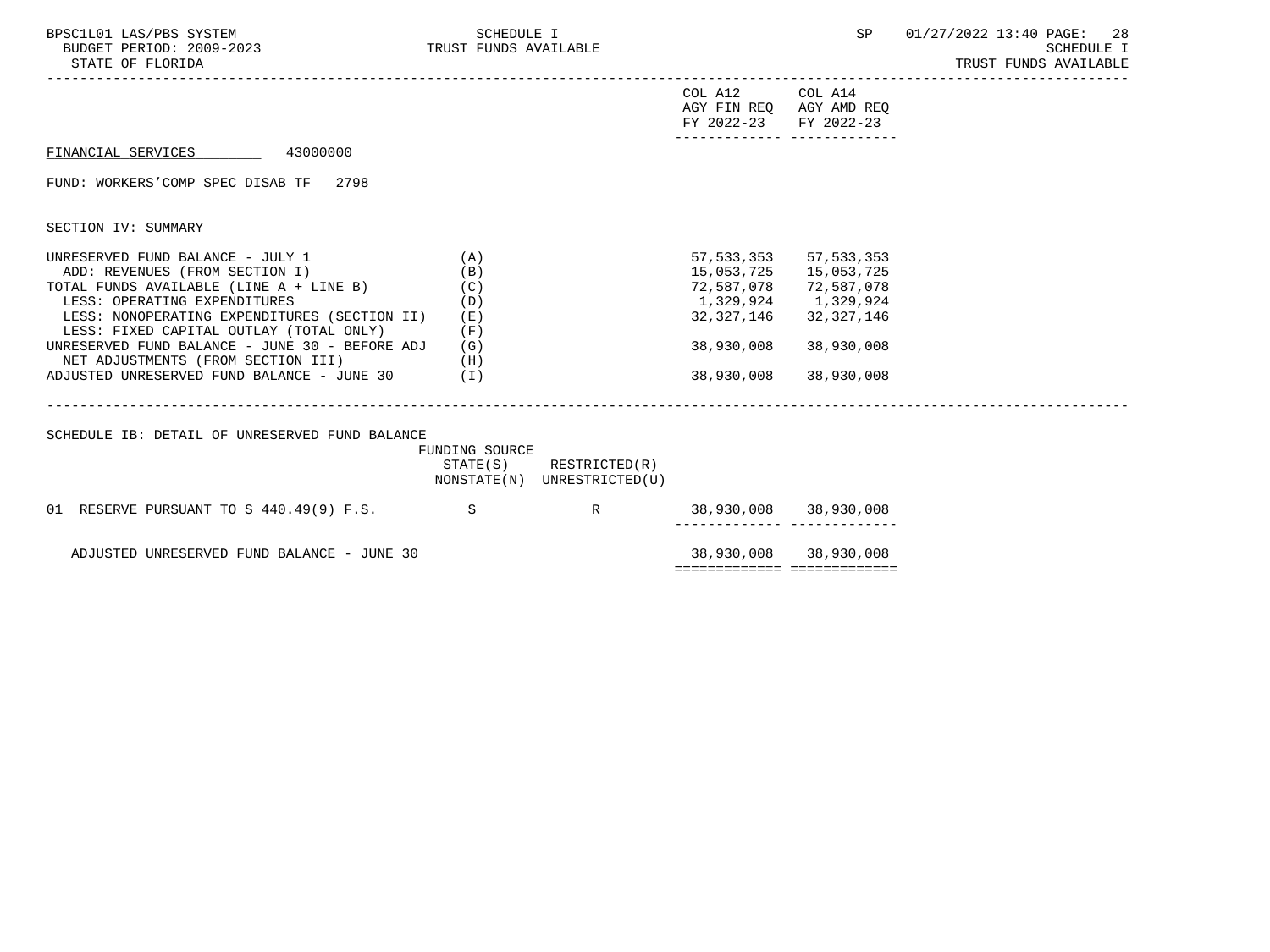| BPSC1L01 LAS/PBS SYSTEM<br>BUDGET PERIOD: 2009-2023<br>STATE OF FLORIDA                                                                                                                                                                                                                                                                                                                                                                  | SCHEDULE I<br>TRUST FUNDS AVAILABLE                                         |                             |                                                                                                         | SP                                                                               | 01/27/2022 13:40 PAGE: 28<br><b>SCHEDULE I</b><br>TRUST FUNDS AVAILABLE |
|------------------------------------------------------------------------------------------------------------------------------------------------------------------------------------------------------------------------------------------------------------------------------------------------------------------------------------------------------------------------------------------------------------------------------------------|-----------------------------------------------------------------------------|-----------------------------|---------------------------------------------------------------------------------------------------------|----------------------------------------------------------------------------------|-------------------------------------------------------------------------|
|                                                                                                                                                                                                                                                                                                                                                                                                                                          |                                                                             |                             | COL A12<br>AGY FIN REQ AGY AMD REQ<br>FY 2022-23                                                        | COL A14<br>FY 2022-23<br>-------------- --------------                           |                                                                         |
| FINANCIAL SERVICES 43000000                                                                                                                                                                                                                                                                                                                                                                                                              |                                                                             |                             |                                                                                                         |                                                                                  |                                                                         |
| FUND: WORKERS'COMP SPEC DISAB TF 2798                                                                                                                                                                                                                                                                                                                                                                                                    |                                                                             |                             |                                                                                                         |                                                                                  |                                                                         |
| SECTION IV: SUMMARY                                                                                                                                                                                                                                                                                                                                                                                                                      |                                                                             |                             |                                                                                                         |                                                                                  |                                                                         |
| UNRESERVED FUND BALANCE - JULY 1<br>ADD: REVENUES (FROM SECTION I)<br>TOTAL FUNDS AVAILABLE (LINE A + LINE B) (C)<br>LESS: OPERATING EXPENDITURES<br>LESS: NONOPERATING EXPENDITURES (SECTION II)<br>LESS: FIXED CAPITAL OUTLAY (TOTAL ONLY)<br>UNRESERVED FUND BALANCE - JUNE 30 - BEFORE ADJ<br>NET ADJUSTMENTS (FROM SECTION III)<br>ADJUSTED UNRESERVED FUND BALANCE - JUNE 30 (I)<br>SCHEDULE IB: DETAIL OF UNRESERVED FUND BALANCE | (A)<br>(B)<br>(D)<br>(E)<br>(F)<br>(G)<br>(H)<br>FUNDING SOURCE<br>STATE(S) | RESTRICTED(R)               | 57,533,353<br>15,053,725<br>72,587,078<br>1,329,924 1,329,924<br>32,327,146<br>38,930,008<br>38,930,008 | 57,533,353<br>15,053,725<br>72,587,078<br>32,327,146<br>38,930,008<br>38,930,008 |                                                                         |
|                                                                                                                                                                                                                                                                                                                                                                                                                                          |                                                                             | NONSTATE(N) UNRESTRICTED(U) |                                                                                                         |                                                                                  |                                                                         |
| 01 RESERVE PURSUANT TO S 440.49(9) F.S.                                                                                                                                                                                                                                                                                                                                                                                                  | S.                                                                          | R                           | 38,930,008 38,930,008                                                                                   | ------------ --------------                                                      |                                                                         |
| ADJUSTED UNRESERVED FUND BALANCE - JUNE 30                                                                                                                                                                                                                                                                                                                                                                                               |                                                                             |                             |                                                                                                         | 38,930,008 38,930,008                                                            |                                                                         |